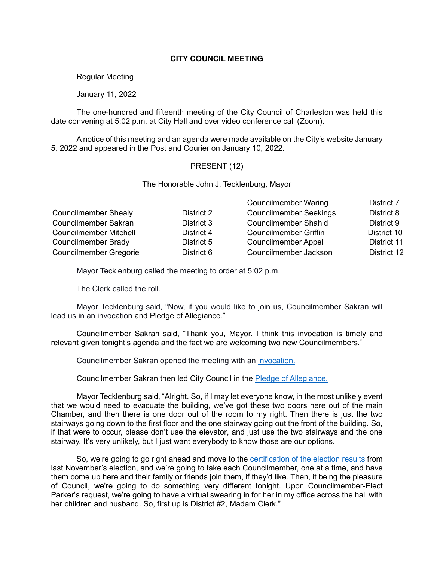## **CITY COUNCIL MEETING**

Regular Meeting

January 11, 2022

The one-hundred and fifteenth meeting of the City Council of Charleston was held this date convening at 5:02 p.m. at City Hall and over video conference call (Zoom).

A notice of this meeting and an agenda were made available on the City's website January 5, 2022 and appeared in the Post and Courier on January 10, 2022.

## PRESENT (12)

The Honorable John J. Tecklenburg, Mayor

|                               |            | <b>Councilmember Waring</b>   | District 7  |
|-------------------------------|------------|-------------------------------|-------------|
| <b>Councilmember Shealy</b>   | District 2 | <b>Councilmember Seekings</b> | District 8  |
| Councilmember Sakran          | District 3 | <b>Councilmember Shahid</b>   | District 9  |
| <b>Councilmember Mitchell</b> | District 4 | <b>Councilmember Griffin</b>  | District 10 |
| Councilmember Brady           | District 5 | <b>Councilmember Appel</b>    | District 11 |
| <b>Councilmember Gregorie</b> | District 6 | Councilmember Jackson         | District 12 |

Mayor Tecklenburg called the meeting to order at 5:02 p.m.

The Clerk called the roll.

Mayor Tecklenburg said, "Now, if you would like to join us, Councilmember Sakran will lead us in an invocation and Pledge of Allegiance."

Councilmember Sakran said, "Thank you, Mayor. I think this invocation is timely and relevant given tonight's agenda and the fact we are welcoming two new Councilmembers."

Councilmember Sakran opened the meeting with an [invocation.](https://youtu.be/1OKJt5vHvHk?t=63)

Councilmember Sakran then led City Council in the [Pledge of Allegiance.](https://youtu.be/1OKJt5vHvHk?t=134)

Mayor Tecklenburg said, "Alright. So, if I may let everyone know, in the most unlikely event that we would need to evacuate the building, we've got these two doors here out of the main Chamber, and then there is one door out of the room to my right. Then there is just the two stairways going down to the first floor and the one stairway going out the front of the building. So, if that were to occur, please don't use the elevator, and just use the two stairways and the one stairway. It's very unlikely, but I just want everybody to know those are our options.

So, we're going to go right ahead and move to the [certification of the election results](https://youtu.be/1OKJt5vHvHk?t=191) from last November's election, and we're going to take each Councilmember, one at a time, and have them come up here and their family or friends join them, if they'd like. Then, it being the pleasure of Council, we're going to do something very different tonight. Upon Councilmember-Elect Parker's request, we're going to have a virtual swearing in for her in my office across the hall with her children and husband. So, first up is District #2, Madam Clerk."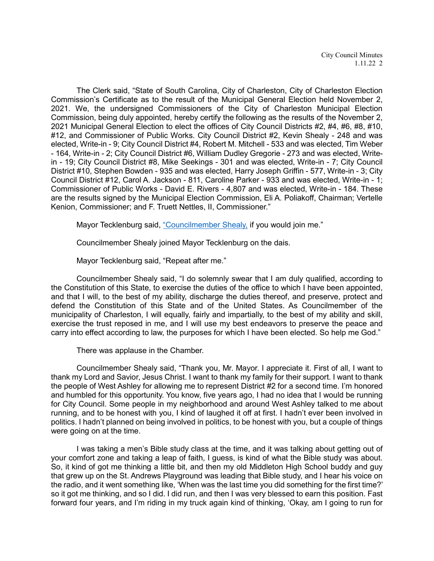The Clerk said, "State of South Carolina, City of Charleston, City of Charleston Election Commission's Certificate as to the result of the Municipal General Election held November 2, 2021. We, the undersigned Commissioners of the City of Charleston Municipal Election Commission, being duly appointed, hereby certify the following as the results of the November 2, 2021 Municipal General Election to elect the offices of City Council Districts #2, #4, #6, #8, #10, #12, and Commissioner of Public Works. City Council District #2, Kevin Shealy - 248 and was elected, Write-in - 9; City Council District #4, Robert M. Mitchell - 533 and was elected, Tim Weber - 164, Write-in - 2; City Council District #6, William Dudley Gregorie - 273 and was elected, Writein - 19; City Council District #8, Mike Seekings - 301 and was elected, Write-in - 7; City Council District #10, Stephen Bowden - 935 and was elected, Harry Joseph Griffin - 577, Write-in - 3; City Council District #12, Carol A. Jackson - 811, Caroline Parker - 933 and was elected, Write-in - 1; Commissioner of Public Works - David E. Rivers - 4,807 and was elected, Write-in - 184. These are the results signed by the Municipal Election Commission, Eli A. Poliakoff, Chairman; Vertelle Kenion, Commissioner; and F. Truett Nettles, II, Commissioner."

Mayor Tecklenburg said, ["Councilmember Shealy,](https://youtu.be/1OKJt5vHvHk?t=355) if you would join me."

Councilmember Shealy joined Mayor Tecklenburg on the dais.

Mayor Tecklenburg said, "Repeat after me."

Councilmember Shealy said, "I do solemnly swear that I am duly qualified, according to the Constitution of this State, to exercise the duties of the office to which I have been appointed, and that I will, to the best of my ability, discharge the duties thereof, and preserve, protect and defend the Constitution of this State and of the United States. As Councilmember of the municipality of Charleston, I will equally, fairly and impartially, to the best of my ability and skill, exercise the trust reposed in me, and I will use my best endeavors to preserve the peace and carry into effect according to law, the purposes for which I have been elected. So help me God."

There was applause in the Chamber.

Councilmember Shealy said, "Thank you, Mr. Mayor. I appreciate it. First of all, I want to thank my Lord and Savior, Jesus Christ. I want to thank my family for their support. I want to thank the people of West Ashley for allowing me to represent District #2 for a second time. I'm honored and humbled for this opportunity. You know, five years ago, I had no idea that I would be running for City Council. Some people in my neighborhood and around West Ashley talked to me about running, and to be honest with you, I kind of laughed it off at first. I hadn't ever been involved in politics. I hadn't planned on being involved in politics, to be honest with you, but a couple of things were going on at the time.

I was taking a men's Bible study class at the time, and it was talking about getting out of your comfort zone and taking a leap of faith, I guess, is kind of what the Bible study was about. So, it kind of got me thinking a little bit, and then my old Middleton High School buddy and guy that grew up on the St. Andrews Playground was leading that Bible study, and I hear his voice on the radio, and it went something like, 'When was the last time you did something for the first time?' so it got me thinking, and so I did. I did run, and then I was very blessed to earn this position. Fast forward four years, and I'm riding in my truck again kind of thinking, 'Okay, am I going to run for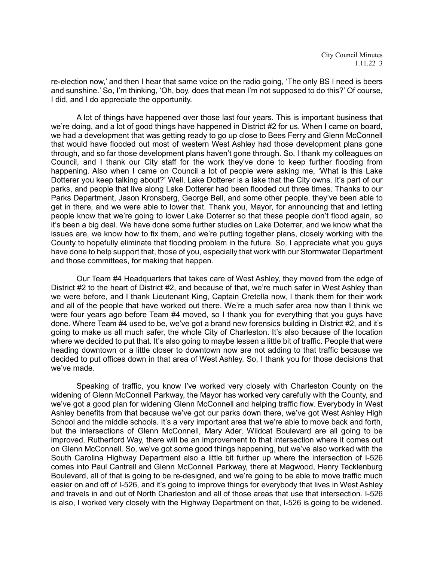re-election now,' and then I hear that same voice on the radio going, 'The only BS I need is beers and sunshine.' So, I'm thinking, 'Oh, boy, does that mean I'm not supposed to do this?' Of course, I did, and I do appreciate the opportunity.

A lot of things have happened over those last four years. This is important business that we're doing, and a lot of good things have happened in District #2 for us. When I came on board, we had a development that was getting ready to go up close to Bees Ferry and Glenn McConnell that would have flooded out most of western West Ashley had those development plans gone through, and so far those development plans haven't gone through. So, I thank my colleagues on Council, and I thank our City staff for the work they've done to keep further flooding from happening. Also when I came on Council a lot of people were asking me, 'What is this Lake Dotterer you keep talking about?' Well, Lake Dotterer is a lake that the City owns. It's part of our parks, and people that live along Lake Dotterer had been flooded out three times. Thanks to our Parks Department, Jason Kronsberg, George Bell, and some other people, they've been able to get in there, and we were able to lower that. Thank you, Mayor, for announcing that and letting people know that we're going to lower Lake Doterrer so that these people don't flood again, so it's been a big deal. We have done some further studies on Lake Doterrer, and we know what the issues are, we know how to fix them, and we're putting together plans, closely working with the County to hopefully eliminate that flooding problem in the future. So, I appreciate what you guys have done to help support that, those of you, especially that work with our Stormwater Department and those committees, for making that happen.

Our Team #4 Headquarters that takes care of West Ashley, they moved from the edge of District #2 to the heart of District #2, and because of that, we're much safer in West Ashley than we were before, and I thank Lieutenant King, Captain Cretella now, I thank them for their work and all of the people that have worked out there. We're a much safer area now than I think we were four years ago before Team #4 moved, so I thank you for everything that you guys have done. Where Team #4 used to be, we've got a brand new forensics building in District #2, and it's going to make us all much safer, the whole City of Charleston. It's also because of the location where we decided to put that. It's also going to maybe lessen a little bit of traffic. People that were heading downtown or a little closer to downtown now are not adding to that traffic because we decided to put offices down in that area of West Ashley. So, I thank you for those decisions that we've made.

Speaking of traffic, you know I've worked very closely with Charleston County on the widening of Glenn McConnell Parkway, the Mayor has worked very carefully with the County, and we've got a good plan for widening Glenn McConnell and helping traffic flow. Everybody in West Ashley benefits from that because we've got our parks down there, we've got West Ashley High School and the middle schools. It's a very important area that we're able to move back and forth, but the intersections of Glenn McConnell, Mary Ader, Wildcat Boulevard are all going to be improved. Rutherford Way, there will be an improvement to that intersection where it comes out on Glenn McConnell. So, we've got some good things happening, but we've also worked with the South Carolina Highway Department also a little bit further up where the intersection of I-526 comes into Paul Cantrell and Glenn McConnell Parkway, there at Magwood, Henry Tecklenburg Boulevard, all of that is going to be re-designed, and we're going to be able to move traffic much easier on and off of I-526, and it's going to improve things for everybody that lives in West Ashley and travels in and out of North Charleston and all of those areas that use that intersection. I-526 is also, I worked very closely with the Highway Department on that, I-526 is going to be widened.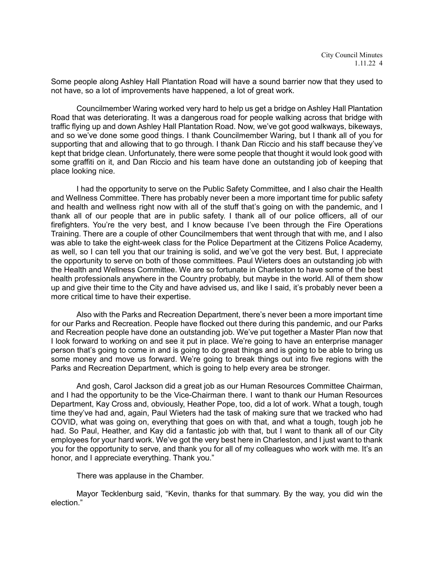Some people along Ashley Hall Plantation Road will have a sound barrier now that they used to not have, so a lot of improvements have happened, a lot of great work.

Councilmember Waring worked very hard to help us get a bridge on Ashley Hall Plantation Road that was deteriorating. It was a dangerous road for people walking across that bridge with traffic flying up and down Ashley Hall Plantation Road. Now, we've got good walkways, bikeways, and so we've done some good things. I thank Councilmember Waring, but I thank all of you for supporting that and allowing that to go through. I thank Dan Riccio and his staff because they've kept that bridge clean. Unfortunately, there were some people that thought it would look good with some graffiti on it, and Dan Riccio and his team have done an outstanding job of keeping that place looking nice.

I had the opportunity to serve on the Public Safety Committee, and I also chair the Health and Wellness Committee. There has probably never been a more important time for public safety and health and wellness right now with all of the stuff that's going on with the pandemic, and I thank all of our people that are in public safety. I thank all of our police officers, all of our firefighters. You're the very best, and I know because I've been through the Fire Operations Training. There are a couple of other Councilmembers that went through that with me, and I also was able to take the eight-week class for the Police Department at the Citizens Police Academy, as well, so I can tell you that our training is solid, and we've got the very best. But, I appreciate the opportunity to serve on both of those committees. Paul Wieters does an outstanding job with the Health and Wellness Committee. We are so fortunate in Charleston to have some of the best health professionals anywhere in the Country probably, but maybe in the world. All of them show up and give their time to the City and have advised us, and like I said, it's probably never been a more critical time to have their expertise.

Also with the Parks and Recreation Department, there's never been a more important time for our Parks and Recreation. People have flocked out there during this pandemic, and our Parks and Recreation people have done an outstanding job. We've put together a Master Plan now that I look forward to working on and see it put in place. We're going to have an enterprise manager person that's going to come in and is going to do great things and is going to be able to bring us some money and move us forward. We're going to break things out into five regions with the Parks and Recreation Department, which is going to help every area be stronger.

And gosh, Carol Jackson did a great job as our Human Resources Committee Chairman, and I had the opportunity to be the Vice-Chairman there. I want to thank our Human Resources Department, Kay Cross and, obviously, Heather Pope, too, did a lot of work. What a tough, tough time they've had and, again, Paul Wieters had the task of making sure that we tracked who had COVID, what was going on, everything that goes on with that, and what a tough, tough job he had. So Paul, Heather, and Kay did a fantastic job with that, but I want to thank all of our City employees for your hard work. We've got the very best here in Charleston, and I just want to thank you for the opportunity to serve, and thank you for all of my colleagues who work with me. It's an honor, and I appreciate everything. Thank you."

There was applause in the Chamber.

Mayor Tecklenburg said, "Kevin, thanks for that summary. By the way, you did win the election."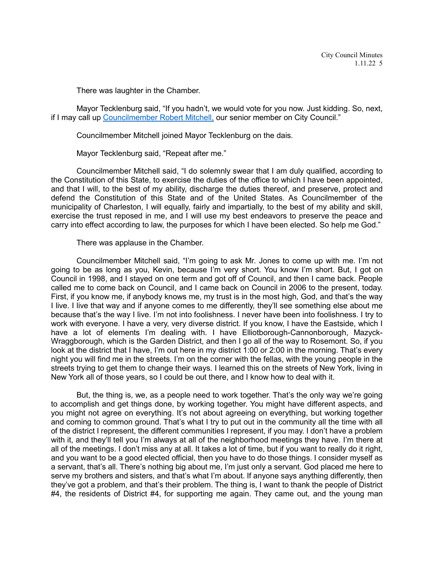There was laughter in the Chamber.

Mayor Tecklenburg said, "If you hadn't, we would vote for you now. Just kidding. So, next, if I may call up [Councilmember Robert Mitchell,](https://youtu.be/1OKJt5vHvHk?t=1045) our senior member on City Council."

Councilmember Mitchell joined Mayor Tecklenburg on the dais.

Mayor Tecklenburg said, "Repeat after me."

Councilmember Mitchell said, "I do solemnly swear that I am duly qualified, according to the Constitution of this State, to exercise the duties of the office to which I have been appointed, and that I will, to the best of my ability, discharge the duties thereof, and preserve, protect and defend the Constitution of this State and of the United States. As Councilmember of the municipality of Charleston, I will equally, fairly and impartially, to the best of my ability and skill, exercise the trust reposed in me, and I will use my best endeavors to preserve the peace and carry into effect according to law, the purposes for which I have been elected. So help me God."

There was applause in the Chamber.

Councilmember Mitchell said, "I'm going to ask Mr. Jones to come up with me. I'm not going to be as long as you, Kevin, because I'm very short. You know I'm short. But, I got on Council in 1998, and I stayed on one term and got off of Council, and then I came back. People called me to come back on Council, and I came back on Council in 2006 to the present, today. First, if you know me, if anybody knows me, my trust is in the most high, God, and that's the way I live. I live that way and if anyone comes to me differently, they'll see something else about me because that's the way I live. I'm not into foolishness. I never have been into foolishness. I try to work with everyone. I have a very, very diverse district. If you know, I have the Eastside, which I have a lot of elements I'm dealing with. I have Elliotborough-Cannonborough, Mazyck-Wraggborough, which is the Garden District, and then I go all of the way to Rosemont. So, if you look at the district that I have, I'm out here in my district 1:00 or 2:00 in the morning. That's every night you will find me in the streets. I'm on the corner with the fellas, with the young people in the streets trying to get them to change their ways. I learned this on the streets of New York, living in New York all of those years, so I could be out there, and I know how to deal with it.

But, the thing is, we, as a people need to work together. That's the only way we're going to accomplish and get things done, by working together. You might have different aspects, and you might not agree on everything. It's not about agreeing on everything, but working together and coming to common ground. That's what I try to put out in the community all the time with all of the district I represent, the different communities I represent, if you may. I don't have a problem with it, and they'll tell you I'm always at all of the neighborhood meetings they have. I'm there at all of the meetings. I don't miss any at all. It takes a lot of time, but if you want to really do it right, and you want to be a good elected official, then you have to do those things. I consider myself as a servant, that's all. There's nothing big about me, I'm just only a servant. God placed me here to serve my brothers and sisters, and that's what I'm about. If anyone says anything differently, then they've got a problem, and that's their problem. The thing is, I want to thank the people of District #4, the residents of District #4, for supporting me again. They came out, and the young man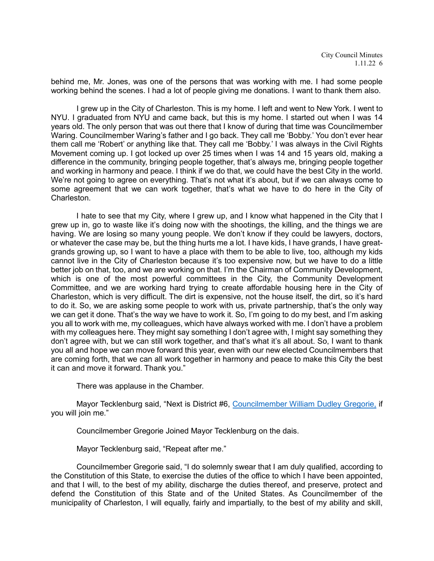behind me, Mr. Jones, was one of the persons that was working with me. I had some people working behind the scenes. I had a lot of people giving me donations. I want to thank them also.

I grew up in the City of Charleston. This is my home. I left and went to New York. I went to NYU. I graduated from NYU and came back, but this is my home. I started out when I was 14 years old. The only person that was out there that I know of during that time was Councilmember Waring. Councilmember Waring's father and I go back. They call me 'Bobby.' You don't ever hear them call me 'Robert' or anything like that. They call me 'Bobby.' I was always in the Civil Rights Movement coming up. I got locked up over 25 times when I was 14 and 15 years old, making a difference in the community, bringing people together, that's always me, bringing people together and working in harmony and peace. I think if we do that, we could have the best City in the world. We're not going to agree on everything. That's not what it's about, but if we can always come to some agreement that we can work together, that's what we have to do here in the City of Charleston.

I hate to see that my City, where I grew up, and I know what happened in the City that I grew up in, go to waste like it's doing now with the shootings, the killing, and the things we are having. We are losing so many young people. We don't know if they could be lawyers, doctors, or whatever the case may be, but the thing hurts me a lot. I have kids, I have grands, I have greatgrands growing up, so I want to have a place with them to be able to live, too, although my kids cannot live in the City of Charleston because it's too expensive now, but we have to do a little better job on that, too, and we are working on that. I'm the Chairman of Community Development, which is one of the most powerful committees in the City, the Community Development Committee, and we are working hard trying to create affordable housing here in the City of Charleston, which is very difficult. The dirt is expensive, not the house itself, the dirt, so it's hard to do it. So, we are asking some people to work with us, private partnership, that's the only way we can get it done. That's the way we have to work it. So, I'm going to do my best, and I'm asking you all to work with me, my colleagues, which have always worked with me. I don't have a problem with my colleagues here. They might say something I don't agree with, I might say something they don't agree with, but we can still work together, and that's what it's all about. So, I want to thank you all and hope we can move forward this year, even with our new elected Councilmembers that are coming forth, that we can all work together in harmony and peace to make this City the best it can and move it forward. Thank you."

There was applause in the Chamber.

Mayor Tecklenburg said, "Next is District #6, [Councilmember William Dudley Gregorie,](https://youtu.be/1OKJt5vHvHk?t=1460) if you will join me."

Councilmember Gregorie Joined Mayor Tecklenburg on the dais.

Mayor Tecklenburg said, "Repeat after me."

Councilmember Gregorie said, "I do solemnly swear that I am duly qualified, according to the Constitution of this State, to exercise the duties of the office to which I have been appointed, and that I will, to the best of my ability, discharge the duties thereof, and preserve, protect and defend the Constitution of this State and of the United States. As Councilmember of the municipality of Charleston, I will equally, fairly and impartially, to the best of my ability and skill,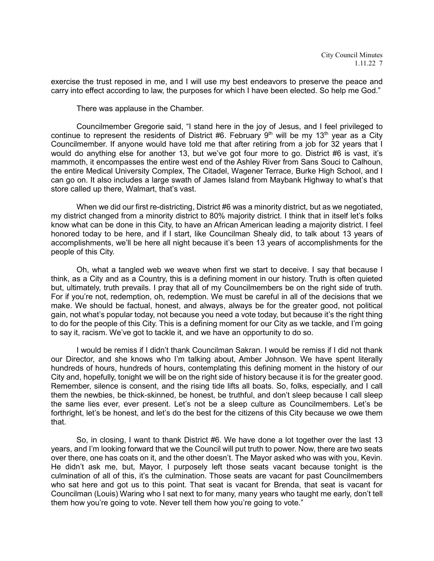exercise the trust reposed in me, and I will use my best endeavors to preserve the peace and carry into effect according to law, the purposes for which I have been elected. So help me God."

There was applause in the Chamber.

Councilmember Gregorie said, "I stand here in the joy of Jesus, and I feel privileged to continue to represent the residents of District #6. February  $9<sup>th</sup>$  will be my 13<sup>th</sup> year as a City Councilmember. If anyone would have told me that after retiring from a job for 32 years that I would do anything else for another 13, but we've got four more to go. District #6 is vast, it's mammoth, it encompasses the entire west end of the Ashley River from Sans Souci to Calhoun, the entire Medical University Complex, The Citadel, Wagener Terrace, Burke High School, and I can go on. It also includes a large swath of James Island from Maybank Highway to what's that store called up there, Walmart, that's vast.

When we did our first re-districting, District #6 was a minority district, but as we negotiated, my district changed from a minority district to 80% majority district. I think that in itself let's folks know what can be done in this City, to have an African American leading a majority district. I feel honored today to be here, and if I start, like Councilman Shealy did, to talk about 13 years of accomplishments, we'll be here all night because it's been 13 years of accomplishments for the people of this City.

Oh, what a tangled web we weave when first we start to deceive. I say that because I think, as a City and as a Country, this is a defining moment in our history. Truth is often quieted but, ultimately, truth prevails. I pray that all of my Councilmembers be on the right side of truth. For if you're not, redemption, oh, redemption. We must be careful in all of the decisions that we make. We should be factual, honest, and always, always be for the greater good, not political gain, not what's popular today, not because you need a vote today, but because it's the right thing to do for the people of this City. This is a defining moment for our City as we tackle, and I'm going to say it, racism. We've got to tackle it, and we have an opportunity to do so.

I would be remiss if I didn't thank Councilman Sakran. I would be remiss if I did not thank our Director, and she knows who I'm talking about, Amber Johnson. We have spent literally hundreds of hours, hundreds of hours, contemplating this defining moment in the history of our City and, hopefully, tonight we will be on the right side of history because it is for the greater good. Remember, silence is consent, and the rising tide lifts all boats. So, folks, especially, and I call them the newbies, be thick-skinned, be honest, be truthful, and don't sleep because I call sleep the same lies ever, ever present. Let's not be a sleep culture as Councilmembers. Let's be forthright, let's be honest, and let's do the best for the citizens of this City because we owe them that.

So, in closing, I want to thank District #6. We have done a lot together over the last 13 years, and I'm looking forward that we the Council will put truth to power. Now, there are two seats over there, one has coats on it, and the other doesn't. The Mayor asked who was with you, Kevin. He didn't ask me, but, Mayor, I purposely left those seats vacant because tonight is the culmination of all of this, it's the culmination. Those seats are vacant for past Councilmembers who sat here and got us to this point. That seat is vacant for Brenda, that seat is vacant for Councilman (Louis) Waring who I sat next to for many, many years who taught me early, don't tell them how you're going to vote. Never tell them how you're going to vote."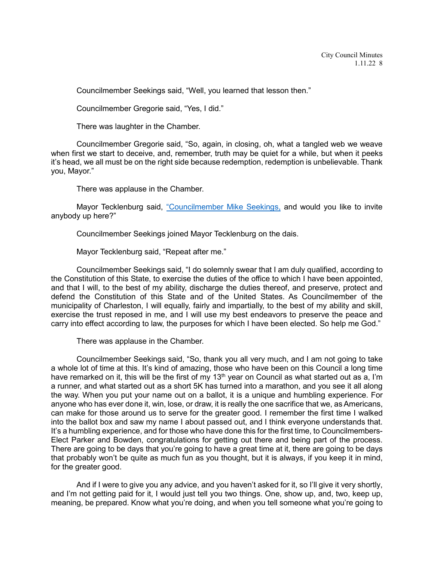Councilmember Seekings said, "Well, you learned that lesson then."

Councilmember Gregorie said, "Yes, I did."

There was laughter in the Chamber.

Councilmember Gregorie said, "So, again, in closing, oh, what a tangled web we weave when first we start to deceive, and, remember, truth may be quiet for a while, but when it peeks it's head, we all must be on the right side because redemption, redemption is unbelievable. Thank you, Mayor."

There was applause in the Chamber.

Mayor Tecklenburg said, ["Councilmember Mike Seekings,](https://youtu.be/1OKJt5vHvHk?t=2091) and would you like to invite anybody up here?"

Councilmember Seekings joined Mayor Tecklenburg on the dais.

Mayor Tecklenburg said, "Repeat after me."

Councilmember Seekings said, "I do solemnly swear that I am duly qualified, according to the Constitution of this State, to exercise the duties of the office to which I have been appointed, and that I will, to the best of my ability, discharge the duties thereof, and preserve, protect and defend the Constitution of this State and of the United States. As Councilmember of the municipality of Charleston, I will equally, fairly and impartially, to the best of my ability and skill, exercise the trust reposed in me, and I will use my best endeavors to preserve the peace and carry into effect according to law, the purposes for which I have been elected. So help me God."

There was applause in the Chamber.

Councilmember Seekings said, "So, thank you all very much, and I am not going to take a whole lot of time at this. It's kind of amazing, those who have been on this Council a long time have remarked on it, this will be the first of my 13<sup>th</sup> year on Council as what started out as a, I'm a runner, and what started out as a short 5K has turned into a marathon, and you see it all along the way. When you put your name out on a ballot, it is a unique and humbling experience. For anyone who has ever done it, win, lose, or draw, it is really the one sacrifice that we, as Americans, can make for those around us to serve for the greater good. I remember the first time I walked into the ballot box and saw my name I about passed out, and I think everyone understands that. It's a humbling experience, and for those who have done this for the first time, to Councilmembers-Elect Parker and Bowden, congratulations for getting out there and being part of the process. There are going to be days that you're going to have a great time at it, there are going to be days that probably won't be quite as much fun as you thought, but it is always, if you keep it in mind, for the greater good.

And if I were to give you any advice, and you haven't asked for it, so I'll give it very shortly, and I'm not getting paid for it, I would just tell you two things. One, show up, and, two, keep up, meaning, be prepared. Know what you're doing, and when you tell someone what you're going to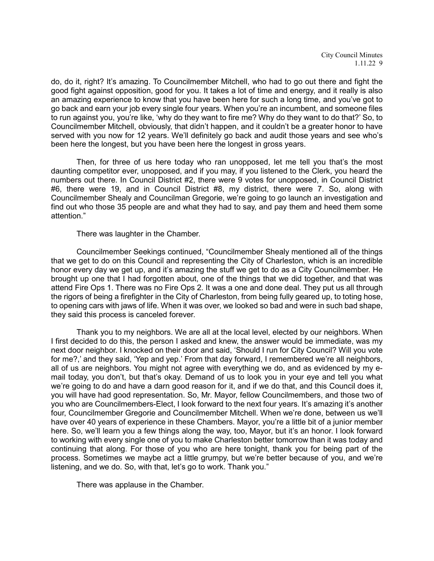do, do it, right? It's amazing. To Councilmember Mitchell, who had to go out there and fight the good fight against opposition, good for you. It takes a lot of time and energy, and it really is also an amazing experience to know that you have been here for such a long time, and you've got to go back and earn your job every single four years. When you're an incumbent, and someone files to run against you, you're like, 'why do they want to fire me? Why do they want to do that?' So, to Councilmember Mitchell, obviously, that didn't happen, and it couldn't be a greater honor to have served with you now for 12 years. We'll definitely go back and audit those years and see who's been here the longest, but you have been here the longest in gross years.

Then, for three of us here today who ran unopposed, let me tell you that's the most daunting competitor ever, unopposed, and if you may, if you listened to the Clerk, you heard the numbers out there. In Council District #2, there were 9 votes for unopposed, in Council District #6, there were 19, and in Council District #8, my district, there were 7. So, along with Councilmember Shealy and Councilman Gregorie, we're going to go launch an investigation and find out who those 35 people are and what they had to say, and pay them and heed them some attention."

There was laughter in the Chamber.

Councilmember Seekings continued, "Councilmember Shealy mentioned all of the things that we get to do on this Council and representing the City of Charleston, which is an incredible honor every day we get up, and it's amazing the stuff we get to do as a City Councilmember. He brought up one that I had forgotten about, one of the things that we did together, and that was attend Fire Ops 1. There was no Fire Ops 2. It was a one and done deal. They put us all through the rigors of being a firefighter in the City of Charleston, from being fully geared up, to toting hose, to opening cars with jaws of life. When it was over, we looked so bad and were in such bad shape, they said this process is canceled forever.

Thank you to my neighbors. We are all at the local level, elected by our neighbors. When I first decided to do this, the person I asked and knew, the answer would be immediate, was my next door neighbor. I knocked on their door and said, 'Should I run for City Council? Will you vote for me?,' and they said, 'Yep and yep.' From that day forward, I remembered we're all neighbors, all of us are neighbors. You might not agree with everything we do, and as evidenced by my email today, you don't, but that's okay. Demand of us to look you in your eye and tell you what we're going to do and have a darn good reason for it, and if we do that, and this Council does it, you will have had good representation. So, Mr. Mayor, fellow Councilmembers, and those two of you who are Councilmembers-Elect, I look forward to the next four years. It's amazing it's another four, Councilmember Gregorie and Councilmember Mitchell. When we're done, between us we'll have over 40 years of experience in these Chambers. Mayor, you're a little bit of a junior member here. So, we'll learn you a few things along the way, too, Mayor, but it's an honor. I look forward to working with every single one of you to make Charleston better tomorrow than it was today and continuing that along. For those of you who are here tonight, thank you for being part of the process. Sometimes we maybe act a little grumpy, but we're better because of you, and we're listening, and we do. So, with that, let's go to work. Thank you."

There was applause in the Chamber.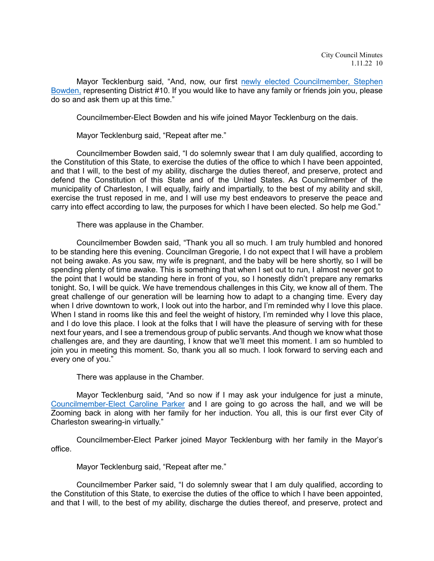Mayor Tecklenburg said, "And, now, our first [newly elected Councilmember,](https://youtu.be/1OKJt5vHvHk?t=2510) Stephen [Bowden,](https://youtu.be/1OKJt5vHvHk?t=2510) representing District #10. If you would like to have any family or friends join you, please do so and ask them up at this time."

Councilmember-Elect Bowden and his wife joined Mayor Tecklenburg on the dais.

Mayor Tecklenburg said, "Repeat after me."

Councilmember Bowden said, "I do solemnly swear that I am duly qualified, according to the Constitution of this State, to exercise the duties of the office to which I have been appointed, and that I will, to the best of my ability, discharge the duties thereof, and preserve, protect and defend the Constitution of this State and of the United States. As Councilmember of the municipality of Charleston, I will equally, fairly and impartially, to the best of my ability and skill, exercise the trust reposed in me, and I will use my best endeavors to preserve the peace and carry into effect according to law, the purposes for which I have been elected. So help me God."

There was applause in the Chamber.

Councilmember Bowden said, "Thank you all so much. I am truly humbled and honored to be standing here this evening. Councilman Gregorie, I do not expect that I will have a problem not being awake. As you saw, my wife is pregnant, and the baby will be here shortly, so I will be spending plenty of time awake. This is something that when I set out to run, I almost never got to the point that I would be standing here in front of you, so I honestly didn't prepare any remarks tonight. So, I will be quick. We have tremendous challenges in this City, we know all of them. The great challenge of our generation will be learning how to adapt to a changing time. Every day when I drive downtown to work, I look out into the harbor, and I'm reminded why I love this place. When I stand in rooms like this and feel the weight of history, I'm reminded why I love this place, and I do love this place. I look at the folks that I will have the pleasure of serving with for these next four years, and I see a tremendous group of public servants. And though we know what those challenges are, and they are daunting, I know that we'll meet this moment. I am so humbled to join you in meeting this moment. So, thank you all so much. I look forward to serving each and every one of you."

There was applause in the Chamber.

Mayor Tecklenburg said, "And so now if I may ask your indulgence for just a minute, [Councilmember-Elect Caroline Parker](https://youtu.be/1OKJt5vHvHk?t=2742) and I are going to go across the hall, and we will be Zooming back in along with her family for her induction. You all, this is our first ever City of Charleston swearing-in virtually."

Councilmember-Elect Parker joined Mayor Tecklenburg with her family in the Mayor's office.

Mayor Tecklenburg said, "Repeat after me."

Councilmember Parker said, "I do solemnly swear that I am duly qualified, according to the Constitution of this State, to exercise the duties of the office to which I have been appointed, and that I will, to the best of my ability, discharge the duties thereof, and preserve, protect and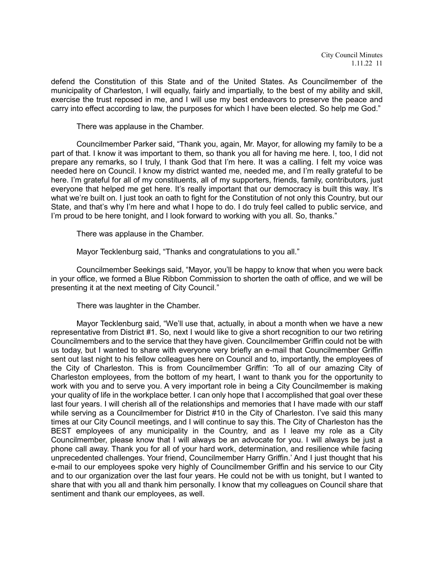defend the Constitution of this State and of the United States. As Councilmember of the municipality of Charleston, I will equally, fairly and impartially, to the best of my ability and skill, exercise the trust reposed in me, and I will use my best endeavors to preserve the peace and carry into effect according to law, the purposes for which I have been elected. So help me God."

There was applause in the Chamber.

Councilmember Parker said, "Thank you, again, Mr. Mayor, for allowing my family to be a part of that. I know it was important to them, so thank you all for having me here. I, too, I did not prepare any remarks, so I truly, I thank God that I'm here. It was a calling. I felt my voice was needed here on Council. I know my district wanted me, needed me, and I'm really grateful to be here. I'm grateful for all of my constituents, all of my supporters, friends, family, contributors, just everyone that helped me get here. It's really important that our democracy is built this way. It's what we're built on. I just took an oath to fight for the Constitution of not only this Country, but our State, and that's why I'm here and what I hope to do. I do truly feel called to public service, and I'm proud to be here tonight, and I look forward to working with you all. So, thanks."

There was applause in the Chamber.

Mayor Tecklenburg said, "Thanks and congratulations to you all."

Councilmember Seekings said, "Mayor, you'll be happy to know that when you were back in your office, we formed a Blue Ribbon Commission to shorten the oath of office, and we will be presenting it at the next meeting of City Council."

There was laughter in the Chamber.

Mayor Tecklenburg said, "We'll use that, actually, in about a month when we have a new representative from District #1. So, next I would like to give a short recognition to our two retiring Councilmembers and to the service that they have given. Councilmember Griffin could not be with us today, but I wanted to share with everyone very briefly an e-mail that Councilmember Griffin sent out last night to his fellow colleagues here on Council and to, importantly, the employees of the City of Charleston. This is from Councilmember Griffin: 'To all of our amazing City of Charleston employees, from the bottom of my heart, I want to thank you for the opportunity to work with you and to serve you. A very important role in being a City Councilmember is making your quality of life in the workplace better. I can only hope that I accomplished that goal over these last four years. I will cherish all of the relationships and memories that I have made with our staff while serving as a Councilmember for District #10 in the City of Charleston. I've said this many times at our City Council meetings, and I will continue to say this. The City of Charleston has the BEST employees of any municipality in the Country, and as I leave my role as a City Councilmember, please know that I will always be an advocate for you. I will always be just a phone call away. Thank you for all of your hard work, determination, and resilience while facing unprecedented challenges. Your friend, Councilmember Harry Griffin.' And I just thought that his e-mail to our employees spoke very highly of Councilmember Griffin and his service to our City and to our organization over the last four years. He could not be with us tonight, but I wanted to share that with you all and thank him personally. I know that my colleagues on Council share that sentiment and thank our employees, as well.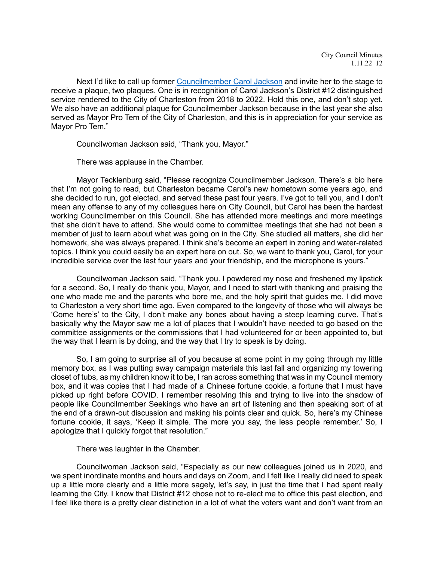Next I'd like to call up former [Councilmember Carol Jackson](https://youtu.be/1OKJt5vHvHk?t=3238) and invite her to the stage to receive a plaque, two plaques. One is in recognition of Carol Jackson's District #12 distinguished service rendered to the City of Charleston from 2018 to 2022. Hold this one, and don't stop yet. We also have an additional plaque for Councilmember Jackson because in the last year she also served as Mayor Pro Tem of the City of Charleston, and this is in appreciation for your service as Mayor Pro Tem."

Councilwoman Jackson said, "Thank you, Mayor."

There was applause in the Chamber.

Mayor Tecklenburg said, "Please recognize Councilmember Jackson. There's a bio here that I'm not going to read, but Charleston became Carol's new hometown some years ago, and she decided to run, got elected, and served these past four years. I've got to tell you, and I don't mean any offense to any of my colleagues here on City Council, but Carol has been the hardest working Councilmember on this Council. She has attended more meetings and more meetings that she didn't have to attend. She would come to committee meetings that she had not been a member of just to learn about what was going on in the City. She studied all matters, she did her homework, she was always prepared. I think she's become an expert in zoning and water-related topics. I think you could easily be an expert here on out. So, we want to thank you, Carol, for your incredible service over the last four years and your friendship, and the microphone is yours."

Councilwoman Jackson said, "Thank you. I powdered my nose and freshened my lipstick for a second. So, I really do thank you, Mayor, and I need to start with thanking and praising the one who made me and the parents who bore me, and the holy spirit that guides me. I did move to Charleston a very short time ago. Even compared to the longevity of those who will always be 'Come here's' to the City, I don't make any bones about having a steep learning curve. That's basically why the Mayor saw me a lot of places that I wouldn't have needed to go based on the committee assignments or the commissions that I had volunteered for or been appointed to, but the way that I learn is by doing, and the way that I try to speak is by doing.

So, I am going to surprise all of you because at some point in my going through my little memory box, as I was putting away campaign materials this last fall and organizing my towering closet of tubs, as my children know it to be, I ran across something that was in my Council memory box, and it was copies that I had made of a Chinese fortune cookie, a fortune that I must have picked up right before COVID. I remember resolving this and trying to live into the shadow of people like Councilmember Seekings who have an art of listening and then speaking sort of at the end of a drawn-out discussion and making his points clear and quick. So, here's my Chinese fortune cookie, it says, 'Keep it simple. The more you say, the less people remember.' So, I apologize that I quickly forgot that resolution."

There was laughter in the Chamber.

Councilwoman Jackson said, "Especially as our new colleagues joined us in 2020, and we spent inordinate months and hours and days on Zoom, and I felt like I really did need to speak up a little more clearly and a little more sagely, let's say, in just the time that I had spent really learning the City. I know that District #12 chose not to re-elect me to office this past election, and I feel like there is a pretty clear distinction in a lot of what the voters want and don't want from an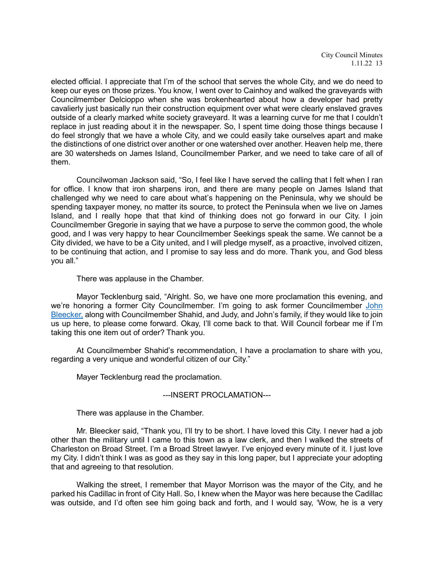City Council Minutes 1.11.22 13

elected official. I appreciate that I'm of the school that serves the whole City, and we do need to keep our eyes on those prizes. You know, I went over to Cainhoy and walked the graveyards with Councilmember Delcioppo when she was brokenhearted about how a developer had pretty cavalierly just basically run their construction equipment over what were clearly enslaved graves outside of a clearly marked white society graveyard. It was a learning curve for me that I couldn't replace in just reading about it in the newspaper. So, I spent time doing those things because I do feel strongly that we have a whole City, and we could easily take ourselves apart and make the distinctions of one district over another or one watershed over another. Heaven help me, there are 30 watersheds on James Island, Councilmember Parker, and we need to take care of all of them.

Councilwoman Jackson said, "So, I feel like I have served the calling that I felt when I ran for office. I know that iron sharpens iron, and there are many people on James Island that challenged why we need to care about what's happening on the Peninsula, why we should be spending taxpayer money, no matter its source, to protect the Peninsula when we live on James Island, and I really hope that that kind of thinking does not go forward in our City. I join Councilmember Gregorie in saying that we have a purpose to serve the common good, the whole good, and I was very happy to hear Councilmember Seekings speak the same. We cannot be a City divided, we have to be a City united, and I will pledge myself, as a proactive, involved citizen, to be continuing that action, and I promise to say less and do more. Thank you, and God bless you all."

There was applause in the Chamber.

Mayor Tecklenburg said, "Alright. So, we have one more proclamation this evening, and we're honoring a former City Councilmember. I'm going to ask former Councilmember John [Bleecker,](https://youtu.be/1OKJt5vHvHk?t=3687) along with Councilmember Shahid, and Judy, and John's family, if they would like to join us up here, to please come forward. Okay, I'll come back to that. Will Council forbear me if I'm taking this one item out of order? Thank you.

At Councilmember Shahid's recommendation, I have a proclamation to share with you, regarding a very unique and wonderful citizen of our City."

Mayer Tecklenburg read the proclamation.

## ---INSERT PROCLAMATION---

There was applause in the Chamber.

Mr. Bleecker said, "Thank you, I'll try to be short. I have loved this City. I never had a job other than the military until I came to this town as a law clerk, and then I walked the streets of Charleston on Broad Street. I'm a Broad Street lawyer. I've enjoyed every minute of it. I just love my City. I didn't think I was as good as they say in this long paper, but I appreciate your adopting that and agreeing to that resolution.

Walking the street, I remember that Mayor Morrison was the mayor of the City, and he parked his Cadillac in front of City Hall. So, I knew when the Mayor was here because the Cadillac was outside, and I'd often see him going back and forth, and I would say, 'Wow, he is a very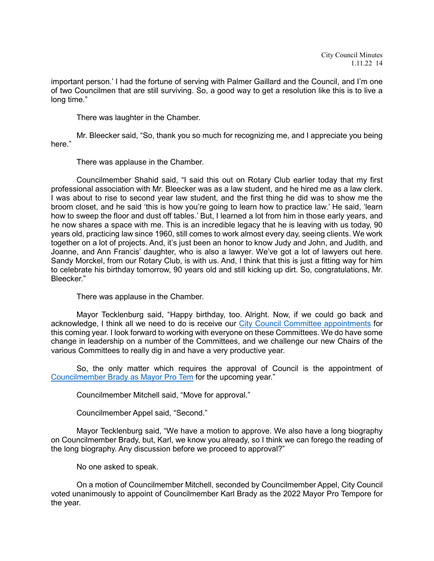important person.' I had the fortune of serving with Palmer Gaillard and the Council, and I'm one of two Councilmen that are still surviving. So, a good way to get a resolution like this is to live a long time."

There was laughter in the Chamber.

Mr. Bleecker said, "So, thank you so much for recognizing me, and I appreciate you being here."

There was applause in the Chamber.

Councilmember Shahid said, "I said this out on Rotary Club earlier today that my first professional association with Mr. Bleecker was as a law student, and he hired me as a law clerk. I was about to rise to second year law student, and the first thing he did was to show me the broom closet, and he said 'this is how you're going to learn how to practice law.' He said, 'learn how to sweep the floor and dust off tables.' But, I learned a lot from him in those early years, and he now shares a space with me. This is an incredible legacy that he is leaving with us today, 90 years old, practicing law since 1960, still comes to work almost every day, seeing clients. We work together on a lot of projects. And, it's just been an honor to know Judy and John, and Judith, and Joanne, and Ann Francis' daughter, who is also a lawyer. We've got a lot of lawyers out here. Sandy Morckel, from our Rotary Club, is with us. And, I think that this is just a fitting way for him to celebrate his birthday tomorrow, 90 years old and still kicking up dirt. So, congratulations, Mr. Bleecker."

There was applause in the Chamber.

Mayor Tecklenburg said, "Happy birthday, too. Alright. Now, if we could go back and acknowledge, I think all we need to do is receive our [City Council Committee appointments](https://youtu.be/1OKJt5vHvHk?t=4094) for this coming year. I look forward to working with everyone on these Committees. We do have some change in leadership on a number of the Committees, and we challenge our new Chairs of the various Committees to really dig in and have a very productive year.

So, the only matter which requires the approval of Council is the appointment of [Councilmember Brady as Mayor Pro Tem](https://youtu.be/1OKJt5vHvHk?t=4124) for the upcoming year."

Councilmember Mitchell said, "Move for approval."

Councilmember Appel said, "Second."

Mayor Tecklenburg said, "We have a motion to approve. We also have a long biography on Councilmember Brady, but, Karl, we know you already, so I think we can forego the reading of the long biography. Any discussion before we proceed to approval?"

No one asked to speak.

On a motion of Councilmember Mitchell, seconded by Councilmember Appel, City Council voted unanimously to appoint of Councilmember Karl Brady as the 2022 Mayor Pro Tempore for the year.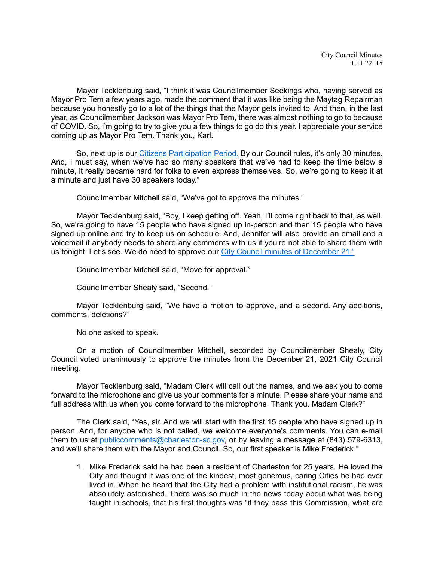Mayor Tecklenburg said, "I think it was Councilmember Seekings who, having served as Mayor Pro Tem a few years ago, made the comment that it was like being the Maytag Repairman because you honestly go to a lot of the things that the Mayor gets invited to. And then, in the last year, as Councilmember Jackson was Mayor Pro Tem, there was almost nothing to go to because of COVID. So, I'm going to try to give you a few things to go do this year. I appreciate your service coming up as Mayor Pro Tem. Thank you, Karl.

So, next up is our [Citizens Participation Period.](https://youtu.be/1OKJt5vHvHk?t=4192) By our Council rules, it's only 30 minutes. And, I must say, when we've had so many speakers that we've had to keep the time below a minute, it really became hard for folks to even express themselves. So, we're going to keep it at a minute and just have 30 speakers today."

Councilmember Mitchell said, "We've got to approve the minutes."

Mayor Tecklenburg said, "Boy, I keep getting off. Yeah, I'll come right back to that, as well. So, we're going to have 15 people who have signed up in-person and then 15 people who have signed up online and try to keep us on schedule. And, Jennifer will also provide an email and a voicemail if anybody needs to share any comments with us if you're not able to share them with us tonight. Let's see. We do need to approve our [City Council minutes of December 21."](https://youtu.be/1OKJt5vHvHk?t=4252)

Councilmember Mitchell said, "Move for approval."

Councilmember Shealy said, "Second."

Mayor Tecklenburg said, "We have a motion to approve, and a second. Any additions, comments, deletions?"

No one asked to speak.

On a motion of Councilmember Mitchell, seconded by Councilmember Shealy, City Council voted unanimously to approve the minutes from the December 21, 2021 City Council meeting.

Mayor Tecklenburg said, "Madam Clerk will call out the names, and we ask you to come forward to the microphone and give us your comments for a minute. Please share your name and full address with us when you come forward to the microphone. Thank you. Madam Clerk?"

The Clerk said, "Yes, sir. And we will start with the first 15 people who have signed up in person. And, for anyone who is not called, we welcome everyone's comments. You can e-mail them to us at [publiccomments@charleston-sc.gov,](mailto:publiccomments@charleston-sc.gov) or by leaving a message at (843) 579-6313, and we'll share them with the Mayor and Council. So, our first speaker is Mike Frederick."

1. Mike Frederick said he had been a resident of Charleston for 25 years. He loved the City and thought it was one of the kindest, most generous, caring Cities he had ever lived in. When he heard that the City had a problem with institutional racism, he was absolutely astonished. There was so much in the news today about what was being taught in schools, that his first thoughts was "if they pass this Commission, what are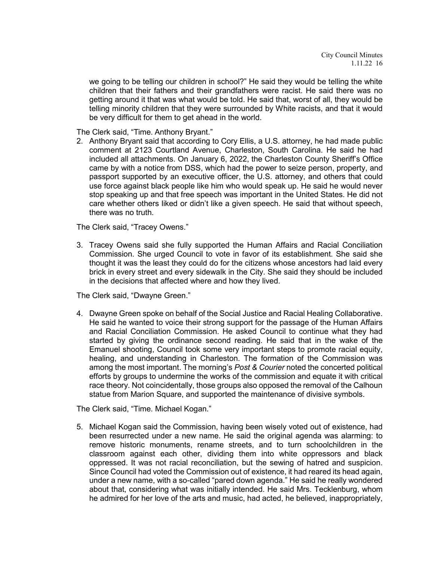we going to be telling our children in school?" He said they would be telling the white children that their fathers and their grandfathers were racist. He said there was no getting around it that was what would be told. He said that, worst of all, they would be telling minority children that they were surrounded by White racists, and that it would be very difficult for them to get ahead in the world.

The Clerk said, "Time. Anthony Bryant."

2. Anthony Bryant said that according to Cory Ellis, a U.S. attorney, he had made public comment at 2123 Courtland Avenue, Charleston, South Carolina. He said he had included all attachments. On January 6, 2022, the Charleston County Sheriff's Office came by with a notice from DSS, which had the power to seize person, property, and passport supported by an executive officer, the U.S. attorney, and others that could use force against black people like him who would speak up. He said he would never stop speaking up and that free speech was important in the United States. He did not care whether others liked or didn't like a given speech. He said that without speech, there was no truth.

The Clerk said, "Tracey Owens."

3. Tracey Owens said she fully supported the Human Affairs and Racial Conciliation Commission. She urged Council to vote in favor of its establishment. She said she thought it was the least they could do for the citizens whose ancestors had laid every brick in every street and every sidewalk in the City. She said they should be included in the decisions that affected where and how they lived.

The Clerk said, "Dwayne Green."

4. Dwayne Green spoke on behalf of the Social Justice and Racial Healing Collaborative. He said he wanted to voice their strong support for the passage of the Human Affairs and Racial Conciliation Commission. He asked Council to continue what they had started by giving the ordinance second reading. He said that in the wake of the Emanuel shooting, Council took some very important steps to promote racial equity, healing, and understanding in Charleston. The formation of the Commission was among the most important. The morning's *Post & Courier* noted the concerted political efforts by groups to undermine the works of the commission and equate it with critical race theory. Not coincidentally, those groups also opposed the removal of the Calhoun statue from Marion Square, and supported the maintenance of divisive symbols.

The Clerk said, "Time. Michael Kogan."

5. Michael Kogan said the Commission, having been wisely voted out of existence, had been resurrected under a new name. He said the original agenda was alarming: to remove historic monuments, rename streets, and to turn schoolchildren in the classroom against each other, dividing them into white oppressors and black oppressed. It was not racial reconciliation, but the sewing of hatred and suspicion. Since Council had voted the Commission out of existence, it had reared its head again, under a new name, with a so-called "pared down agenda." He said he really wondered about that, considering what was initially intended. He said Mrs. Tecklenburg, whom he admired for her love of the arts and music, had acted, he believed, inappropriately,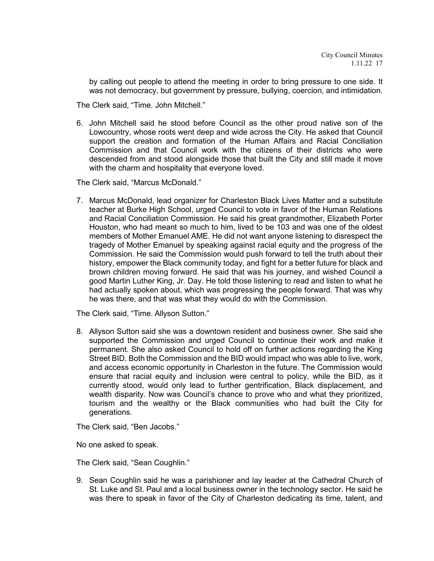by calling out people to attend the meeting in order to bring pressure to one side. It was not democracy, but government by pressure, bullying, coercion, and intimidation.

The Clerk said, "Time. John Mitchell."

6. John Mitchell said he stood before Council as the other proud native son of the Lowcountry, whose roots went deep and wide across the City. He asked that Council support the creation and formation of the Human Affairs and Racial Conciliation Commission and that Council work with the citizens of their districts who were descended from and stood alongside those that built the City and still made it move with the charm and hospitality that everyone loved.

The Clerk said, "Marcus McDonald."

7. Marcus McDonald, lead organizer for Charleston Black Lives Matter and a substitute teacher at Burke High School, urged Council to vote in favor of the Human Relations and Racial Conciliation Commission. He said his great grandmother, Elizabeth Porter Houston, who had meant so much to him, lived to be 103 and was one of the oldest members of Mother Emanuel AME. He did not want anyone listening to disrespect the tragedy of Mother Emanuel by speaking against racial equity and the progress of the Commission. He said the Commission would push forward to tell the truth about their history, empower the Black community today, and fight for a better future for black and brown children moving forward. He said that was his journey, and wished Council a good Martin Luther King, Jr. Day. He told those listening to read and listen to what he had actually spoken about, which was progressing the people forward. That was why he was there, and that was what they would do with the Commission.

The Clerk said, "Time. Allyson Sutton."

8. Allyson Sutton said she was a downtown resident and business owner. She said she supported the Commission and urged Council to continue their work and make it permanent. She also asked Council to hold off on further actions regarding the King Street BID. Both the Commission and the BID would impact who was able to live, work, and access economic opportunity in Charleston in the future. The Commission would ensure that racial equity and inclusion were central to policy, while the BID, as it currently stood, would only lead to further gentrification, Black displacement, and wealth disparity. Now was Council's chance to prove who and what they prioritized, tourism and the wealthy or the Black communities who had built the City for generations.

The Clerk said, "Ben Jacobs."

No one asked to speak.

The Clerk said, "Sean Coughlin."

9. Sean Coughlin said he was a parishioner and lay leader at the Cathedral Church of St. Luke and St. Paul and a local business owner in the technology sector. He said he was there to speak in favor of the City of Charleston dedicating its time, talent, and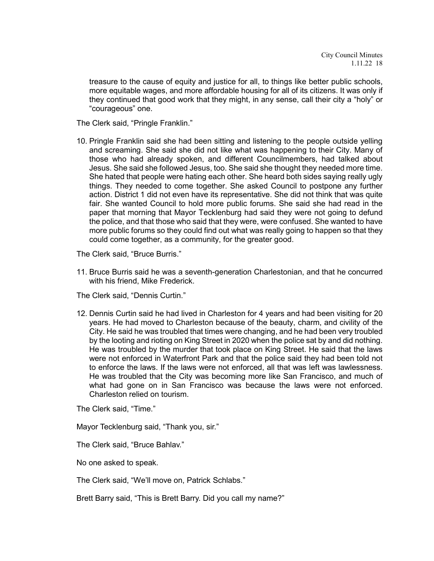treasure to the cause of equity and justice for all, to things like better public schools, more equitable wages, and more affordable housing for all of its citizens. It was only if they continued that good work that they might, in any sense, call their city a "holy" or "courageous" one.

The Clerk said, "Pringle Franklin."

10. Pringle Franklin said she had been sitting and listening to the people outside yelling and screaming. She said she did not like what was happening to their City. Many of those who had already spoken, and different Councilmembers, had talked about Jesus. She said she followed Jesus, too. She said she thought they needed more time. She hated that people were hating each other. She heard both sides saying really ugly things. They needed to come together. She asked Council to postpone any further action. District 1 did not even have its representative. She did not think that was quite fair. She wanted Council to hold more public forums. She said she had read in the paper that morning that Mayor Tecklenburg had said they were not going to defund the police, and that those who said that they were, were confused. She wanted to have more public forums so they could find out what was really going to happen so that they could come together, as a community, for the greater good.

The Clerk said, "Bruce Burris."

11. Bruce Burris said he was a seventh-generation Charlestonian, and that he concurred with his friend, Mike Frederick.

The Clerk said, "Dennis Curtin."

12. Dennis Curtin said he had lived in Charleston for 4 years and had been visiting for 20 years. He had moved to Charleston because of the beauty, charm, and civility of the City. He said he was troubled that times were changing, and he had been very troubled by the looting and rioting on King Street in 2020 when the police sat by and did nothing. He was troubled by the murder that took place on King Street. He said that the laws were not enforced in Waterfront Park and that the police said they had been told not to enforce the laws. If the laws were not enforced, all that was left was lawlessness. He was troubled that the City was becoming more like San Francisco, and much of what had gone on in San Francisco was because the laws were not enforced. Charleston relied on tourism.

The Clerk said, "Time."

Mayor Tecklenburg said, "Thank you, sir."

The Clerk said, "Bruce Bahlav."

No one asked to speak.

The Clerk said, "We'll move on, Patrick Schlabs."

Brett Barry said, "This is Brett Barry. Did you call my name?"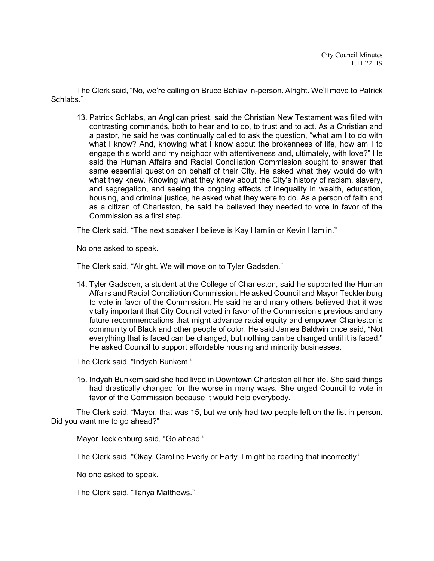The Clerk said, "No, we're calling on Bruce Bahlav in-person. Alright. We'll move to Patrick Schlabs."

13. Patrick Schlabs, an Anglican priest, said the Christian New Testament was filled with contrasting commands, both to hear and to do, to trust and to act. As a Christian and a pastor, he said he was continually called to ask the question, "what am I to do with what I know? And, knowing what I know about the brokenness of life, how am I to engage this world and my neighbor with attentiveness and, ultimately, with love?" He said the Human Affairs and Racial Conciliation Commission sought to answer that same essential question on behalf of their City. He asked what they would do with what they knew. Knowing what they knew about the City's history of racism, slavery, and segregation, and seeing the ongoing effects of inequality in wealth, education, housing, and criminal justice, he asked what they were to do. As a person of faith and as a citizen of Charleston, he said he believed they needed to vote in favor of the Commission as a first step.

The Clerk said, "The next speaker I believe is Kay Hamlin or Kevin Hamlin."

No one asked to speak.

The Clerk said, "Alright. We will move on to Tyler Gadsden."

14. Tyler Gadsden, a student at the College of Charleston, said he supported the Human Affairs and Racial Conciliation Commission. He asked Council and Mayor Tecklenburg to vote in favor of the Commission. He said he and many others believed that it was vitally important that City Council voted in favor of the Commission's previous and any future recommendations that might advance racial equity and empower Charleston's community of Black and other people of color. He said James Baldwin once said, "Not everything that is faced can be changed, but nothing can be changed until it is faced." He asked Council to support affordable housing and minority businesses.

The Clerk said, "Indyah Bunkem."

15. Indyah Bunkem said she had lived in Downtown Charleston all her life. She said things had drastically changed for the worse in many ways. She urged Council to vote in favor of the Commission because it would help everybody.

The Clerk said, "Mayor, that was 15, but we only had two people left on the list in person. Did you want me to go ahead?"

Mayor Tecklenburg said, "Go ahead."

The Clerk said, "Okay. Caroline Everly or Early. I might be reading that incorrectly."

No one asked to speak.

The Clerk said, "Tanya Matthews."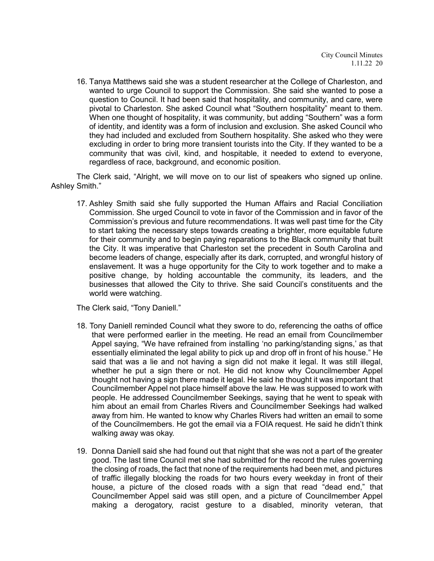16. Tanya Matthews said she was a student researcher at the College of Charleston, and wanted to urge Council to support the Commission. She said she wanted to pose a question to Council. It had been said that hospitality, and community, and care, were pivotal to Charleston. She asked Council what "Southern hospitality" meant to them. When one thought of hospitality, it was community, but adding "Southern" was a form of identity, and identity was a form of inclusion and exclusion. She asked Council who they had included and excluded from Southern hospitality. She asked who they were excluding in order to bring more transient tourists into the City. If they wanted to be a community that was civil, kind, and hospitable, it needed to extend to everyone, regardless of race, background, and economic position.

The Clerk said, "Alright, we will move on to our list of speakers who signed up online. Ashley Smith."

17. Ashley Smith said she fully supported the Human Affairs and Racial Conciliation Commission. She urged Council to vote in favor of the Commission and in favor of the Commission's previous and future recommendations. It was well past time for the City to start taking the necessary steps towards creating a brighter, more equitable future for their community and to begin paying reparations to the Black community that built the City. It was imperative that Charleston set the precedent in South Carolina and become leaders of change, especially after its dark, corrupted, and wrongful history of enslavement. It was a huge opportunity for the City to work together and to make a positive change, by holding accountable the community, its leaders, and the businesses that allowed the City to thrive. She said Council's constituents and the world were watching.

The Clerk said, "Tony Daniell."

- 18. Tony Daniell reminded Council what they swore to do, referencing the oaths of office that were performed earlier in the meeting. He read an email from Councilmember Appel saying, "We have refrained from installing 'no parking/standing signs,' as that essentially eliminated the legal ability to pick up and drop off in front of his house." He said that was a lie and not having a sign did not make it legal. It was still illegal, whether he put a sign there or not. He did not know why Councilmember Appel thought not having a sign there made it legal. He said he thought it was important that Councilmember Appel not place himself above the law. He was supposed to work with people. He addressed Councilmember Seekings, saying that he went to speak with him about an email from Charles Rivers and Councilmember Seekings had walked away from him. He wanted to know why Charles Rivers had written an email to some of the Councilmembers. He got the email via a FOIA request. He said he didn't think walking away was okay.
- 19. Donna Daniell said she had found out that night that she was not a part of the greater good. The last time Council met she had submitted for the record the rules governing the closing of roads, the fact that none of the requirements had been met, and pictures of traffic illegally blocking the roads for two hours every weekday in front of their house, a picture of the closed roads with a sign that read "dead end," that Councilmember Appel said was still open, and a picture of Councilmember Appel making a derogatory, racist gesture to a disabled, minority veteran, that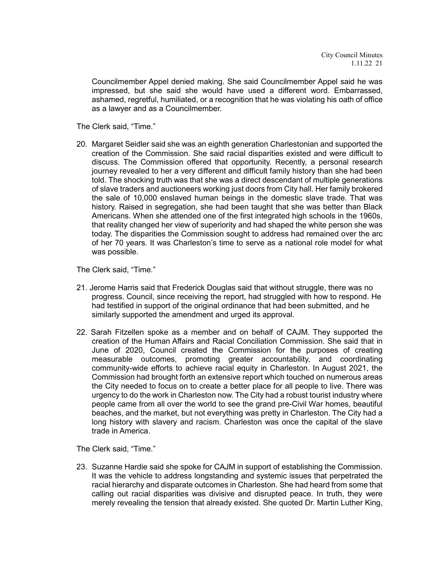Councilmember Appel denied making. She said Councilmember Appel said he was impressed, but she said she would have used a different word. Embarrassed, ashamed, regretful, humiliated, or a recognition that he was violating his oath of office as a lawyer and as a Councilmember.

The Clerk said, "Time."

20. Margaret Seidler said she was an eighth generation Charlestonian and supported the creation of the Commission. She said racial disparities existed and were difficult to discuss. The Commission offered that opportunity. Recently, a personal research journey revealed to her a very different and difficult family history than she had been told. The shocking truth was that she was a direct descendant of multiple generations of slave traders and auctioneers working just doors from City hall. Her family brokered the sale of 10,000 enslaved human beings in the domestic slave trade. That was history. Raised in segregation, she had been taught that she was better than Black Americans. When she attended one of the first integrated high schools in the 1960s, that reality changed her view of superiority and had shaped the white person she was today. The disparities the Commission sought to address had remained over the arc of her 70 years. It was Charleston's time to serve as a national role model for what was possible.

The Clerk said, "Time."

- 21. Jerome Harris said that Frederick Douglas said that without struggle, there was no progress. Council, since receiving the report, had struggled with how to respond. He had testified in support of the original ordinance that had been submitted, and he similarly supported the amendment and urged its approval.
- 22. Sarah Fitzellen spoke as a member and on behalf of CAJM. They supported the creation of the Human Affairs and Racial Conciliation Commission. She said that in June of 2020, Council created the Commission for the purposes of creating measurable outcomes, promoting greater accountability, and coordinating community-wide efforts to achieve racial equity in Charleston. In August 2021, the Commission had brought forth an extensive report which touched on numerous areas the City needed to focus on to create a better place for all people to live. There was urgency to do the work in Charleston now. The City had a robust tourist industry where people came from all over the world to see the grand pre-Civil War homes, beautiful beaches, and the market, but not everything was pretty in Charleston. The City had a long history with slavery and racism. Charleston was once the capital of the slave trade in America.

The Clerk said, "Time."

23. Suzanne Hardie said she spoke for CAJM in support of establishing the Commission. It was the vehicle to address longstanding and systemic issues that perpetrated the racial hierarchy and disparate outcomes in Charleston. She had heard from some that calling out racial disparities was divisive and disrupted peace. In truth, they were merely revealing the tension that already existed. She quoted Dr. Martin Luther King,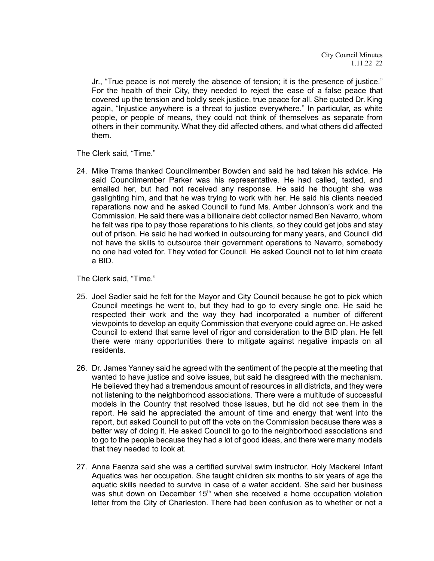Jr., "True peace is not merely the absence of tension; it is the presence of justice." For the health of their City, they needed to reject the ease of a false peace that covered up the tension and boldly seek justice, true peace for all. She quoted Dr. King again, "Injustice anywhere is a threat to justice everywhere." In particular, as white people, or people of means, they could not think of themselves as separate from others in their community. What they did affected others, and what others did affected them.

The Clerk said, "Time."

24. Mike Trama thanked Councilmember Bowden and said he had taken his advice. He said Councilmember Parker was his representative. He had called, texted, and emailed her, but had not received any response. He said he thought she was gaslighting him, and that he was trying to work with her. He said his clients needed reparations now and he asked Council to fund Ms. Amber Johnson's work and the Commission. He said there was a billionaire debt collector named Ben Navarro, whom he felt was ripe to pay those reparations to his clients, so they could get jobs and stay out of prison. He said he had worked in outsourcing for many years, and Council did not have the skills to outsource their government operations to Navarro, somebody no one had voted for. They voted for Council. He asked Council not to let him create a BID.

The Clerk said, "Time."

- 25. Joel Sadler said he felt for the Mayor and City Council because he got to pick which Council meetings he went to, but they had to go to every single one. He said he respected their work and the way they had incorporated a number of different viewpoints to develop an equity Commission that everyone could agree on. He asked Council to extend that same level of rigor and consideration to the BID plan. He felt there were many opportunities there to mitigate against negative impacts on all residents.
- 26. Dr. James Yanney said he agreed with the sentiment of the people at the meeting that wanted to have justice and solve issues, but said he disagreed with the mechanism. He believed they had a tremendous amount of resources in all districts, and they were not listening to the neighborhood associations. There were a multitude of successful models in the Country that resolved those issues, but he did not see them in the report. He said he appreciated the amount of time and energy that went into the report, but asked Council to put off the vote on the Commission because there was a better way of doing it. He asked Council to go to the neighborhood associations and to go to the people because they had a lot of good ideas, and there were many models that they needed to look at.
- 27. Anna Faenza said she was a certified survival swim instructor. Holy Mackerel Infant Aquatics was her occupation. She taught children six months to six years of age the aquatic skills needed to survive in case of a water accident. She said her business was shut down on December 15<sup>th</sup> when she received a home occupation violation letter from the City of Charleston. There had been confusion as to whether or not a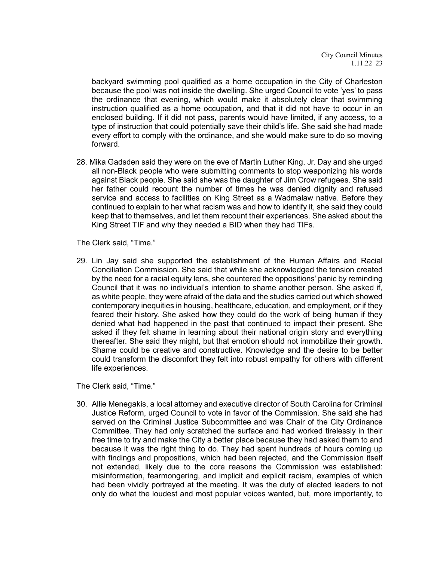backyard swimming pool qualified as a home occupation in the City of Charleston because the pool was not inside the dwelling. She urged Council to vote 'yes' to pass the ordinance that evening, which would make it absolutely clear that swimming instruction qualified as a home occupation, and that it did not have to occur in an enclosed building. If it did not pass, parents would have limited, if any access, to a type of instruction that could potentially save their child's life. She said she had made every effort to comply with the ordinance, and she would make sure to do so moving forward.

28. Mika Gadsden said they were on the eve of Martin Luther King, Jr. Day and she urged all non-Black people who were submitting comments to stop weaponizing his words against Black people. She said she was the daughter of Jim Crow refugees. She said her father could recount the number of times he was denied dignity and refused service and access to facilities on King Street as a Wadmalaw native. Before they continued to explain to her what racism was and how to identify it, she said they could keep that to themselves, and let them recount their experiences. She asked about the King Street TIF and why they needed a BID when they had TIFs.

The Clerk said, "Time."

29. Lin Jay said she supported the establishment of the Human Affairs and Racial Conciliation Commission. She said that while she acknowledged the tension created by the need for a racial equity lens, she countered the oppositions' panic by reminding Council that it was no individual's intention to shame another person. She asked if, as white people, they were afraid of the data and the studies carried out which showed contemporary inequities in housing, healthcare, education, and employment, or if they feared their history. She asked how they could do the work of being human if they denied what had happened in the past that continued to impact their present. She asked if they felt shame in learning about their national origin story and everything thereafter. She said they might, but that emotion should not immobilize their growth. Shame could be creative and constructive. Knowledge and the desire to be better could transform the discomfort they felt into robust empathy for others with different life experiences.

The Clerk said, "Time."

30. Allie Menegakis, a local attorney and executive director of South Carolina for Criminal Justice Reform, urged Council to vote in favor of the Commission. She said she had served on the Criminal Justice Subcommittee and was Chair of the City Ordinance Committee. They had only scratched the surface and had worked tirelessly in their free time to try and make the City a better place because they had asked them to and because it was the right thing to do. They had spent hundreds of hours coming up with findings and propositions, which had been rejected, and the Commission itself not extended, likely due to the core reasons the Commission was established: misinformation, fearmongering, and implicit and explicit racism, examples of which had been vividly portrayed at the meeting. It was the duty of elected leaders to not only do what the loudest and most popular voices wanted, but, more importantly, to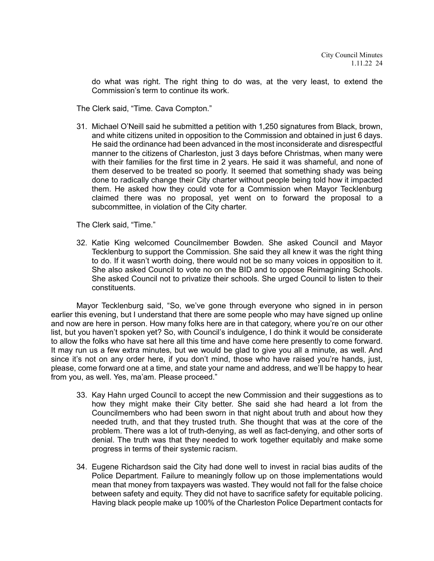do what was right. The right thing to do was, at the very least, to extend the Commission's term to continue its work.

The Clerk said, "Time. Cava Compton."

31. Michael O'Neill said he submitted a petition with 1,250 signatures from Black, brown, and white citizens united in opposition to the Commission and obtained in just 6 days. He said the ordinance had been advanced in the most inconsiderate and disrespectful manner to the citizens of Charleston, just 3 days before Christmas, when many were with their families for the first time in 2 years. He said it was shameful, and none of them deserved to be treated so poorly. It seemed that something shady was being done to radically change their City charter without people being told how it impacted them. He asked how they could vote for a Commission when Mayor Tecklenburg claimed there was no proposal, yet went on to forward the proposal to a subcommittee, in violation of the City charter.

The Clerk said, "Time."

32. Katie King welcomed Councilmember Bowden. She asked Council and Mayor Tecklenburg to support the Commission. She said they all knew it was the right thing to do. If it wasn't worth doing, there would not be so many voices in opposition to it. She also asked Council to vote no on the BID and to oppose Reimagining Schools. She asked Council not to privatize their schools. She urged Council to listen to their constituents.

Mayor Tecklenburg said, "So, we've gone through everyone who signed in in person earlier this evening, but I understand that there are some people who may have signed up online and now are here in person. How many folks here are in that category, where you're on our other list, but you haven't spoken yet? So, with Council's indulgence, I do think it would be considerate to allow the folks who have sat here all this time and have come here presently to come forward. It may run us a few extra minutes, but we would be glad to give you all a minute, as well. And since it's not on any order here, if you don't mind, those who have raised you're hands, just, please, come forward one at a time, and state your name and address, and we'll be happy to hear from you, as well. Yes, ma'am. Please proceed."

- 33. Kay Hahn urged Council to accept the new Commission and their suggestions as to how they might make their City better. She said she had heard a lot from the Councilmembers who had been sworn in that night about truth and about how they needed truth, and that they trusted truth. She thought that was at the core of the problem. There was a lot of truth-denying, as well as fact-denying, and other sorts of denial. The truth was that they needed to work together equitably and make some progress in terms of their systemic racism.
- 34. Eugene Richardson said the City had done well to invest in racial bias audits of the Police Department. Failure to meaningly follow up on those implementations would mean that money from taxpayers was wasted. They would not fall for the false choice between safety and equity. They did not have to sacrifice safety for equitable policing. Having black people make up 100% of the Charleston Police Department contacts for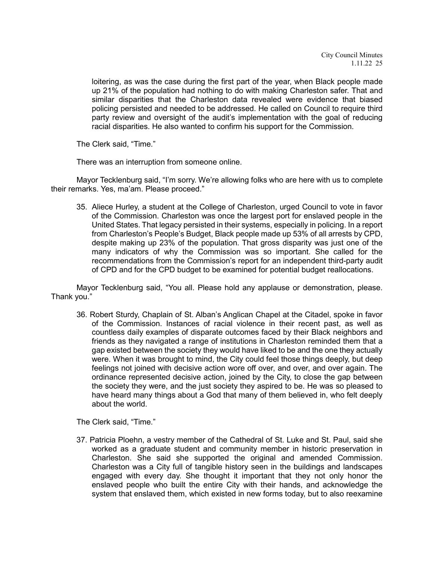loitering, as was the case during the first part of the year, when Black people made up 21% of the population had nothing to do with making Charleston safer. That and similar disparities that the Charleston data revealed were evidence that biased policing persisted and needed to be addressed. He called on Council to require third party review and oversight of the audit's implementation with the goal of reducing racial disparities. He also wanted to confirm his support for the Commission.

The Clerk said, "Time."

There was an interruption from someone online.

Mayor Tecklenburg said, "I'm sorry. We're allowing folks who are here with us to complete their remarks. Yes, ma'am. Please proceed."

35. Aliece Hurley, a student at the College of Charleston, urged Council to vote in favor of the Commission. Charleston was once the largest port for enslaved people in the United States. That legacy persisted in their systems, especially in policing. In a report from Charleston's People's Budget, Black people made up 53% of all arrests by CPD, despite making up 23% of the population. That gross disparity was just one of the many indicators of why the Commission was so important. She called for the recommendations from the Commission's report for an independent third-party audit of CPD and for the CPD budget to be examined for potential budget reallocations.

Mayor Tecklenburg said, "You all. Please hold any applause or demonstration, please. Thank you."

36. Robert Sturdy, Chaplain of St. Alban's Anglican Chapel at the Citadel, spoke in favor of the Commission. Instances of racial violence in their recent past, as well as countless daily examples of disparate outcomes faced by their Black neighbors and friends as they navigated a range of institutions in Charleston reminded them that a gap existed between the society they would have liked to be and the one they actually were. When it was brought to mind, the City could feel those things deeply, but deep feelings not joined with decisive action wore off over, and over, and over again. The ordinance represented decisive action, joined by the City, to close the gap between the society they were, and the just society they aspired to be. He was so pleased to have heard many things about a God that many of them believed in, who felt deeply about the world.

The Clerk said, "Time."

37. Patricia Ploehn, a vestry member of the Cathedral of St. Luke and St. Paul, said she worked as a graduate student and community member in historic preservation in Charleston. She said she supported the original and amended Commission. Charleston was a City full of tangible history seen in the buildings and landscapes engaged with every day. She thought it important that they not only honor the enslaved people who built the entire City with their hands, and acknowledge the system that enslaved them, which existed in new forms today, but to also reexamine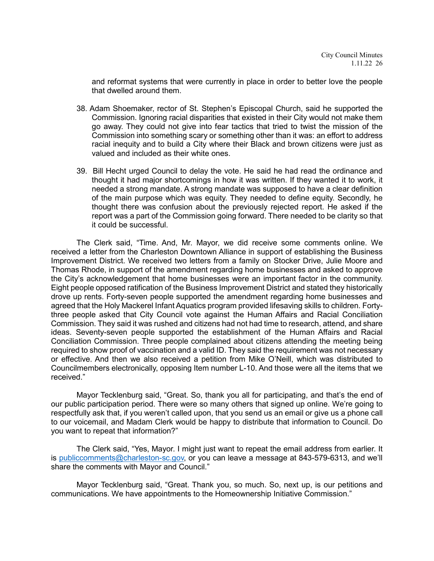and reformat systems that were currently in place in order to better love the people that dwelled around them.

- 38. Adam Shoemaker, rector of St. Stephen's Episcopal Church, said he supported the Commission. Ignoring racial disparities that existed in their City would not make them go away. They could not give into fear tactics that tried to twist the mission of the Commission into something scary or something other than it was: an effort to address racial inequity and to build a City where their Black and brown citizens were just as valued and included as their white ones.
- 39. Bill Hecht urged Council to delay the vote. He said he had read the ordinance and thought it had major shortcomings in how it was written. If they wanted it to work, it needed a strong mandate. A strong mandate was supposed to have a clear definition of the main purpose which was equity. They needed to define equity. Secondly, he thought there was confusion about the previously rejected report. He asked if the report was a part of the Commission going forward. There needed to be clarity so that it could be successful.

The Clerk said, "Time. And, Mr. Mayor, we did receive some comments online. We received a letter from the Charleston Downtown Alliance in support of establishing the Business Improvement District. We received two letters from a family on Stocker Drive, Julie Moore and Thomas Rhode, in support of the amendment regarding home businesses and asked to approve the City's acknowledgement that home businesses were an important factor in the community. Eight people opposed ratification of the Business Improvement District and stated they historically drove up rents. Forty-seven people supported the amendment regarding home businesses and agreed that the Holy Mackerel Infant Aquatics program provided lifesaving skills to children. Fortythree people asked that City Council vote against the Human Affairs and Racial Conciliation Commission. They said it was rushed and citizens had not had time to research, attend, and share ideas. Seventy-seven people supported the establishment of the Human Affairs and Racial Conciliation Commission. Three people complained about citizens attending the meeting being required to show proof of vaccination and a valid ID. They said the requirement was not necessary or effective. And then we also received a petition from Mike O'Neill, which was distributed to Councilmembers electronically, opposing Item number L-10. And those were all the items that we received."

Mayor Tecklenburg said, "Great. So, thank you all for participating, and that's the end of our public participation period. There were so many others that signed up online. We're going to respectfully ask that, if you weren't called upon, that you send us an email or give us a phone call to our voicemail, and Madam Clerk would be happy to distribute that information to Council. Do you want to repeat that information?"

The Clerk said, "Yes, Mayor. I might just want to repeat the email address from earlier. It is [publiccomments@charleston-sc.gov,](mailto:publiccomments@charleston-sc.gov) or you can leave a message at 843-579-6313, and we'll share the comments with Mayor and Council."

Mayor Tecklenburg said, "Great. Thank you, so much. So, next up, is our petitions and communications. We have appointments to the Homeownership Initiative Commission."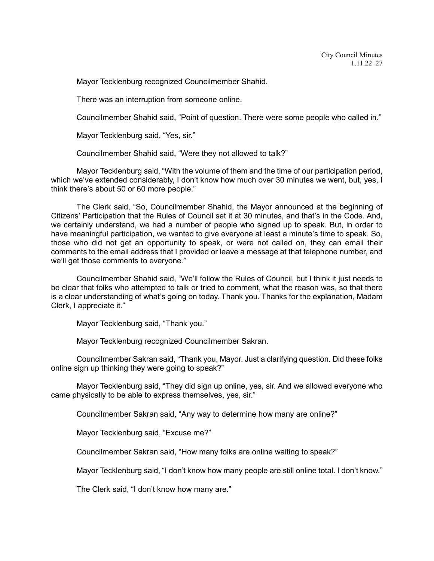Mayor Tecklenburg recognized Councilmember Shahid.

There was an interruption from someone online.

Councilmember Shahid said, "Point of question. There were some people who called in."

Mayor Tecklenburg said, "Yes, sir."

Councilmember Shahid said, "Were they not allowed to talk?"

Mayor Tecklenburg said, "With the volume of them and the time of our participation period, which we've extended considerably, I don't know how much over 30 minutes we went, but, yes, I think there's about 50 or 60 more people."

The Clerk said, "So, Councilmember Shahid, the Mayor announced at the beginning of Citizens' Participation that the Rules of Council set it at 30 minutes, and that's in the Code. And, we certainly understand, we had a number of people who signed up to speak. But, in order to have meaningful participation, we wanted to give everyone at least a minute's time to speak. So, those who did not get an opportunity to speak, or were not called on, they can email their comments to the email address that I provided or leave a message at that telephone number, and we'll get those comments to everyone."

Councilmember Shahid said, "We'll follow the Rules of Council, but I think it just needs to be clear that folks who attempted to talk or tried to comment, what the reason was, so that there is a clear understanding of what's going on today. Thank you. Thanks for the explanation, Madam Clerk, I appreciate it."

Mayor Tecklenburg said, "Thank you."

Mayor Tecklenburg recognized Councilmember Sakran.

Councilmember Sakran said, "Thank you, Mayor. Just a clarifying question. Did these folks online sign up thinking they were going to speak?"

Mayor Tecklenburg said, "They did sign up online, yes, sir. And we allowed everyone who came physically to be able to express themselves, yes, sir."

Councilmember Sakran said, "Any way to determine how many are online?"

Mayor Tecklenburg said, "Excuse me?"

Councilmember Sakran said, "How many folks are online waiting to speak?"

Mayor Tecklenburg said, "I don't know how many people are still online total. I don't know."

The Clerk said, "I don't know how many are."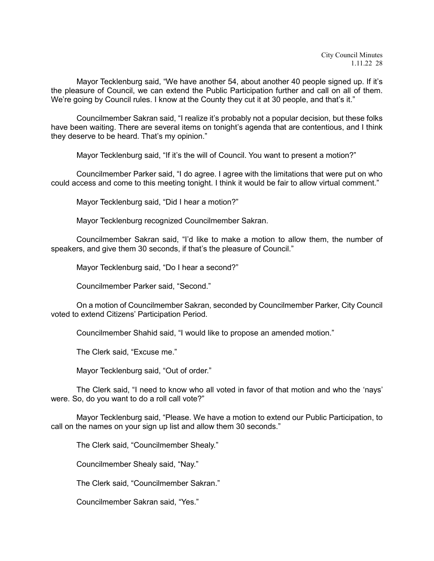Mayor Tecklenburg said, "We have another 54, about another 40 people signed up. If it's the pleasure of Council, we can extend the Public Participation further and call on all of them. We're going by Council rules. I know at the County they cut it at 30 people, and that's it."

Councilmember Sakran said, "I realize it's probably not a popular decision, but these folks have been waiting. There are several items on tonight's agenda that are contentious, and I think they deserve to be heard. That's my opinion."

Mayor Tecklenburg said, "If it's the will of Council. You want to present a motion?"

Councilmember Parker said, "I do agree. I agree with the limitations that were put on who could access and come to this meeting tonight. I think it would be fair to allow virtual comment."

Mayor Tecklenburg said, "Did I hear a motion?"

Mayor Tecklenburg recognized Councilmember Sakran.

Councilmember Sakran said, "I'd like to make a motion to allow them, the number of speakers, and give them 30 seconds, if that's the pleasure of Council."

Mayor Tecklenburg said, "Do I hear a second?"

Councilmember Parker said, "Second."

On a motion of Councilmember Sakran, seconded by Councilmember Parker, City Council voted to extend Citizens' Participation Period.

Councilmember Shahid said, "I would like to propose an amended motion."

The Clerk said, "Excuse me."

Mayor Tecklenburg said, "Out of order."

The Clerk said, "I need to know who all voted in favor of that motion and who the 'nays' were. So, do you want to do a roll call vote?"

Mayor Tecklenburg said, "Please. We have a motion to extend our Public Participation, to call on the names on your sign up list and allow them 30 seconds."

The Clerk said, "Councilmember Shealy."

Councilmember Shealy said, "Nay."

The Clerk said, "Councilmember Sakran."

Councilmember Sakran said, "Yes."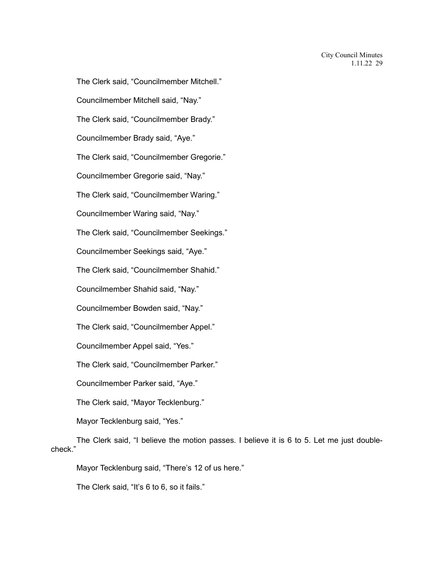The Clerk said, "Councilmember Mitchell." Councilmember Mitchell said, "Nay." The Clerk said, "Councilmember Brady." Councilmember Brady said, "Aye." The Clerk said, "Councilmember Gregorie." Councilmember Gregorie said, "Nay." The Clerk said, "Councilmember Waring." Councilmember Waring said, "Nay." The Clerk said, "Councilmember Seekings." Councilmember Seekings said, "Aye." The Clerk said, "Councilmember Shahid." Councilmember Shahid said, "Nay." Councilmember Bowden said, "Nay." The Clerk said, "Councilmember Appel." Councilmember Appel said, "Yes." The Clerk said, "Councilmember Parker." Councilmember Parker said, "Aye." The Clerk said, "Mayor Tecklenburg." Mayor Tecklenburg said, "Yes."

The Clerk said, "I believe the motion passes. I believe it is 6 to 5. Let me just doublecheck."

Mayor Tecklenburg said, "There's 12 of us here."

The Clerk said, "It's 6 to 6, so it fails."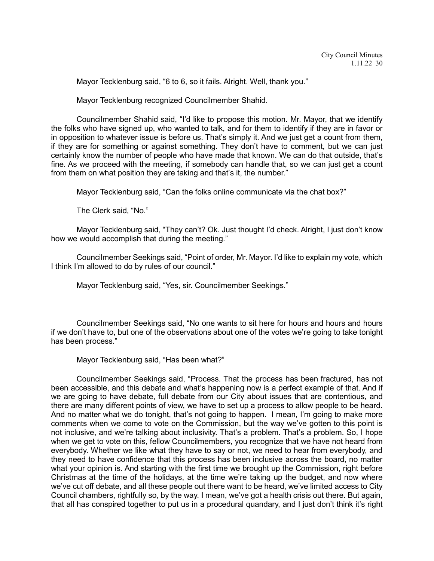Mayor Tecklenburg said, "6 to 6, so it fails. Alright. Well, thank you."

Mayor Tecklenburg recognized Councilmember Shahid.

Councilmember Shahid said, "I'd like to propose this motion. Mr. Mayor, that we identify the folks who have signed up, who wanted to talk, and for them to identify if they are in favor or in opposition to whatever issue is before us. That's simply it. And we just get a count from them, if they are for something or against something. They don't have to comment, but we can just certainly know the number of people who have made that known. We can do that outside, that's fine. As we proceed with the meeting, if somebody can handle that, so we can just get a count from them on what position they are taking and that's it, the number."

Mayor Tecklenburg said, "Can the folks online communicate via the chat box?"

The Clerk said, "No."

Mayor Tecklenburg said, "They can't? Ok. Just thought I'd check. Alright, I just don't know how we would accomplish that during the meeting."

Councilmember Seekings said, "Point of order, Mr. Mayor. I'd like to explain my vote, which I think I'm allowed to do by rules of our council."

Mayor Tecklenburg said, "Yes, sir. Councilmember Seekings."

Councilmember Seekings said, "No one wants to sit here for hours and hours and hours if we don't have to, but one of the observations about one of the votes we're going to take tonight has been process."

Mayor Tecklenburg said, "Has been what?"

Councilmember Seekings said, "Process. That the process has been fractured, has not been accessible, and this debate and what's happening now is a perfect example of that. And if we are going to have debate, full debate from our City about issues that are contentious, and there are many different points of view, we have to set up a process to allow people to be heard. And no matter what we do tonight, that's not going to happen. I mean, I'm going to make more comments when we come to vote on the Commission, but the way we've gotten to this point is not inclusive, and we're talking about inclusivity. That's a problem. That's a problem. So, I hope when we get to vote on this, fellow Councilmembers, you recognize that we have not heard from everybody. Whether we like what they have to say or not, we need to hear from everybody, and they need to have confidence that this process has been inclusive across the board, no matter what your opinion is. And starting with the first time we brought up the Commission, right before Christmas at the time of the holidays, at the time we're taking up the budget, and now where we've cut off debate, and all these people out there want to be heard, we've limited access to City Council chambers, rightfully so, by the way. I mean, we've got a health crisis out there. But again, that all has conspired together to put us in a procedural quandary, and I just don't think it's right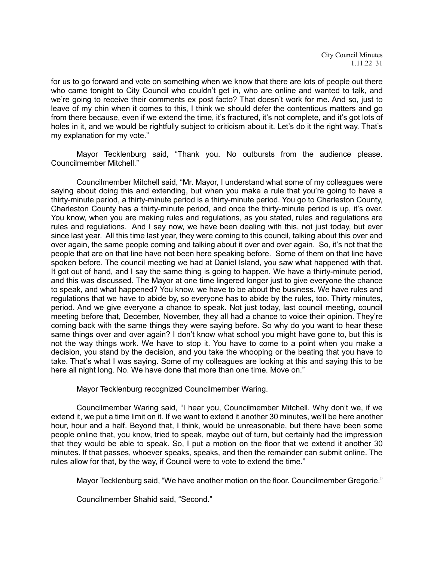for us to go forward and vote on something when we know that there are lots of people out there who came tonight to City Council who couldn't get in, who are online and wanted to talk, and we're going to receive their comments ex post facto? That doesn't work for me. And so, just to leave of my chin when it comes to this, I think we should defer the contentious matters and go from there because, even if we extend the time, it's fractured, it's not complete, and it's got lots of holes in it, and we would be rightfully subject to criticism about it. Let's do it the right way. That's my explanation for my vote."

Mayor Tecklenburg said, "Thank you. No outbursts from the audience please. Councilmember Mitchell."

Councilmember Mitchell said, "Mr. Mayor, I understand what some of my colleagues were saying about doing this and extending, but when you make a rule that you're going to have a thirty-minute period, a thirty-minute period is a thirty-minute period. You go to Charleston County, Charleston County has a thirty-minute period, and once the thirty-minute period is up, it's over. You know, when you are making rules and regulations, as you stated, rules and regulations are rules and regulations. And I say now, we have been dealing with this, not just today, but ever since last year. All this time last year, they were coming to this council, talking about this over and over again, the same people coming and talking about it over and over again. So, it's not that the people that are on that line have not been here speaking before. Some of them on that line have spoken before. The council meeting we had at Daniel Island, you saw what happened with that. It got out of hand, and I say the same thing is going to happen. We have a thirty-minute period, and this was discussed. The Mayor at one time lingered longer just to give everyone the chance to speak, and what happened? You know, we have to be about the business. We have rules and regulations that we have to abide by, so everyone has to abide by the rules, too. Thirty minutes, period. And we give everyone a chance to speak. Not just today, last council meeting, council meeting before that, December, November, they all had a chance to voice their opinion. They're coming back with the same things they were saying before. So why do you want to hear these same things over and over again? I don't know what school you might have gone to, but this is not the way things work. We have to stop it. You have to come to a point when you make a decision, you stand by the decision, and you take the whooping or the beating that you have to take. That's what I was saying. Some of my colleagues are looking at this and saying this to be here all night long. No. We have done that more than one time. Move on."

Mayor Tecklenburg recognized Councilmember Waring.

Councilmember Waring said, "I hear you, Councilmember Mitchell. Why don't we, if we extend it, we put a time limit on it. If we want to extend it another 30 minutes, we'll be here another hour, hour and a half. Beyond that, I think, would be unreasonable, but there have been some people online that, you know, tried to speak, maybe out of turn, but certainly had the impression that they would be able to speak. So, I put a motion on the floor that we extend it another 30 minutes. If that passes, whoever speaks, speaks, and then the remainder can submit online. The rules allow for that, by the way, if Council were to vote to extend the time."

Mayor Tecklenburg said, "We have another motion on the floor. Councilmember Gregorie."

Councilmember Shahid said, "Second."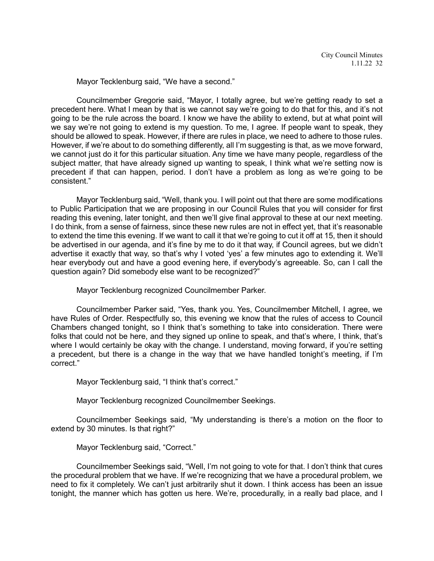Mayor Tecklenburg said, "We have a second."

Councilmember Gregorie said, "Mayor, I totally agree, but we're getting ready to set a precedent here. What I mean by that is we cannot say we're going to do that for this, and it's not going to be the rule across the board. I know we have the ability to extend, but at what point will we say we're not going to extend is my question. To me, I agree. If people want to speak, they should be allowed to speak. However, if there are rules in place, we need to adhere to those rules. However, if we're about to do something differently, all I'm suggesting is that, as we move forward, we cannot just do it for this particular situation. Any time we have many people, regardless of the subject matter, that have already signed up wanting to speak, I think what we're setting now is precedent if that can happen, period. I don't have a problem as long as we're going to be consistent."

Mayor Tecklenburg said, "Well, thank you. I will point out that there are some modifications to Public Participation that we are proposing in our Council Rules that you will consider for first reading this evening, later tonight, and then we'll give final approval to these at our next meeting. I do think, from a sense of fairness, since these new rules are not in effect yet, that it's reasonable to extend the time this evening. If we want to call it that we're going to cut it off at 15, then it should be advertised in our agenda, and it's fine by me to do it that way, if Council agrees, but we didn't advertise it exactly that way, so that's why I voted 'yes' a few minutes ago to extending it. We'll hear everybody out and have a good evening here, if everybody's agreeable. So, can I call the question again? Did somebody else want to be recognized?"

Mayor Tecklenburg recognized Councilmember Parker.

Councilmember Parker said, "Yes, thank you. Yes, Councilmember Mitchell, I agree, we have Rules of Order. Respectfully so, this evening we know that the rules of access to Council Chambers changed tonight, so I think that's something to take into consideration. There were folks that could not be here, and they signed up online to speak, and that's where, I think, that's where I would certainly be okay with the change. I understand, moving forward, if you're setting a precedent, but there is a change in the way that we have handled tonight's meeting, if I'm correct."

Mayor Tecklenburg said, "I think that's correct."

Mayor Tecklenburg recognized Councilmember Seekings.

Councilmember Seekings said, "My understanding is there's a motion on the floor to extend by 30 minutes. Is that right?"

Mayor Tecklenburg said, "Correct."

Councilmember Seekings said, "Well, I'm not going to vote for that. I don't think that cures the procedural problem that we have. If we're recognizing that we have a procedural problem, we need to fix it completely. We can't just arbitrarily shut it down. I think access has been an issue tonight, the manner which has gotten us here. We're, procedurally, in a really bad place, and I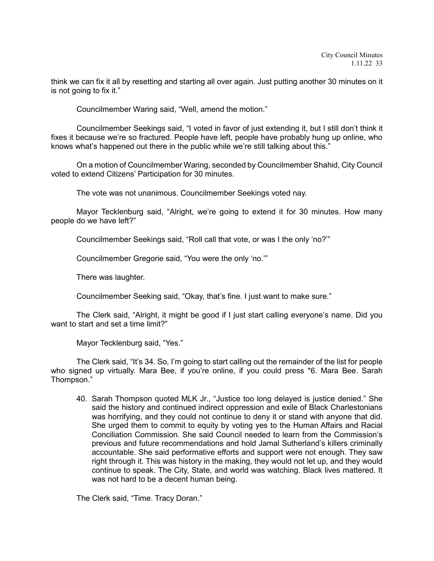think we can fix it all by resetting and starting all over again. Just putting another 30 minutes on it is not going to fix it."

Councilmember Waring said, "Well, amend the motion."

Councilmember Seekings said, "I voted in favor of just extending it, but I still don't think it fixes it because we're so fractured. People have left, people have probably hung up online, who knows what's happened out there in the public while we're still talking about this."

On a motion of Councilmember Waring, seconded by Councilmember Shahid, City Council voted to extend Citizens' Participation for 30 minutes.

The vote was not unanimous. Councilmember Seekings voted nay.

Mayor Tecklenburg said, "Alright, we're going to extend it for 30 minutes. How many people do we have left?"

Councilmember Seekings said, "Roll call that vote, or was I the only 'no?'"

Councilmember Gregorie said, "You were the only 'no.'"

There was laughter.

Councilmember Seeking said, "Okay, that's fine. I just want to make sure."

The Clerk said, "Alright, it might be good if I just start calling everyone's name. Did you want to start and set a time limit?"

Mayor Tecklenburg said, "Yes."

The Clerk said, "It's 34. So, I'm going to start calling out the remainder of the list for people who signed up virtually. Mara Bee, if you're online, if you could press \*6. Mara Bee. Sarah Thompson."

40. Sarah Thompson quoted MLK Jr., "Justice too long delayed is justice denied." She said the history and continued indirect oppression and exile of Black Charlestonians was horrifying, and they could not continue to deny it or stand with anyone that did. She urged them to commit to equity by voting yes to the Human Affairs and Racial Conciliation Commission. She said Council needed to learn from the Commission's previous and future recommendations and hold Jamal Sutherland's killers criminally accountable. She said performative efforts and support were not enough. They saw right through it. This was history in the making, they would not let up, and they would continue to speak. The City, State, and world was watching. Black lives mattered. It was not hard to be a decent human being.

The Clerk said, "Time. Tracy Doran."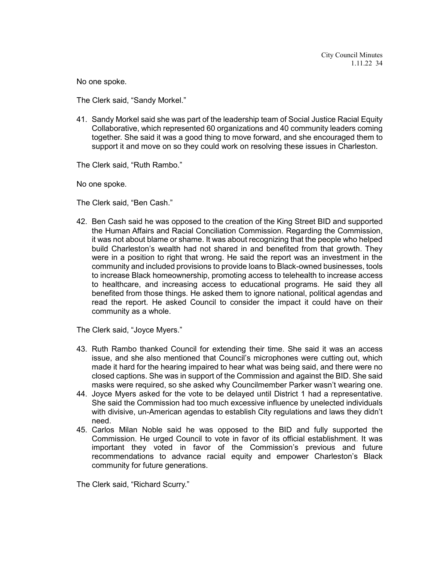No one spoke.

The Clerk said, "Sandy Morkel."

41. Sandy Morkel said she was part of the leadership team of Social Justice Racial Equity Collaborative, which represented 60 organizations and 40 community leaders coming together. She said it was a good thing to move forward, and she encouraged them to support it and move on so they could work on resolving these issues in Charleston.

The Clerk said, "Ruth Rambo."

No one spoke.

The Clerk said, "Ben Cash."

42. Ben Cash said he was opposed to the creation of the King Street BID and supported the Human Affairs and Racial Conciliation Commission. Regarding the Commission, it was not about blame or shame. It was about recognizing that the people who helped build Charleston's wealth had not shared in and benefited from that growth. They were in a position to right that wrong. He said the report was an investment in the community and included provisions to provide loans to Black-owned businesses, tools to increase Black homeownership, promoting access to telehealth to increase access to healthcare, and increasing access to educational programs. He said they all benefited from those things. He asked them to ignore national, political agendas and read the report. He asked Council to consider the impact it could have on their community as a whole.

The Clerk said, "Joyce Myers."

- 43. Ruth Rambo thanked Council for extending their time. She said it was an access issue, and she also mentioned that Council's microphones were cutting out, which made it hard for the hearing impaired to hear what was being said, and there were no closed captions. She was in support of the Commission and against the BID. She said masks were required, so she asked why Councilmember Parker wasn't wearing one.
- 44. Joyce Myers asked for the vote to be delayed until District 1 had a representative. She said the Commission had too much excessive influence by unelected individuals with divisive, un-American agendas to establish City regulations and laws they didn't need.
- 45. Carlos Milan Noble said he was opposed to the BID and fully supported the Commission. He urged Council to vote in favor of its official establishment. It was important they voted in favor of the Commission's previous and future recommendations to advance racial equity and empower Charleston's Black community for future generations.

The Clerk said, "Richard Scurry."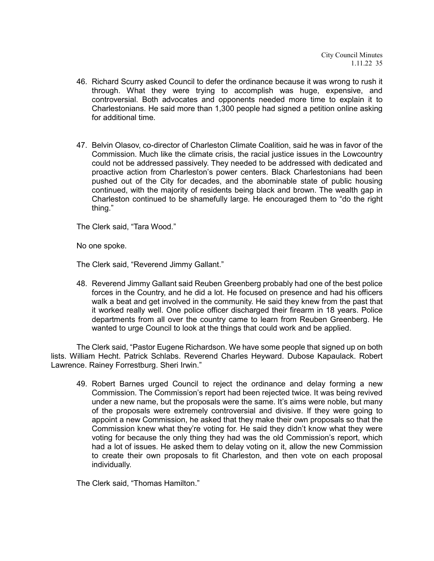- 46. Richard Scurry asked Council to defer the ordinance because it was wrong to rush it through. What they were trying to accomplish was huge, expensive, and controversial. Both advocates and opponents needed more time to explain it to Charlestonians. He said more than 1,300 people had signed a petition online asking for additional time.
- 47. Belvin Olasov, co-director of Charleston Climate Coalition, said he was in favor of the Commission. Much like the climate crisis, the racial justice issues in the Lowcountry could not be addressed passively. They needed to be addressed with dedicated and proactive action from Charleston's power centers. Black Charlestonians had been pushed out of the City for decades, and the abominable state of public housing continued, with the majority of residents being black and brown. The wealth gap in Charleston continued to be shamefully large. He encouraged them to "do the right thing."

The Clerk said, "Tara Wood."

No one spoke.

The Clerk said, "Reverend Jimmy Gallant."

48. Reverend Jimmy Gallant said Reuben Greenberg probably had one of the best police forces in the Country, and he did a lot. He focused on presence and had his officers walk a beat and get involved in the community. He said they knew from the past that it worked really well. One police officer discharged their firearm in 18 years. Police departments from all over the country came to learn from Reuben Greenberg. He wanted to urge Council to look at the things that could work and be applied.

The Clerk said, "Pastor Eugene Richardson. We have some people that signed up on both lists. William Hecht. Patrick Schlabs. Reverend Charles Heyward. Dubose Kapaulack. Robert Lawrence. Rainey Forrestburg. Sheri Irwin."

49. Robert Barnes urged Council to reject the ordinance and delay forming a new Commission. The Commission's report had been rejected twice. It was being revived under a new name, but the proposals were the same. It's aims were noble, but many of the proposals were extremely controversial and divisive. If they were going to appoint a new Commission, he asked that they make their own proposals so that the Commission knew what they're voting for. He said they didn't know what they were voting for because the only thing they had was the old Commission's report, which had a lot of issues. He asked them to delay voting on it, allow the new Commission to create their own proposals to fit Charleston, and then vote on each proposal individually.

The Clerk said, "Thomas Hamilton."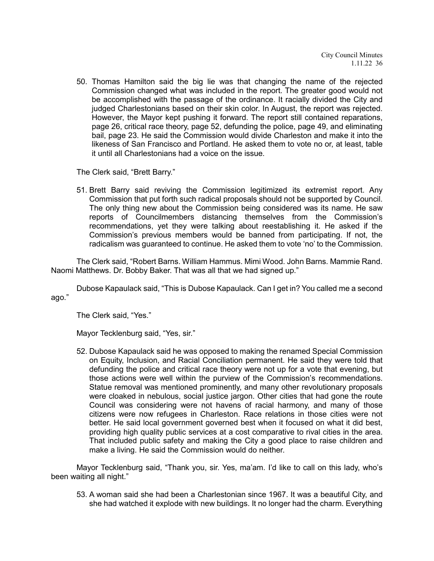50. Thomas Hamilton said the big lie was that changing the name of the rejected Commission changed what was included in the report. The greater good would not be accomplished with the passage of the ordinance. It racially divided the City and judged Charlestonians based on their skin color. In August, the report was rejected. However, the Mayor kept pushing it forward. The report still contained reparations, page 26, critical race theory, page 52, defunding the police, page 49, and eliminating bail, page 23. He said the Commission would divide Charleston and make it into the likeness of San Francisco and Portland. He asked them to vote no or, at least, table it until all Charlestonians had a voice on the issue.

The Clerk said, "Brett Barry."

51. Brett Barry said reviving the Commission legitimized its extremist report. Any Commission that put forth such radical proposals should not be supported by Council. The only thing new about the Commission being considered was its name. He saw reports of Councilmembers distancing themselves from the Commission's recommendations, yet they were talking about reestablishing it. He asked if the Commission's previous members would be banned from participating. If not, the radicalism was guaranteed to continue. He asked them to vote 'no' to the Commission.

The Clerk said, "Robert Barns. William Hammus. Mimi Wood. John Barns. Mammie Rand. Naomi Matthews. Dr. Bobby Baker. That was all that we had signed up."

Dubose Kapaulack said, "This is Dubose Kapaulack. Can I get in? You called me a second ago."

The Clerk said, "Yes."

Mayor Tecklenburg said, "Yes, sir."

52. Dubose Kapaulack said he was opposed to making the renamed Special Commission on Equity, Inclusion, and Racial Conciliation permanent. He said they were told that defunding the police and critical race theory were not up for a vote that evening, but those actions were well within the purview of the Commission's recommendations. Statue removal was mentioned prominently, and many other revolutionary proposals were cloaked in nebulous, social justice jargon. Other cities that had gone the route Council was considering were not havens of racial harmony, and many of those citizens were now refugees in Charleston. Race relations in those cities were not better. He said local government governed best when it focused on what it did best, providing high quality public services at a cost comparative to rival cities in the area. That included public safety and making the City a good place to raise children and make a living. He said the Commission would do neither.

Mayor Tecklenburg said, "Thank you, sir. Yes, ma'am. I'd like to call on this lady, who's been waiting all night."

53. A woman said she had been a Charlestonian since 1967. It was a beautiful City, and she had watched it explode with new buildings. It no longer had the charm. Everything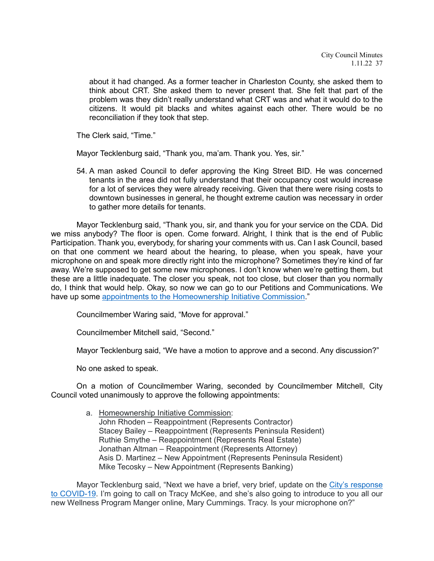about it had changed. As a former teacher in Charleston County, she asked them to think about CRT. She asked them to never present that. She felt that part of the problem was they didn't really understand what CRT was and what it would do to the citizens. It would pit blacks and whites against each other. There would be no reconciliation if they took that step.

The Clerk said, "Time."

Mayor Tecklenburg said, "Thank you, ma'am. Thank you. Yes, sir."

54. A man asked Council to defer approving the King Street BID. He was concerned tenants in the area did not fully understand that their occupancy cost would increase for a lot of services they were already receiving. Given that there were rising costs to downtown businesses in general, he thought extreme caution was necessary in order to gather more details for tenants.

Mayor Tecklenburg said, "Thank you, sir, and thank you for your service on the CDA. Did we miss anybody? The floor is open. Come forward. Alright, I think that is the end of Public Participation. Thank you, everybody, for sharing your comments with us. Can I ask Council, based on that one comment we heard about the hearing, to please, when you speak, have your microphone on and speak more directly right into the microphone? Sometimes they're kind of far away. We're supposed to get some new microphones. I don't know when we're getting them, but these are a little inadequate. The closer you speak, not too close, but closer than you normally do, I think that would help. Okay, so now we can go to our Petitions and Communications. We have up some appointments [to the Homeownership](https://youtu.be/1OKJt5vHvHk?t=9089) Initiative Commission."

Councilmember Waring said, "Move for approval."

Councilmember Mitchell said, "Second."

Mayor Tecklenburg said, "We have a motion to approve and a second. Any discussion?"

No one asked to speak.

On a motion of Councilmember Waring, seconded by Councilmember Mitchell, City Council voted unanimously to approve the following appointments:

> a. Homeownership Initiative Commission: John Rhoden – Reappointment (Represents Contractor) Stacey Bailey – Reappointment (Represents Peninsula Resident) Ruthie Smythe – Reappointment (Represents Real Estate) Jonathan Altman – Reappointment (Represents Attorney) Asis D. Martinez – New Appointment (Represents Peninsula Resident) Mike Tecosky – New Appointment (Represents Banking)

Mayor Tecklenburg said, "Next we have a brief, very brief, update on the [City's response](https://youtu.be/1OKJt5vHvHk?t=9103)  [to COVID-19.](https://youtu.be/1OKJt5vHvHk?t=9103) I'm going to call on Tracy McKee, and she's also going to introduce to you all our new Wellness Program Manger online, Mary Cummings. Tracy. Is your microphone on?"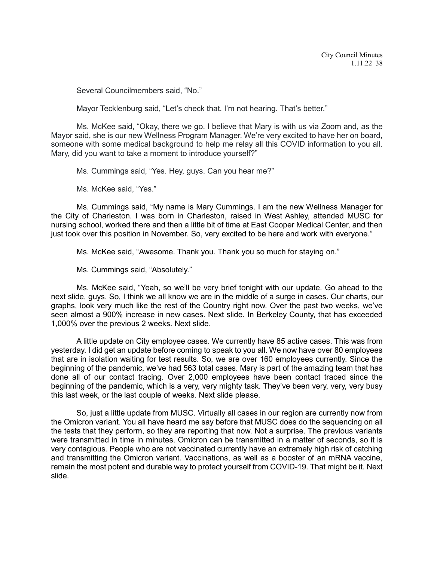Several Councilmembers said, "No."

Mayor Tecklenburg said, "Let's check that. I'm not hearing. That's better."

Ms. McKee said, "Okay, there we go. I believe that Mary is with us via Zoom and, as the Mayor said, she is our new Wellness Program Manager. We're very excited to have her on board, someone with some medical background to help me relay all this COVID information to you all. Mary, did you want to take a moment to introduce yourself?"

Ms. Cummings said, "Yes. Hey, guys. Can you hear me?"

Ms. McKee said, "Yes."

Ms. Cummings said, "My name is Mary Cummings. I am the new Wellness Manager for the City of Charleston. I was born in Charleston, raised in West Ashley, attended MUSC for nursing school, worked there and then a little bit of time at East Cooper Medical Center, and then just took over this position in November. So, very excited to be here and work with everyone."

Ms. McKee said, "Awesome. Thank you. Thank you so much for staying on."

Ms. Cummings said, "Absolutely."

Ms. McKee said, "Yeah, so we'll be very brief tonight with our update. Go ahead to the next slide, guys. So, I think we all know we are in the middle of a surge in cases. Our charts, our graphs, look very much like the rest of the Country right now. Over the past two weeks, we've seen almost a 900% increase in new cases. Next slide. In Berkeley County, that has exceeded 1,000% over the previous 2 weeks. Next slide.

A little update on City employee cases. We currently have 85 active cases. This was from yesterday. I did get an update before coming to speak to you all. We now have over 80 employees that are in isolation waiting for test results. So, we are over 160 employees currently. Since the beginning of the pandemic, we've had 563 total cases. Mary is part of the amazing team that has done all of our contact tracing. Over 2,000 employees have been contact traced since the beginning of the pandemic, which is a very, very mighty task. They've been very, very, very busy this last week, or the last couple of weeks. Next slide please.

So, just a little update from MUSC. Virtually all cases in our region are currently now from the Omicron variant. You all have heard me say before that MUSC does do the sequencing on all the tests that they perform, so they are reporting that now. Not a surprise. The previous variants were transmitted in time in minutes. Omicron can be transmitted in a matter of seconds, so it is very contagious. People who are not vaccinated currently have an extremely high risk of catching and transmitting the Omicron variant. Vaccinations, as well as a booster of an mRNA vaccine, remain the most potent and durable way to protect yourself from COVID-19. That might be it. Next slide.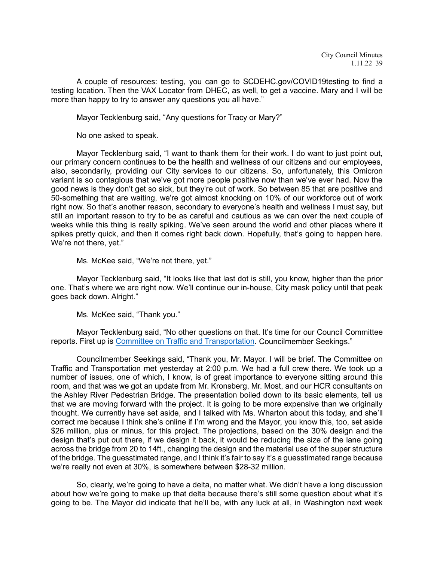A couple of resources: testing, you can go to SCDEHC.gov/COVID19testing to find a testing location. Then the VAX Locator from DHEC, as well, to get a vaccine. Mary and I will be more than happy to try to answer any questions you all have."

Mayor Tecklenburg said, "Any questions for Tracy or Mary?"

No one asked to speak.

Mayor Tecklenburg said, "I want to thank them for their work. I do want to just point out, our primary concern continues to be the health and wellness of our citizens and our employees, also, secondarily, providing our City services to our citizens. So, unfortunately, this Omicron variant is so contagious that we've got more people positive now than we've ever had. Now the good news is they don't get so sick, but they're out of work. So between 85 that are positive and 50-something that are waiting, we're got almost knocking on 10% of our workforce out of work right now. So that's another reason, secondary to everyone's health and wellness I must say, but still an important reason to try to be as careful and cautious as we can over the next couple of weeks while this thing is really spiking. We've seen around the world and other places where it spikes pretty quick, and then it comes right back down. Hopefully, that's going to happen here. We're not there, yet."

Ms. McKee said, "We're not there, yet."

Mayor Tecklenburg said, "It looks like that last dot is still, you know, higher than the prior one. That's where we are right now. We'll continue our in-house, City mask policy until that peak goes back down. Alright."

Ms. McKee said, "Thank you."

Mayor Tecklenburg said, "No other questions on that. It's time for our Council Committee reports. First up is [Committee on Traffic and Transportation.](https://youtu.be/1OKJt5vHvHk?t=9443) Councilmember Seekings."

Councilmember Seekings said, "Thank you, Mr. Mayor. I will be brief. The Committee on Traffic and Transportation met yesterday at 2:00 p.m. We had a full crew there. We took up a number of issues, one of which, I know, is of great importance to everyone sitting around this room, and that was we got an update from Mr. Kronsberg, Mr. Most, and our HCR consultants on the Ashley River Pedestrian Bridge. The presentation boiled down to its basic elements, tell us that we are moving forward with the project. It is going to be more expensive than we originally thought. We currently have set aside, and I talked with Ms. Wharton about this today, and she'll correct me because I think she's online if I'm wrong and the Mayor, you know this, too, set aside \$26 million, plus or minus, for this project. The projections, based on the 30% design and the design that's put out there, if we design it back, it would be reducing the size of the lane going across the bridge from 20 to 14ft., changing the design and the material use of the super structure of the bridge. The guesstimated range, and I think it's fair to say it's a guesstimated range because we're really not even at 30%, is somewhere between \$28-32 million.

So, clearly, we're going to have a delta, no matter what. We didn't have a long discussion about how we're going to make up that delta because there's still some question about what it's going to be. The Mayor did indicate that he'll be, with any luck at all, in Washington next week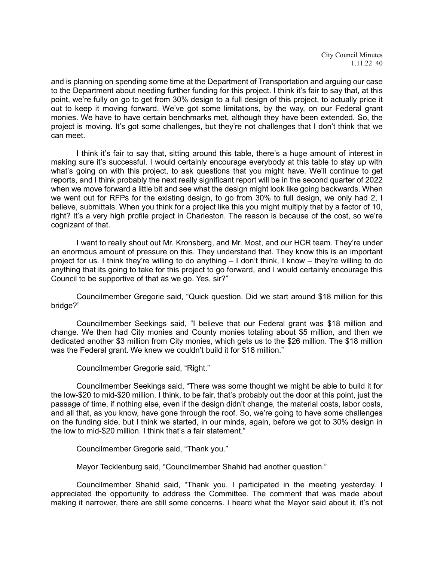and is planning on spending some time at the Department of Transportation and arguing our case to the Department about needing further funding for this project. I think it's fair to say that, at this point, we're fully on go to get from 30% design to a full design of this project, to actually price it out to keep it moving forward. We've got some limitations, by the way, on our Federal grant monies. We have to have certain benchmarks met, although they have been extended. So, the project is moving. It's got some challenges, but they're not challenges that I don't think that we can meet.

I think it's fair to say that, sitting around this table, there's a huge amount of interest in making sure it's successful. I would certainly encourage everybody at this table to stay up with what's going on with this project, to ask questions that you might have. We'll continue to get reports, and I think probably the next really significant report will be in the second quarter of 2022 when we move forward a little bit and see what the design might look like going backwards. When we went out for RFPs for the existing design, to go from 30% to full design, we only had 2, I believe, submittals. When you think for a project like this you might multiply that by a factor of 10, right? It's a very high profile project in Charleston. The reason is because of the cost, so we're cognizant of that.

I want to really shout out Mr. Kronsberg, and Mr. Most, and our HCR team. They're under an enormous amount of pressure on this. They understand that. They know this is an important project for us. I think they're willing to do anything – I don't think, I know – they're willing to do anything that its going to take for this project to go forward, and I would certainly encourage this Council to be supportive of that as we go. Yes, sir?"

Councilmember Gregorie said, "Quick question. Did we start around \$18 million for this bridge?"

Councilmember Seekings said, "I believe that our Federal grant was \$18 million and change. We then had City monies and County monies totaling about \$5 million, and then we dedicated another \$3 million from City monies, which gets us to the \$26 million. The \$18 million was the Federal grant. We knew we couldn't build it for \$18 million."

Councilmember Gregorie said, "Right."

Councilmember Seekings said, "There was some thought we might be able to build it for the low-\$20 to mid-\$20 million. I think, to be fair, that's probably out the door at this point, just the passage of time, if nothing else, even if the design didn't change, the material costs, labor costs, and all that, as you know, have gone through the roof. So, we're going to have some challenges on the funding side, but I think we started, in our minds, again, before we got to 30% design in the low to mid-\$20 million. I think that's a fair statement."

Councilmember Gregorie said, "Thank you."

Mayor Tecklenburg said, "Councilmember Shahid had another question."

Councilmember Shahid said, "Thank you. I participated in the meeting yesterday. I appreciated the opportunity to address the Committee. The comment that was made about making it narrower, there are still some concerns. I heard what the Mayor said about it, it's not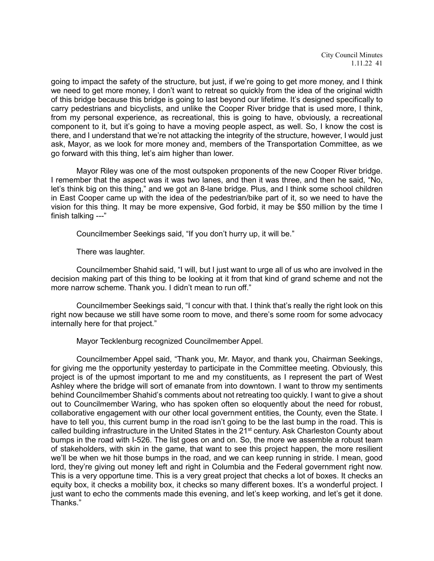going to impact the safety of the structure, but just, if we're going to get more money, and I think we need to get more money, I don't want to retreat so quickly from the idea of the original width of this bridge because this bridge is going to last beyond our lifetime. It's designed specifically to carry pedestrians and bicyclists, and unlike the Cooper River bridge that is used more, I think, from my personal experience, as recreational, this is going to have, obviously, a recreational component to it, but it's going to have a moving people aspect, as well. So, I know the cost is there, and I understand that we're not attacking the integrity of the structure, however, I would just ask, Mayor, as we look for more money and, members of the Transportation Committee, as we go forward with this thing, let's aim higher than lower.

Mayor Riley was one of the most outspoken proponents of the new Cooper River bridge. I remember that the aspect was it was two lanes, and then it was three, and then he said, "No, let's think big on this thing," and we got an 8-lane bridge. Plus, and I think some school children in East Cooper came up with the idea of the pedestrian/bike part of it, so we need to have the vision for this thing. It may be more expensive, God forbid, it may be \$50 million by the time I finish talking ---"

Councilmember Seekings said, "If you don't hurry up, it will be."

There was laughter.

Councilmember Shahid said, "I will, but I just want to urge all of us who are involved in the decision making part of this thing to be looking at it from that kind of grand scheme and not the more narrow scheme. Thank you. I didn't mean to run off."

Councilmember Seekings said, "I concur with that. I think that's really the right look on this right now because we still have some room to move, and there's some room for some advocacy internally here for that project."

Mayor Tecklenburg recognized Councilmember Appel.

Councilmember Appel said, "Thank you, Mr. Mayor, and thank you, Chairman Seekings, for giving me the opportunity yesterday to participate in the Committee meeting. Obviously, this project is of the upmost important to me and my constituents, as I represent the part of West Ashley where the bridge will sort of emanate from into downtown. I want to throw my sentiments behind Councilmember Shahid's comments about not retreating too quickly. I want to give a shout out to Councilmember Waring, who has spoken often so eloquently about the need for robust, collaborative engagement with our other local government entities, the County, even the State. I have to tell you, this current bump in the road isn't going to be the last bump in the road. This is called building infrastructure in the United States in the 21<sup>st</sup> century. Ask Charleston County about bumps in the road with I-526. The list goes on and on. So, the more we assemble a robust team of stakeholders, with skin in the game, that want to see this project happen, the more resilient we'll be when we hit those bumps in the road, and we can keep running in stride. I mean, good lord, they're giving out money left and right in Columbia and the Federal government right now. This is a very opportune time. This is a very great project that checks a lot of boxes. It checks an equity box, it checks a mobility box, it checks so many different boxes. It's a wonderful project. I just want to echo the comments made this evening, and let's keep working, and let's get it done. Thanks."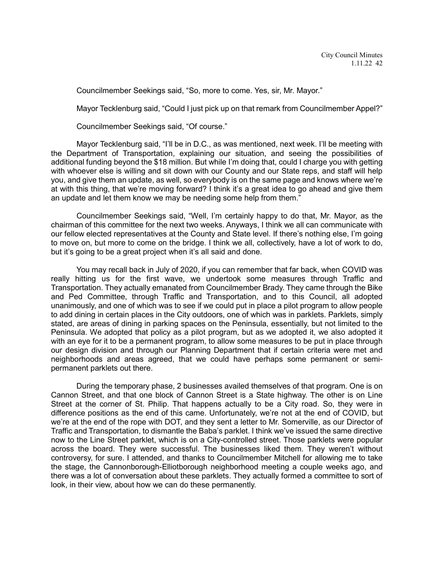Councilmember Seekings said, "So, more to come. Yes, sir, Mr. Mayor."

Mayor Tecklenburg said, "Could I just pick up on that remark from Councilmember Appel?"

Councilmember Seekings said, "Of course."

Mayor Tecklenburg said, "I'll be in D.C., as was mentioned, next week. I'll be meeting with the Department of Transportation, explaining our situation, and seeing the possibilities of additional funding beyond the \$18 million. But while I'm doing that, could I charge you with getting with whoever else is willing and sit down with our County and our State reps, and staff will help you, and give them an update, as well, so everybody is on the same page and knows where we're at with this thing, that we're moving forward? I think it's a great idea to go ahead and give them an update and let them know we may be needing some help from them."

Councilmember Seekings said, "Well, I'm certainly happy to do that, Mr. Mayor, as the chairman of this committee for the next two weeks. Anyways, I think we all can communicate with our fellow elected representatives at the County and State level. If there's nothing else, I'm going to move on, but more to come on the bridge. I think we all, collectively, have a lot of work to do, but it's going to be a great project when it's all said and done.

You may recall back in July of 2020, if you can remember that far back, when COVID was really hitting us for the first wave, we undertook some measures through Traffic and Transportation. They actually emanated from Councilmember Brady. They came through the Bike and Ped Committee, through Traffic and Transportation, and to this Council, all adopted unanimously, and one of which was to see if we could put in place a pilot program to allow people to add dining in certain places in the City outdoors, one of which was in parklets. Parklets, simply stated, are areas of dining in parking spaces on the Peninsula, essentially, but not limited to the Peninsula. We adopted that policy as a pilot program, but as we adopted it, we also adopted it with an eye for it to be a permanent program, to allow some measures to be put in place through our design division and through our Planning Department that if certain criteria were met and neighborhoods and areas agreed, that we could have perhaps some permanent or semipermanent parklets out there.

During the temporary phase, 2 businesses availed themselves of that program. One is on Cannon Street, and that one block of Cannon Street is a State highway. The other is on Line Street at the corner of St. Philip. That happens actually to be a City road. So, they were in difference positions as the end of this came. Unfortunately, we're not at the end of COVID, but we're at the end of the rope with DOT, and they sent a letter to Mr. Somerville, as our Director of Traffic and Transportation, to dismantle the Baba's parklet. I think we've issued the same directive now to the Line Street parklet, which is on a City-controlled street. Those parklets were popular across the board. They were successful. The businesses liked them. They weren't without controversy, for sure. I attended, and thanks to Councilmember Mitchell for allowing me to take the stage, the Cannonborough-Elliotborough neighborhood meeting a couple weeks ago, and there was a lot of conversation about these parklets. They actually formed a committee to sort of look, in their view, about how we can do these permanently.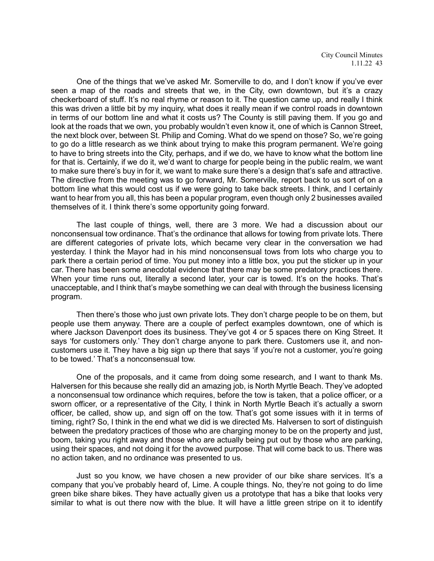City Council Minutes 1.11.22 43

One of the things that we've asked Mr. Somerville to do, and I don't know if you've ever seen a map of the roads and streets that we, in the City, own downtown, but it's a crazy checkerboard of stuff. It's no real rhyme or reason to it. The question came up, and really I think this was driven a little bit by my inquiry, what does it really mean if we control roads in downtown in terms of our bottom line and what it costs us? The County is still paving them. If you go and look at the roads that we own, you probably wouldn't even know it, one of which is Cannon Street, the next block over, between St. Philip and Coming. What do we spend on those? So, we're going to go do a little research as we think about trying to make this program permanent. We're going to have to bring streets into the City, perhaps, and if we do, we have to know what the bottom line for that is. Certainly, if we do it, we'd want to charge for people being in the public realm, we want to make sure there's buy in for it, we want to make sure there's a design that's safe and attractive. The directive from the meeting was to go forward, Mr. Somerville, report back to us sort of on a bottom line what this would cost us if we were going to take back streets. I think, and I certainly want to hear from you all, this has been a popular program, even though only 2 businesses availed themselves of it. I think there's some opportunity going forward.

The last couple of things, well, there are 3 more. We had a discussion about our nonconsensual tow ordinance. That's the ordinance that allows for towing from private lots. There are different categories of private lots, which became very clear in the conversation we had yesterday. I think the Mayor had in his mind nonconsensual tows from lots who charge you to park there a certain period of time. You put money into a little box, you put the sticker up in your car. There has been some anecdotal evidence that there may be some predatory practices there. When your time runs out, literally a second later, your car is towed. It's on the hooks. That's unacceptable, and I think that's maybe something we can deal with through the business licensing program.

Then there's those who just own private lots. They don't charge people to be on them, but people use them anyway. There are a couple of perfect examples downtown, one of which is where Jackson Davenport does its business. They've got 4 or 5 spaces there on King Street. It says 'for customers only.' They don't charge anyone to park there. Customers use it, and noncustomers use it. They have a big sign up there that says 'if you're not a customer, you're going to be towed.' That's a nonconsensual tow.

One of the proposals, and it came from doing some research, and I want to thank Ms. Halversen for this because she really did an amazing job, is North Myrtle Beach. They've adopted a nonconsensual tow ordinance which requires, before the tow is taken, that a police officer, or a sworn officer, or a representative of the City, I think in North Myrtle Beach it's actually a sworn officer, be called, show up, and sign off on the tow. That's got some issues with it in terms of timing, right? So, I think in the end what we did is we directed Ms. Halversen to sort of distinguish between the predatory practices of those who are charging money to be on the property and just, boom, taking you right away and those who are actually being put out by those who are parking, using their spaces, and not doing it for the avowed purpose. That will come back to us. There was no action taken, and no ordinance was presented to us.

Just so you know, we have chosen a new provider of our bike share services. It's a company that you've probably heard of, Lime. A couple things. No, they're not going to do lime green bike share bikes. They have actually given us a prototype that has a bike that looks very similar to what is out there now with the blue. It will have a little green stripe on it to identify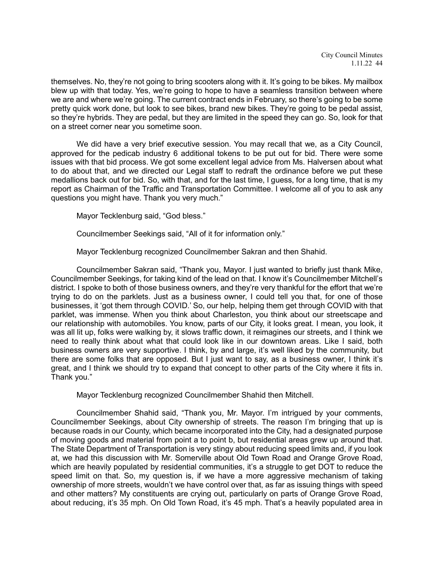themselves. No, they're not going to bring scooters along with it. It's going to be bikes. My mailbox blew up with that today. Yes, we're going to hope to have a seamless transition between where we are and where we're going. The current contract ends in February, so there's going to be some pretty quick work done, but look to see bikes, brand new bikes. They're going to be pedal assist, so they're hybrids. They are pedal, but they are limited in the speed they can go. So, look for that on a street corner near you sometime soon.

We did have a very brief executive session. You may recall that we, as a City Council, approved for the pedicab industry 6 additional tokens to be put out for bid. There were some issues with that bid process. We got some excellent legal advice from Ms. Halversen about what to do about that, and we directed our Legal staff to redraft the ordinance before we put these medallions back out for bid. So, with that, and for the last time, I guess, for a long time, that is my report as Chairman of the Traffic and Transportation Committee. I welcome all of you to ask any questions you might have. Thank you very much."

Mayor Tecklenburg said, "God bless."

Councilmember Seekings said, "All of it for information only."

Mayor Tecklenburg recognized Councilmember Sakran and then Shahid.

Councilmember Sakran said, "Thank you, Mayor. I just wanted to briefly just thank Mike, Councilmember Seekings, for taking kind of the lead on that. I know it's Councilmember Mitchell's district. I spoke to both of those business owners, and they're very thankful for the effort that we're trying to do on the parklets. Just as a business owner, I could tell you that, for one of those businesses, it 'got them through COVID.' So, our help, helping them get through COVID with that parklet, was immense. When you think about Charleston, you think about our streetscape and our relationship with automobiles. You know, parts of our City, it looks great. I mean, you look, it was all lit up, folks were walking by, it slows traffic down, it reimagines our streets, and I think we need to really think about what that could look like in our downtown areas. Like I said, both business owners are very supportive. I think, by and large, it's well liked by the community, but there are some folks that are opposed. But I just want to say, as a business owner, I think it's great, and I think we should try to expand that concept to other parts of the City where it fits in. Thank you."

Mayor Tecklenburg recognized Councilmember Shahid then Mitchell.

Councilmember Shahid said, "Thank you, Mr. Mayor. I'm intrigued by your comments, Councilmember Seekings, about City ownership of streets. The reason I'm bringing that up is because roads in our County, which became incorporated into the City, had a designated purpose of moving goods and material from point a to point b, but residential areas grew up around that. The State Department of Transportation is very stingy about reducing speed limits and, if you look at, we had this discussion with Mr. Somerville about Old Town Road and Orange Grove Road, which are heavily populated by residential communities, it's a struggle to get DOT to reduce the speed limit on that. So, my question is, if we have a more aggressive mechanism of taking ownership of more streets, wouldn't we have control over that, as far as issuing things with speed and other matters? My constituents are crying out, particularly on parts of Orange Grove Road, about reducing, it's 35 mph. On Old Town Road, it's 45 mph. That's a heavily populated area in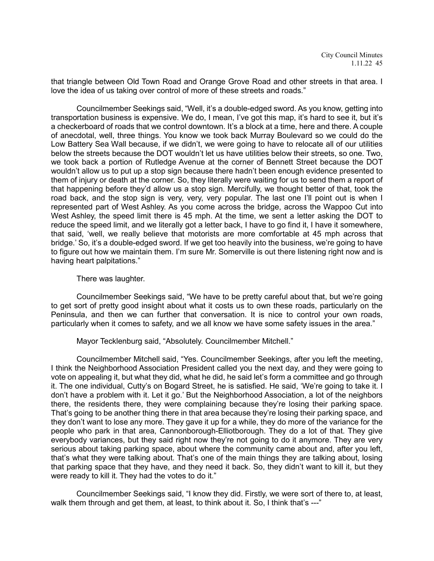that triangle between Old Town Road and Orange Grove Road and other streets in that area. I love the idea of us taking over control of more of these streets and roads."

Councilmember Seekings said, "Well, it's a double-edged sword. As you know, getting into transportation business is expensive. We do, I mean, I've got this map, it's hard to see it, but it's a checkerboard of roads that we control downtown. It's a block at a time, here and there. A couple of anecdotal, well, three things. You know we took back Murray Boulevard so we could do the Low Battery Sea Wall because, if we didn't, we were going to have to relocate all of our utilities below the streets because the DOT wouldn't let us have utilities below their streets, so one. Two, we took back a portion of Rutledge Avenue at the corner of Bennett Street because the DOT wouldn't allow us to put up a stop sign because there hadn't been enough evidence presented to them of injury or death at the corner. So, they literally were waiting for us to send them a report of that happening before they'd allow us a stop sign. Mercifully, we thought better of that, took the road back, and the stop sign is very, very, very popular. The last one I'll point out is when I represented part of West Ashley. As you come across the bridge, across the Wappoo Cut into West Ashley, the speed limit there is 45 mph. At the time, we sent a letter asking the DOT to reduce the speed limit, and we literally got a letter back, I have to go find it, I have it somewhere, that said, 'well, we really believe that motorists are more comfortable at 45 mph across that bridge.' So, it's a double-edged sword. If we get too heavily into the business, we're going to have to figure out how we maintain them. I'm sure Mr. Somerville is out there listening right now and is having heart palpitations."

## There was laughter.

Councilmember Seekings said, "We have to be pretty careful about that, but we're going to get sort of pretty good insight about what it costs us to own these roads, particularly on the Peninsula, and then we can further that conversation. It is nice to control your own roads, particularly when it comes to safety, and we all know we have some safety issues in the area."

Mayor Tecklenburg said, "Absolutely. Councilmember Mitchell."

Councilmember Mitchell said, "Yes. Councilmember Seekings, after you left the meeting, I think the Neighborhood Association President called you the next day, and they were going to vote on appealing it, but what they did, what he did, he said let's form a committee and go through it. The one individual, Cutty's on Bogard Street, he is satisfied. He said, 'We're going to take it. I don't have a problem with it. Let it go.' But the Neighborhood Association, a lot of the neighbors there, the residents there, they were complaining because they're losing their parking space. That's going to be another thing there in that area because they're losing their parking space, and they don't want to lose any more. They gave it up for a while, they do more of the variance for the people who park in that area, Cannonborough-Elliotborough. They do a lot of that. They give everybody variances, but they said right now they're not going to do it anymore. They are very serious about taking parking space, about where the community came about and, after you left, that's what they were talking about. That's one of the main things they are talking about, losing that parking space that they have, and they need it back. So, they didn't want to kill it, but they were ready to kill it. They had the votes to do it."

Councilmember Seekings said, "I know they did. Firstly, we were sort of there to, at least, walk them through and get them, at least, to think about it. So, I think that's ---"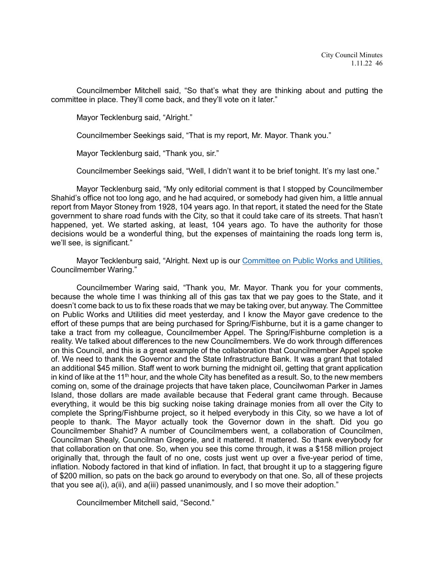Councilmember Mitchell said, "So that's what they are thinking about and putting the committee in place. They'll come back, and they'll vote on it later."

Mayor Tecklenburg said, "Alright."

Councilmember Seekings said, "That is my report, Mr. Mayor. Thank you."

Mayor Tecklenburg said, "Thank you, sir."

Councilmember Seekings said, "Well, I didn't want it to be brief tonight. It's my last one."

Mayor Tecklenburg said, "My only editorial comment is that I stopped by Councilmember Shahid's office not too long ago, and he had acquired, or somebody had given him, a little annual report from Mayor Stoney from 1928, 104 years ago. In that report, it stated the need for the State government to share road funds with the City, so that it could take care of its streets. That hasn't happened, yet. We started asking, at least, 104 years ago. To have the authority for those decisions would be a wonderful thing, but the expenses of maintaining the roads long term is, we'll see, is significant."

Mayor Tecklenburg said, "Alright. Next up is our [Committee on Public Works and Utilities,](https://youtu.be/1OKJt5vHvHk?t=10814) Councilmember Waring."

Councilmember Waring said, "Thank you, Mr. Mayor. Thank you for your comments, because the whole time I was thinking all of this gas tax that we pay goes to the State, and it doesn't come back to us to fix these roads that we may be taking over, but anyway. The Committee on Public Works and Utilities did meet yesterday, and I know the Mayor gave credence to the effort of these pumps that are being purchased for Spring/Fishburne, but it is a game changer to take a tract from my colleague, Councilmember Appel. The Spring/Fishburne completion is a reality. We talked about differences to the new Councilmembers. We do work through differences on this Council, and this is a great example of the collaboration that Councilmember Appel spoke of. We need to thank the Governor and the State Infrastructure Bank. It was a grant that totaled an additional \$45 million. Staff went to work burning the midnight oil, getting that grant application in kind of like at the 11<sup>th</sup> hour, and the whole City has benefited as a result. So, to the new members coming on, some of the drainage projects that have taken place, Councilwoman Parker in James Island, those dollars are made available because that Federal grant came through. Because everything, it would be this big sucking noise taking drainage monies from all over the City to complete the Spring/Fishburne project, so it helped everybody in this City, so we have a lot of people to thank. The Mayor actually took the Governor down in the shaft. Did you go Councilmember Shahid? A number of Councilmembers went, a collaboration of Councilmen, Councilman Shealy, Councilman Gregorie, and it mattered. It mattered. So thank everybody for that collaboration on that one. So, when you see this come through, it was a \$158 million project originally that, through the fault of no one, costs just went up over a five-year period of time, inflation. Nobody factored in that kind of inflation. In fact, that brought it up to a staggering figure of \$200 million, so pats on the back go around to everybody on that one. So, all of these projects that you see a(i), a(ii), and a(iii) passed unanimously, and I so move their adoption."

Councilmember Mitchell said, "Second."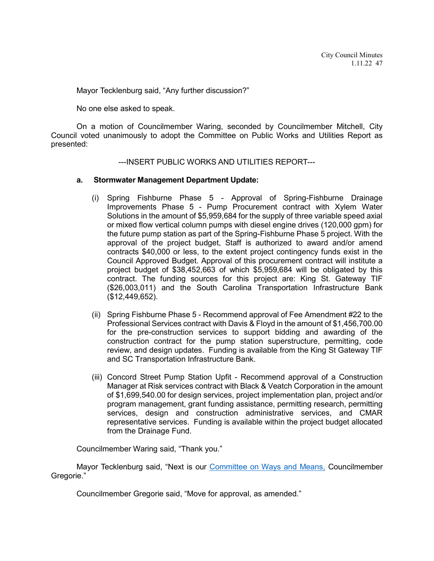Mayor Tecklenburg said, "Any further discussion?"

No one else asked to speak.

On a motion of Councilmember Waring, seconded by Councilmember Mitchell, City Council voted unanimously to adopt the Committee on Public Works and Utilities Report as presented:

## ---INSERT PUBLIC WORKS AND UTILITIES REPORT---

## **a. Stormwater Management Department Update:**

- (i) Spring Fishburne Phase 5 Approval of Spring-Fishburne Drainage Improvements Phase 5 - Pump Procurement contract with Xylem Water Solutions in the amount of \$5,959,684 for the supply of three variable speed axial or mixed flow vertical column pumps with diesel engine drives (120,000 gpm) for the future pump station as part of the Spring-Fishburne Phase 5 project. With the approval of the project budget, Staff is authorized to award and/or amend contracts \$40,000 or less, to the extent project contingency funds exist in the Council Approved Budget. Approval of this procurement contract will institute a project budget of \$38,452,663 of which \$5,959,684 will be obligated by this contract. The funding sources for this project are: King St. Gateway TIF (\$26,003,011) and the South Carolina Transportation Infrastructure Bank (\$12,449,652).
- (ii) Spring Fishburne Phase 5 Recommend approval of Fee Amendment #22 to the Professional Services contract with Davis & Floyd in the amount of \$1,456,700.00 for the pre-construction services to support bidding and awarding of the construction contract for the pump station superstructure, permitting, code review, and design updates. Funding is available from the King St Gateway TIF and SC Transportation Infrastructure Bank.
- (iii) Concord Street Pump Station Upfit Recommend approval of a Construction Manager at Risk services contract with Black & Veatch Corporation in the amount of \$1,699,540.00 for design services, project implementation plan, project and/or program management, grant funding assistance, permitting research, permitting services, design and construction administrative services, and CMAR representative services. Funding is available within the project budget allocated from the Drainage Fund.

Councilmember Waring said, "Thank you."

Mayor Tecklenburg said, "Next is our **Committee on Ways and Means**, Councilmember Gregorie."

Councilmember Gregorie said, "Move for approval, as amended."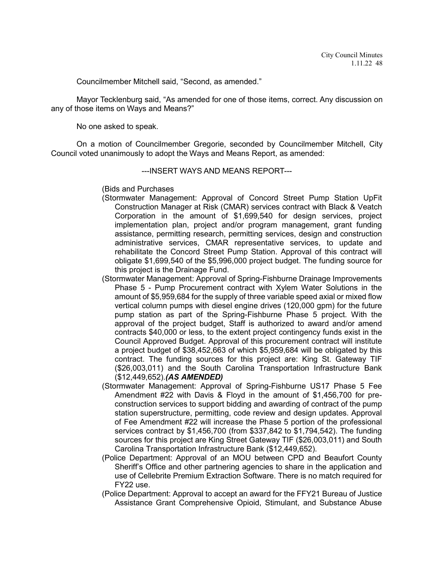Councilmember Mitchell said, "Second, as amended."

Mayor Tecklenburg said, "As amended for one of those items, correct. Any discussion on any of those items on Ways and Means?"

No one asked to speak.

On a motion of Councilmember Gregorie, seconded by Councilmember Mitchell, City Council voted unanimously to adopt the Ways and Means Report, as amended:

## ---INSERT WAYS AND MEANS REPORT---

(Bids and Purchases

- (Stormwater Management: Approval of Concord Street Pump Station UpFit Construction Manager at Risk (CMAR) services contract with Black & Veatch Corporation in the amount of \$1,699,540 for design services, project implementation plan, project and/or program management, grant funding assistance, permitting research, permitting services, design and construction administrative services, CMAR representative services, to update and rehabilitate the Concord Street Pump Station. Approval of this contract will obligate \$1,699,540 of the \$5,996,000 project budget. The funding source for this project is the Drainage Fund.
- (Stormwater Management: Approval of Spring-Fishburne Drainage Improvements Phase 5 - Pump Procurement contract with Xylem Water Solutions in the amount of \$5,959,684 for the supply of three variable speed axial or mixed flow vertical column pumps with diesel engine drives (120,000 gpm) for the future pump station as part of the Spring-Fishburne Phase 5 project. With the approval of the project budget, Staff is authorized to award and/or amend contracts \$40,000 or less, to the extent project contingency funds exist in the Council Approved Budget. Approval of this procurement contract will institute a project budget of \$38,452,663 of which \$5,959,684 will be obligated by this contract. The funding sources for this project are: King St. Gateway TIF (\$26,003,011) and the South Carolina Transportation Infrastructure Bank (\$12,449,652).*(AS AMENDED)*
- (Stormwater Management: Approval of Spring-Fishburne US17 Phase 5 Fee Amendment #22 with Davis & Floyd in the amount of \$1,456,700 for preconstruction services to support bidding and awarding of contract of the pump station superstructure, permitting, code review and design updates. Approval of Fee Amendment #22 will increase the Phase 5 portion of the professional services contract by \$1,456,700 (from \$337,842 to \$1,794,542). The funding sources for this project are King Street Gateway TIF (\$26,003,011) and South Carolina Transportation Infrastructure Bank (\$12,449,652).
- (Police Department: Approval of an MOU between CPD and Beaufort County Sheriff's Office and other partnering agencies to share in the application and use of Cellebrite Premium Extraction Software. There is no match required for FY22 use.
- (Police Department: Approval to accept an award for the FFY21 Bureau of Justice Assistance Grant Comprehensive Opioid, Stimulant, and Substance Abuse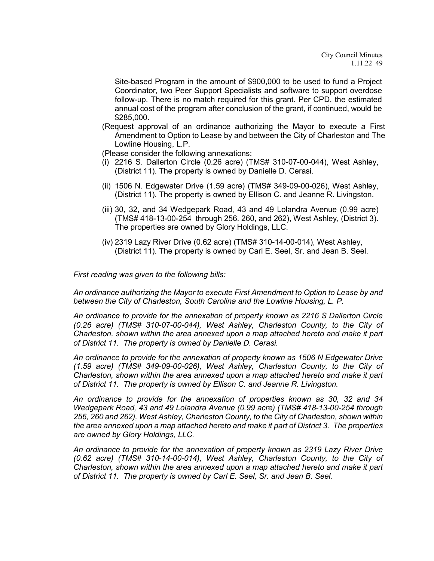Site-based Program in the amount of \$900,000 to be used to fund a Project Coordinator, two Peer Support Specialists and software to support overdose follow-up. There is no match required for this grant. Per CPD, the estimated annual cost of the program after conclusion of the grant, if continued, would be \$285,000.

(Request approval of an ordinance authorizing the Mayor to execute a First Amendment to Option to Lease by and between the City of Charleston and The Lowline Housing, L.P.

(Please consider the following annexations:

- (i) 2216 S. Dallerton Circle (0.26 acre) (TMS# 310-07-00-044), West Ashley, (District 11). The property is owned by Danielle D. Cerasi.
- (ii) 1506 N. Edgewater Drive (1.59 acre) (TMS# 349-09-00-026), West Ashley, (District 11). The property is owned by Ellison C. and Jeanne R. Livingston.
- (iii) 30, 32, and 34 Wedgepark Road, 43 and 49 Lolandra Avenue (0.99 acre) (TMS# 418-13-00-254 through 256. 260, and 262), West Ashley, (District 3). The properties are owned by Glory Holdings, LLC.
- (iv) 2319 Lazy River Drive (0.62 acre) (TMS# 310-14-00-014), West Ashley, (District 11). The property is owned by Carl E. Seel, Sr. and Jean B. Seel.

*First reading was given to the following bills:* 

*An ordinance authorizing the Mayor to execute First Amendment to Option to Lease by and between the City of Charleston, South Carolina and the Lowline Housing, L. P.*

*An ordinance to provide for the annexation of property known as 2216 S Dallerton Circle (0.26 acre) (TMS# 310-07-00-044), West Ashley, Charleston County, to the City of Charleston, shown within the area annexed upon a map attached hereto and make it part of District 11. The property is owned by Danielle D. Cerasi.*

*An ordinance to provide for the annexation of property known as 1506 N Edgewater Drive (1.59 acre) (TMS# 349-09-00-026), West Ashley, Charleston County, to the City of Charleston, shown within the area annexed upon a map attached hereto and make it part of District 11. The property is owned by Ellison C. and Jeanne R. Livingston.*

*An ordinance to provide for the annexation of properties known as 30, 32 and 34 Wedgepark Road, 43 and 49 Lolandra Avenue (0.99 acre) (TMS# 418-13-00-254 through 256, 260 and 262), West Ashley, Charleston County, to the City of Charleston, shown within the area annexed upon a map attached hereto and make it part of District 3. The properties are owned by Glory Holdings, LLC.*

*An ordinance to provide for the annexation of property known as 2319 Lazy River Drive (0.62 acre) (TMS# 310-14-00-014), West Ashley, Charleston County, to the City of Charleston, shown within the area annexed upon a map attached hereto and make it part of District 11. The property is owned by Carl E. Seel, Sr. and Jean B. Seel.*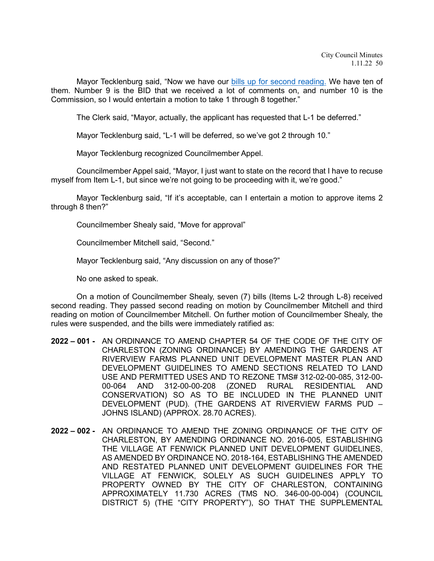Mayor Tecklenburg said, "Now we have our **bills up for second reading**. We have ten of them. Number 9 is the BID that we received a lot of comments on, and number 10 is the Commission, so I would entertain a motion to take 1 through 8 together."

The Clerk said, "Mayor, actually, the applicant has requested that L-1 be deferred."

Mayor Tecklenburg said, "L-1 will be deferred, so we've got 2 through 10."

Mayor Tecklenburg recognized Councilmember Appel.

Councilmember Appel said, "Mayor, I just want to state on the record that I have to recuse myself from Item L-1, but since we're not going to be proceeding with it, we're good."

Mayor Tecklenburg said, "If it's acceptable, can I entertain a motion to approve items 2 through 8 then?"

Councilmember Shealy said, "Move for approval"

Councilmember Mitchell said, "Second."

Mayor Tecklenburg said, "Any discussion on any of those?"

No one asked to speak.

On a motion of Councilmember Shealy, seven (7) bills (Items L-2 through L-8) received second reading. They passed second reading on motion by Councilmember Mitchell and third reading on motion of Councilmember Mitchell. On further motion of Councilmember Shealy, the rules were suspended, and the bills were immediately ratified as:

- **2022 – 001 -** AN ORDINANCE TO AMEND CHAPTER 54 OF THE CODE OF THE CITY OF CHARLESTON (ZONING ORDINANCE) BY AMENDING THE GARDENS AT RIVERVIEW FARMS PLANNED UNIT DEVELOPMENT MASTER PLAN AND DEVELOPMENT GUIDELINES TO AMEND SECTIONS RELATED TO LAND USE AND PERMITTED USES AND TO REZONE TMS# 312-02-00-085, 312-00- 00-064 AND 312-00-00-208 (ZONED RURAL RESIDENTIAL AND CONSERVATION) SO AS TO BE INCLUDED IN THE PLANNED UNIT DEVELOPMENT (PUD). (THE GARDENS AT RIVERVIEW FARMS PUD – JOHNS ISLAND) (APPROX. 28.70 ACRES).
- **2022 – 002 -** AN ORDINANCE TO AMEND THE ZONING ORDINANCE OF THE CITY OF CHARLESTON, BY AMENDING ORDINANCE NO. 2016-005, ESTABLISHING THE VILLAGE AT FENWICK PLANNED UNIT DEVELOPMENT GUIDELINES, AS AMENDED BY ORDINANCE NO. 2018-164, ESTABLISHING THE AMENDED AND RESTATED PLANNED UNIT DEVELOPMENT GUIDELINES FOR THE VILLAGE AT FENWICK, SOLELY AS SUCH GUIDELINES APPLY TO PROPERTY OWNED BY THE CITY OF CHARLESTON, CONTAINING APPROXIMATELY 11.730 ACRES (TMS NO. 346-00-00-004) (COUNCIL DISTRICT 5) (THE "CITY PROPERTY"), SO THAT THE SUPPLEMENTAL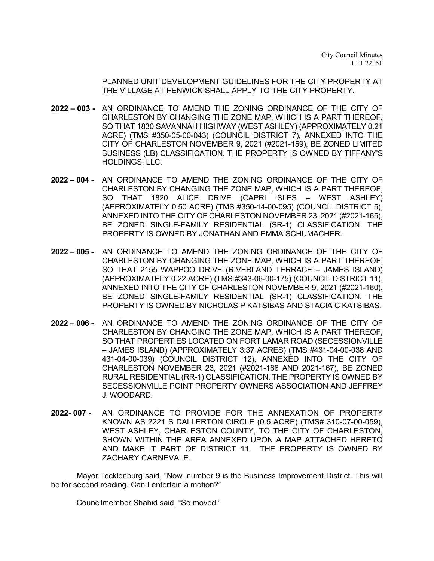PLANNED UNIT DEVELOPMENT GUIDELINES FOR THE CITY PROPERTY AT THE VILLAGE AT FENWICK SHALL APPLY TO THE CITY PROPERTY.

- **2022 – 003 -** AN ORDINANCE TO AMEND THE ZONING ORDINANCE OF THE CITY OF CHARLESTON BY CHANGING THE ZONE MAP, WHICH IS A PART THEREOF, SO THAT 1830 SAVANNAH HIGHWAY (WEST ASHLEY) (APPROXIMATELY 0.21 ACRE) (TMS #350-05-00-043) (COUNCIL DISTRICT 7), ANNEXED INTO THE CITY OF CHARLESTON NOVEMBER 9, 2021 (#2021-159), BE ZONED LIMITED BUSINESS (LB) CLASSIFICATION. THE PROPERTY IS OWNED BY TIFFANY'S HOLDINGS, LLC.
- **2022 – 004 -** AN ORDINANCE TO AMEND THE ZONING ORDINANCE OF THE CITY OF CHARLESTON BY CHANGING THE ZONE MAP, WHICH IS A PART THEREOF, SO THAT 1820 ALICE DRIVE (CAPRI ISLES – WEST ASHLEY) (APPROXIMATELY 0.50 ACRE) (TMS #350-14-00-095) (COUNCIL DISTRICT 5), ANNEXED INTO THE CITY OF CHARLESTON NOVEMBER 23, 2021 (#2021-165), BE ZONED SINGLE-FAMILY RESIDENTIAL (SR-1) CLASSIFICATION. THE PROPERTY IS OWNED BY JONATHAN AND EMMA SCHUMACHER.
- **2022 – 005 -** AN ORDINANCE TO AMEND THE ZONING ORDINANCE OF THE CITY OF CHARLESTON BY CHANGING THE ZONE MAP, WHICH IS A PART THEREOF, SO THAT 2155 WAPPOO DRIVE (RIVERLAND TERRACE – JAMES ISLAND) (APPROXIMATELY 0.22 ACRE) (TMS #343-06-00-175) (COUNCIL DISTRICT 11), ANNEXED INTO THE CITY OF CHARLESTON NOVEMBER 9, 2021 (#2021-160), BE ZONED SINGLE-FAMILY RESIDENTIAL (SR-1) CLASSIFICATION. THE PROPERTY IS OWNED BY NICHOLAS P KATSIBAS AND STACIA C KATSIBAS.
- **2022 – 006 -** AN ORDINANCE TO AMEND THE ZONING ORDINANCE OF THE CITY OF CHARLESTON BY CHANGING THE ZONE MAP, WHICH IS A PART THEREOF, SO THAT PROPERTIES LOCATED ON FORT LAMAR ROAD (SECESSIONVILLE – JAMES ISLAND) (APPROXIMATELY 3.37 ACRES) (TMS #431-04-00-038 AND 431-04-00-039) (COUNCIL DISTRICT 12), ANNEXED INTO THE CITY OF CHARLESTON NOVEMBER 23, 2021 (#2021-166 AND 2021-167), BE ZONED RURAL RESIDENTIAL (RR-1) CLASSIFICATION. THE PROPERTY IS OWNED BY SECESSIONVILLE POINT PROPERTY OWNERS ASSOCIATION AND JEFFREY J. WOODARD.
- **2022- 007 -** AN ORDINANCE TO PROVIDE FOR THE ANNEXATION OF PROPERTY KNOWN AS 2221 S DALLERTON CIRCLE (0.5 ACRE) (TMS# 310-07-00-059), WEST ASHLEY, CHARLESTON COUNTY, TO THE CITY OF CHARLESTON, SHOWN WITHIN THE AREA ANNEXED UPON A MAP ATTACHED HERETO AND MAKE IT PART OF DISTRICT 11. THE PROPERTY IS OWNED BY ZACHARY CARNEVALE.

Mayor Tecklenburg said, "Now, number 9 is the Business Improvement District. This will be for second reading. Can I entertain a motion?"

Councilmember Shahid said, "So moved."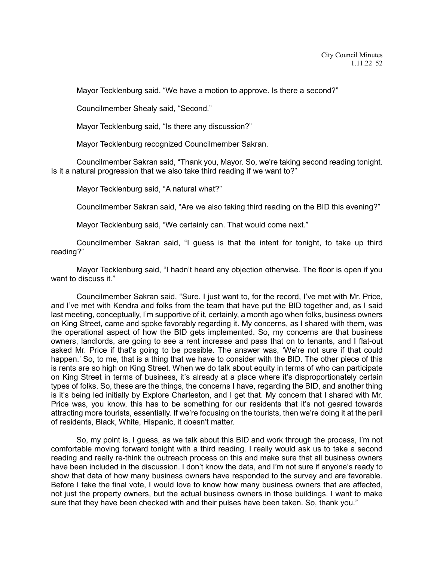Mayor Tecklenburg said, "We have a motion to approve. Is there a second?"

Councilmember Shealy said, "Second."

Mayor Tecklenburg said, "Is there any discussion?"

Mayor Tecklenburg recognized Councilmember Sakran.

Councilmember Sakran said, "Thank you, Mayor. So, we're taking second reading tonight. Is it a natural progression that we also take third reading if we want to?"

Mayor Tecklenburg said, "A natural what?"

Councilmember Sakran said, "Are we also taking third reading on the BID this evening?"

Mayor Tecklenburg said, "We certainly can. That would come next."

Councilmember Sakran said, "I guess is that the intent for tonight, to take up third reading?"

Mayor Tecklenburg said, "I hadn't heard any objection otherwise. The floor is open if you want to discuss it."

Councilmember Sakran said, "Sure. I just want to, for the record, I've met with Mr. Price, and I've met with Kendra and folks from the team that have put the BID together and, as I said last meeting, conceptually, I'm supportive of it, certainly, a month ago when folks, business owners on King Street, came and spoke favorably regarding it. My concerns, as I shared with them, was the operational aspect of how the BID gets implemented. So, my concerns are that business owners, landlords, are going to see a rent increase and pass that on to tenants, and I flat-out asked Mr. Price if that's going to be possible. The answer was, 'We're not sure if that could happen.' So, to me, that is a thing that we have to consider with the BID. The other piece of this is rents are so high on King Street. When we do talk about equity in terms of who can participate on King Street in terms of business, it's already at a place where it's disproportionately certain types of folks. So, these are the things, the concerns I have, regarding the BID, and another thing is it's being led initially by Explore Charleston, and I get that. My concern that I shared with Mr. Price was, you know, this has to be something for our residents that it's not geared towards attracting more tourists, essentially. If we're focusing on the tourists, then we're doing it at the peril of residents, Black, White, Hispanic, it doesn't matter.

So, my point is, I guess, as we talk about this BID and work through the process, I'm not comfortable moving forward tonight with a third reading. I really would ask us to take a second reading and really re-think the outreach process on this and make sure that all business owners have been included in the discussion. I don't know the data, and I'm not sure if anyone's ready to show that data of how many business owners have responded to the survey and are favorable. Before I take the final vote, I would love to know how many business owners that are affected, not just the property owners, but the actual business owners in those buildings. I want to make sure that they have been checked with and their pulses have been taken. So, thank you."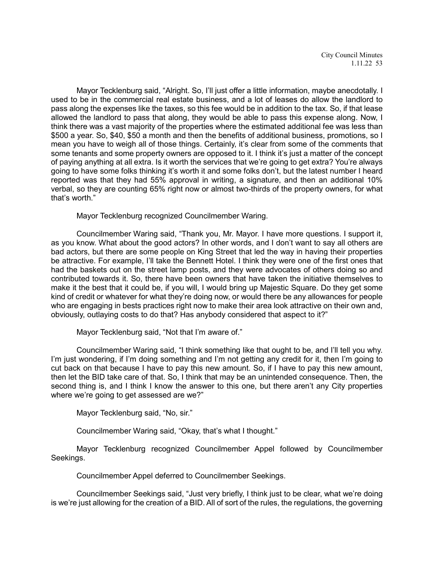Mayor Tecklenburg said, "Alright. So, I'll just offer a little information, maybe anecdotally. I used to be in the commercial real estate business, and a lot of leases do allow the landlord to pass along the expenses like the taxes, so this fee would be in addition to the tax. So, if that lease allowed the landlord to pass that along, they would be able to pass this expense along. Now, I think there was a vast majority of the properties where the estimated additional fee was less than \$500 a year. So, \$40, \$50 a month and then the benefits of additional business, promotions, so I mean you have to weigh all of those things. Certainly, it's clear from some of the comments that some tenants and some property owners are opposed to it. I think it's just a matter of the concept of paying anything at all extra. Is it worth the services that we're going to get extra? You're always going to have some folks thinking it's worth it and some folks don't, but the latest number I heard reported was that they had 55% approval in writing, a signature, and then an additional 10% verbal, so they are counting 65% right now or almost two-thirds of the property owners, for what that's worth."

Mayor Tecklenburg recognized Councilmember Waring.

Councilmember Waring said, "Thank you, Mr. Mayor. I have more questions. I support it, as you know. What about the good actors? In other words, and I don't want to say all others are bad actors, but there are some people on King Street that led the way in having their properties be attractive. For example, I'll take the Bennett Hotel. I think they were one of the first ones that had the baskets out on the street lamp posts, and they were advocates of others doing so and contributed towards it. So, there have been owners that have taken the initiative themselves to make it the best that it could be, if you will, I would bring up Majestic Square. Do they get some kind of credit or whatever for what they're doing now, or would there be any allowances for people who are engaging in bests practices right now to make their area look attractive on their own and, obviously, outlaying costs to do that? Has anybody considered that aspect to it?"

Mayor Tecklenburg said, "Not that I'm aware of."

Councilmember Waring said, "I think something like that ought to be, and I'll tell you why. I'm just wondering, if I'm doing something and I'm not getting any credit for it, then I'm going to cut back on that because I have to pay this new amount. So, if I have to pay this new amount, then let the BID take care of that. So, I think that may be an unintended consequence. Then, the second thing is, and I think I know the answer to this one, but there aren't any City properties where we're going to get assessed are we?"

Mayor Tecklenburg said, "No, sir."

Councilmember Waring said, "Okay, that's what I thought."

Mayor Tecklenburg recognized Councilmember Appel followed by Councilmember Seekings.

Councilmember Appel deferred to Councilmember Seekings.

Councilmember Seekings said, "Just very briefly, I think just to be clear, what we're doing is we're just allowing for the creation of a BID. All of sort of the rules, the regulations, the governing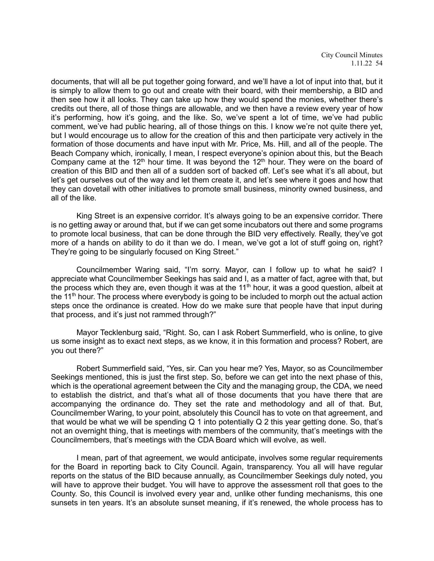City Council Minutes 1.11.22 54

documents, that will all be put together going forward, and we'll have a lot of input into that, but it is simply to allow them to go out and create with their board, with their membership, a BID and then see how it all looks. They can take up how they would spend the monies, whether there's credits out there, all of those things are allowable, and we then have a review every year of how it's performing, how it's going, and the like. So, we've spent a lot of time, we've had public comment, we've had public hearing, all of those things on this. I know we're not quite there yet, but I would encourage us to allow for the creation of this and then participate very actively in the formation of those documents and have input with Mr. Price, Ms. Hill, and all of the people. The Beach Company which, ironically, I mean, I respect everyone's opinion about this, but the Beach Company came at the 12<sup>th</sup> hour time. It was beyond the 12<sup>th</sup> hour. They were on the board of creation of this BID and then all of a sudden sort of backed off. Let's see what it's all about, but let's get ourselves out of the way and let them create it, and let's see where it goes and how that they can dovetail with other initiatives to promote small business, minority owned business, and all of the like.

King Street is an expensive corridor. It's always going to be an expensive corridor. There is no getting away or around that, but if we can get some incubators out there and some programs to promote local business, that can be done through the BID very effectively. Really, they've got more of a hands on ability to do it than we do. I mean, we've got a lot of stuff going on, right? They're going to be singularly focused on King Street."

Councilmember Waring said, "I'm sorry. Mayor, can I follow up to what he said? I appreciate what Councilmember Seekings has said and I, as a matter of fact, agree with that, but the process which they are, even though it was at the 11<sup>th</sup> hour, it was a good question, albeit at the 11<sup>th</sup> hour. The process where everybody is going to be included to morph out the actual action steps once the ordinance is created. How do we make sure that people have that input during that process, and it's just not rammed through?"

Mayor Tecklenburg said, "Right. So, can I ask Robert Summerfield, who is online, to give us some insight as to exact next steps, as we know, it in this formation and process? Robert, are you out there?"

Robert Summerfield said, "Yes, sir. Can you hear me? Yes, Mayor, so as Councilmember Seekings mentioned, this is just the first step. So, before we can get into the next phase of this, which is the operational agreement between the City and the managing group, the CDA, we need to establish the district, and that's what all of those documents that you have there that are accompanying the ordinance do. They set the rate and methodology and all of that. But, Councilmember Waring, to your point, absolutely this Council has to vote on that agreement, and that would be what we will be spending Q 1 into potentially Q 2 this year getting done. So, that's not an overnight thing, that is meetings with members of the community, that's meetings with the Councilmembers, that's meetings with the CDA Board which will evolve, as well.

I mean, part of that agreement, we would anticipate, involves some regular requirements for the Board in reporting back to City Council. Again, transparency. You all will have regular reports on the status of the BID because annually, as Councilmember Seekings duly noted, you will have to approve their budget. You will have to approve the assessment roll that goes to the County. So, this Council is involved every year and, unlike other funding mechanisms, this one sunsets in ten years. It's an absolute sunset meaning, if it's renewed, the whole process has to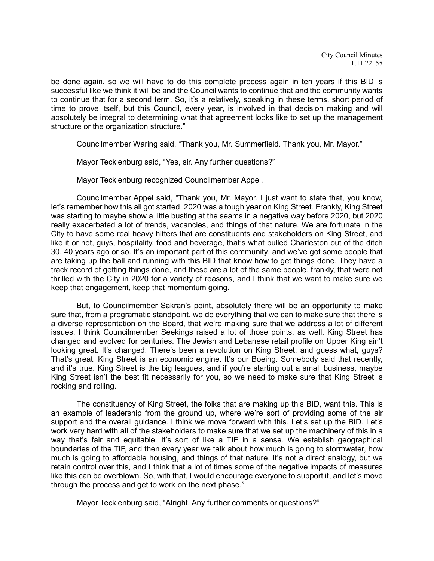be done again, so we will have to do this complete process again in ten years if this BID is successful like we think it will be and the Council wants to continue that and the community wants to continue that for a second term. So, it's a relatively, speaking in these terms, short period of time to prove itself, but this Council, every year, is involved in that decision making and will absolutely be integral to determining what that agreement looks like to set up the management structure or the organization structure."

Councilmember Waring said, "Thank you, Mr. Summerfield. Thank you, Mr. Mayor."

Mayor Tecklenburg said, "Yes, sir. Any further questions?"

Mayor Tecklenburg recognized Councilmember Appel.

Councilmember Appel said, "Thank you, Mr. Mayor. I just want to state that, you know, let's remember how this all got started. 2020 was a tough year on King Street. Frankly, King Street was starting to maybe show a little busting at the seams in a negative way before 2020, but 2020 really exacerbated a lot of trends, vacancies, and things of that nature. We are fortunate in the City to have some real heavy hitters that are constituents and stakeholders on King Street, and like it or not, guys, hospitality, food and beverage, that's what pulled Charleston out of the ditch 30, 40 years ago or so. It's an important part of this community, and we've got some people that are taking up the ball and running with this BID that know how to get things done. They have a track record of getting things done, and these are a lot of the same people, frankly, that were not thrilled with the City in 2020 for a variety of reasons, and I think that we want to make sure we keep that engagement, keep that momentum going.

But, to Councilmember Sakran's point, absolutely there will be an opportunity to make sure that, from a programatic standpoint, we do everything that we can to make sure that there is a diverse representation on the Board, that we're making sure that we address a lot of different issues. I think Councilmember Seekings raised a lot of those points, as well. King Street has changed and evolved for centuries. The Jewish and Lebanese retail profile on Upper King ain't looking great. It's changed. There's been a revolution on King Street, and guess what, guys? That's great. King Street is an economic engine. It's our Boeing. Somebody said that recently, and it's true. King Street is the big leagues, and if you're starting out a small business, maybe King Street isn't the best fit necessarily for you, so we need to make sure that King Street is rocking and rolling.

The constituency of King Street, the folks that are making up this BID, want this. This is an example of leadership from the ground up, where we're sort of providing some of the air support and the overall guidance. I think we move forward with this. Let's set up the BID. Let's work very hard with all of the stakeholders to make sure that we set up the machinery of this in a way that's fair and equitable. It's sort of like a TIF in a sense. We establish geographical boundaries of the TIF, and then every year we talk about how much is going to stormwater, how much is going to affordable housing, and things of that nature. It's not a direct analogy, but we retain control over this, and I think that a lot of times some of the negative impacts of measures like this can be overblown. So, with that, I would encourage everyone to support it, and let's move through the process and get to work on the next phase."

Mayor Tecklenburg said, "Alright. Any further comments or questions?"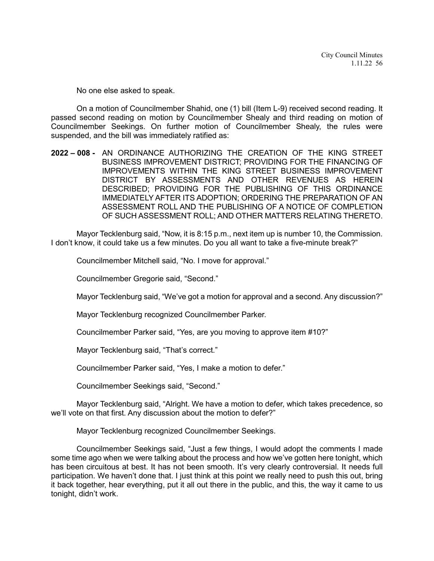No one else asked to speak.

On a motion of Councilmember Shahid, one (1) bill (Item L-9) received second reading. It passed second reading on motion by Councilmember Shealy and third reading on motion of Councilmember Seekings. On further motion of Councilmember Shealy, the rules were suspended, and the bill was immediately ratified as:

**2022 – 008 -** AN ORDINANCE AUTHORIZING THE CREATION OF THE KING STREET BUSINESS IMPROVEMENT DISTRICT; PROVIDING FOR THE FINANCING OF IMPROVEMENTS WITHIN THE KING STREET BUSINESS IMPROVEMENT DISTRICT BY ASSESSMENTS AND OTHER REVENUES AS HEREIN DESCRIBED; PROVIDING FOR THE PUBLISHING OF THIS ORDINANCE IMMEDIATELY AFTER ITS ADOPTION; ORDERING THE PREPARATION OF AN ASSESSMENT ROLL AND THE PUBLISHING OF A NOTICE OF COMPLETION OF SUCH ASSESSMENT ROLL; AND OTHER MATTERS RELATING THERETO.

Mayor Tecklenburg said, "Now, it is 8:15 p.m., next item up is number 10, the Commission. I don't know, it could take us a few minutes. Do you all want to take a five-minute break?"

Councilmember Mitchell said, "No. I move for approval."

Councilmember Gregorie said, "Second."

Mayor Tecklenburg said, "We've got a motion for approval and a second. Any discussion?"

Mayor Tecklenburg recognized Councilmember Parker.

Councilmember Parker said, "Yes, are you moving to approve item #10?"

Mayor Tecklenburg said, "That's correct."

Councilmember Parker said, "Yes, I make a motion to defer."

Councilmember Seekings said, "Second."

Mayor Tecklenburg said, "Alright. We have a motion to defer, which takes precedence, so we'll vote on that first. Any discussion about the motion to defer?"

Mayor Tecklenburg recognized Councilmember Seekings.

Councilmember Seekings said, "Just a few things, I would adopt the comments I made some time ago when we were talking about the process and how we've gotten here tonight, which has been circuitous at best. It has not been smooth. It's very clearly controversial. It needs full participation. We haven't done that. I just think at this point we really need to push this out, bring it back together, hear everything, put it all out there in the public, and this, the way it came to us tonight, didn't work.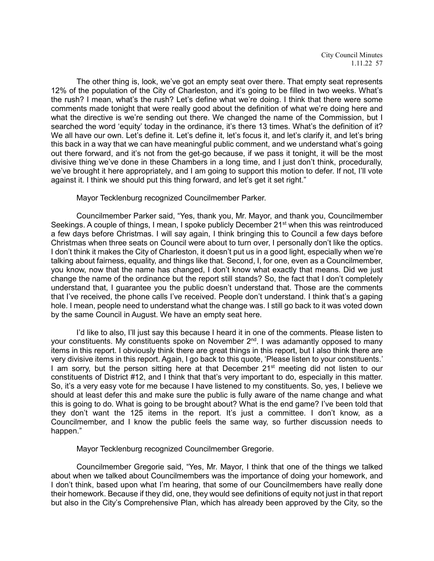City Council Minutes 1.11.22 57

The other thing is, look, we've got an empty seat over there. That empty seat represents 12% of the population of the City of Charleston, and it's going to be filled in two weeks. What's the rush? I mean, what's the rush? Let's define what we're doing. I think that there were some comments made tonight that were really good about the definition of what we're doing here and what the directive is we're sending out there. We changed the name of the Commission, but I searched the word 'equity' today in the ordinance, it's there 13 times. What's the definition of it? We all have our own. Let's define it. Let's define it, let's focus it, and let's clarify it, and let's bring this back in a way that we can have meaningful public comment, and we understand what's going out there forward, and it's not from the get-go because, if we pass it tonight, it will be the most divisive thing we've done in these Chambers in a long time, and I just don't think, procedurally, we've brought it here appropriately, and I am going to support this motion to defer. If not, I'll vote against it. I think we should put this thing forward, and let's get it set right."

Mayor Tecklenburg recognized Councilmember Parker.

Councilmember Parker said, "Yes, thank you, Mr. Mayor, and thank you, Councilmember Seekings. A couple of things, I mean, I spoke publicly December 21<sup>st</sup> when this was reintroduced a few days before Christmas. I will say again, I think bringing this to Council a few days before Christmas when three seats on Council were about to turn over, I personally don't like the optics. I don't think it makes the City of Charleston, it doesn't put us in a good light, especially when we're talking about fairness, equality, and things like that. Second, I, for one, even as a Councilmember, you know, now that the name has changed, I don't know what exactly that means. Did we just change the name of the ordinance but the report still stands? So, the fact that I don't completely understand that, I guarantee you the public doesn't understand that. Those are the comments that I've received, the phone calls I've received. People don't understand. I think that's a gaping hole. I mean, people need to understand what the change was. I still go back to it was voted down by the same Council in August. We have an empty seat here.

I'd like to also, I'll just say this because I heard it in one of the comments. Please listen to your constituents. My constituents spoke on November 2<sup>nd</sup>. I was adamantly opposed to many items in this report. I obviously think there are great things in this report, but I also think there are very divisive items in this report. Again, I go back to this quote, 'Please listen to your constituents.' I am sorry, but the person sitting here at that December 21<sup>st</sup> meeting did not listen to our constituents of District #12, and I think that that's very important to do, especially in this matter. So, it's a very easy vote for me because I have listened to my constituents. So, yes, I believe we should at least defer this and make sure the public is fully aware of the name change and what this is going to do. What is going to be brought about? What is the end game? I've been told that they don't want the 125 items in the report. It's just a committee. I don't know, as a Councilmember, and I know the public feels the same way, so further discussion needs to happen."

Mayor Tecklenburg recognized Councilmember Gregorie.

Councilmember Gregorie said, "Yes, Mr. Mayor, I think that one of the things we talked about when we talked about Councilmembers was the importance of doing your homework, and I don't think, based upon what I'm hearing, that some of our Councilmembers have really done their homework. Because if they did, one, they would see definitions of equity not just in that report but also in the City's Comprehensive Plan, which has already been approved by the City, so the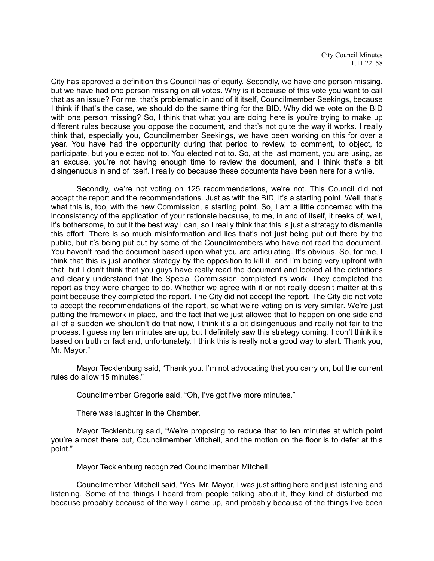City has approved a definition this Council has of equity. Secondly, we have one person missing, but we have had one person missing on all votes. Why is it because of this vote you want to call that as an issue? For me, that's problematic in and of it itself, Councilmember Seekings, because I think if that's the case, we should do the same thing for the BID. Why did we vote on the BID with one person missing? So, I think that what you are doing here is you're trying to make up different rules because you oppose the document, and that's not quite the way it works. I really think that, especially you, Councilmember Seekings, we have been working on this for over a year. You have had the opportunity during that period to review, to comment, to object, to participate, but you elected not to. You elected not to. So, at the last moment, you are using, as an excuse, you're not having enough time to review the document, and I think that's a bit disingenuous in and of itself. I really do because these documents have been here for a while.

Secondly, we're not voting on 125 recommendations, we're not. This Council did not accept the report and the recommendations. Just as with the BID, it's a starting point. Well, that's what this is, too, with the new Commission, a starting point. So, I am a little concerned with the inconsistency of the application of your rationale because, to me, in and of itself, it reeks of, well, it's bothersome, to put it the best way I can, so I really think that this is just a strategy to dismantle this effort. There is so much misinformation and lies that's not just being put out there by the public, but it's being put out by some of the Councilmembers who have not read the document. You haven't read the document based upon what you are articulating. It's obvious. So, for me, I think that this is just another strategy by the opposition to kill it, and I'm being very upfront with that, but I don't think that you guys have really read the document and looked at the definitions and clearly understand that the Special Commission completed its work. They completed the report as they were charged to do. Whether we agree with it or not really doesn't matter at this point because they completed the report. The City did not accept the report. The City did not vote to accept the recommendations of the report, so what we're voting on is very similar. We're just putting the framework in place, and the fact that we just allowed that to happen on one side and all of a sudden we shouldn't do that now, I think it's a bit disingenuous and really not fair to the process. I guess my ten minutes are up, but I definitely saw this strategy coming. I don't think it's based on truth or fact and, unfortunately, I think this is really not a good way to start. Thank you, Mr. Mayor."

Mayor Tecklenburg said, "Thank you. I'm not advocating that you carry on, but the current rules do allow 15 minutes."

Councilmember Gregorie said, "Oh, I've got five more minutes."

There was laughter in the Chamber.

Mayor Tecklenburg said, "We're proposing to reduce that to ten minutes at which point you're almost there but, Councilmember Mitchell, and the motion on the floor is to defer at this point."

Mayor Tecklenburg recognized Councilmember Mitchell.

Councilmember Mitchell said, "Yes, Mr. Mayor, I was just sitting here and just listening and listening. Some of the things I heard from people talking about it, they kind of disturbed me because probably because of the way I came up, and probably because of the things I've been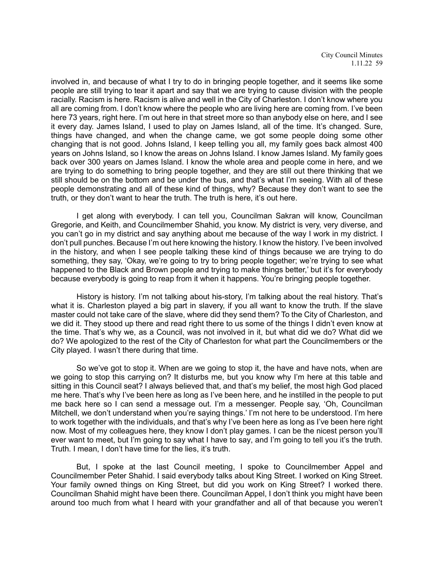City Council Minutes 1.11.22 59

involved in, and because of what I try to do in bringing people together, and it seems like some people are still trying to tear it apart and say that we are trying to cause division with the people racially. Racism is here. Racism is alive and well in the City of Charleston. I don't know where you all are coming from. I don't know where the people who are living here are coming from. I've been here 73 years, right here. I'm out here in that street more so than anybody else on here, and I see it every day. James Island, I used to play on James Island, all of the time. It's changed. Sure, things have changed, and when the change came, we got some people doing some other changing that is not good. Johns Island, I keep telling you all, my family goes back almost 400 years on Johns Island, so I know the areas on Johns Island. I know James Island. My family goes back over 300 years on James Island. I know the whole area and people come in here, and we are trying to do something to bring people together, and they are still out there thinking that we still should be on the bottom and be under the bus, and that's what I'm seeing. With all of these people demonstrating and all of these kind of things, why? Because they don't want to see the truth, or they don't want to hear the truth. The truth is here, it's out here.

I get along with everybody. I can tell you, Councilman Sakran will know, Councilman Gregorie, and Keith, and Councilmember Shahid, you know. My district is very, very diverse, and you can't go in my district and say anything about me because of the way I work in my district. I don't pull punches. Because I'm out here knowing the history. I know the history. I've been involved in the history, and when I see people talking these kind of things because we are trying to do something, they say, 'Okay, we're going to try to bring people together; we're trying to see what happened to the Black and Brown people and trying to make things better,' but it's for everybody because everybody is going to reap from it when it happens. You're bringing people together.

History is history. I'm not talking about his-story, I'm talking about the real history. That's what it is. Charleston played a big part in slavery, if you all want to know the truth. If the slave master could not take care of the slave, where did they send them? To the City of Charleston, and we did it. They stood up there and read right there to us some of the things I didn't even know at the time. That's why we, as a Council, was not involved in it, but what did we do? What did we do? We apologized to the rest of the City of Charleston for what part the Councilmembers or the City played. I wasn't there during that time.

So we've got to stop it. When are we going to stop it, the have and have nots, when are we going to stop this carrying on? It disturbs me, but you know why I'm here at this table and sitting in this Council seat? I always believed that, and that's my belief, the most high God placed me here. That's why I've been here as long as I've been here, and he instilled in the people to put me back here so I can send a message out. I'm a messenger. People say, 'Oh, Councilman Mitchell, we don't understand when you're saying things.' I'm not here to be understood. I'm here to work together with the individuals, and that's why I've been here as long as I've been here right now. Most of my colleagues here, they know I don't play games. I can be the nicest person you'll ever want to meet, but I'm going to say what I have to say, and I'm going to tell you it's the truth. Truth. I mean, I don't have time for the lies, it's truth.

But, I spoke at the last Council meeting, I spoke to Councilmember Appel and Councilmember Peter Shahid. I said everybody talks about King Street. I worked on King Street. Your family owned things on King Street, but did you work on King Street? I worked there. Councilman Shahid might have been there. Councilman Appel, I don't think you might have been around too much from what I heard with your grandfather and all of that because you weren't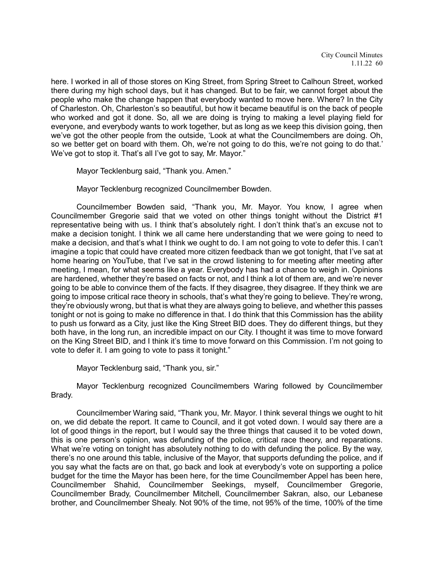here. I worked in all of those stores on King Street, from Spring Street to Calhoun Street, worked there during my high school days, but it has changed. But to be fair, we cannot forget about the people who make the change happen that everybody wanted to move here. Where? In the City of Charleston. Oh, Charleston's so beautiful, but how it became beautiful is on the back of people who worked and got it done. So, all we are doing is trying to making a level playing field for everyone, and everybody wants to work together, but as long as we keep this division going, then we've got the other people from the outside, 'Look at what the Councilmembers are doing. Oh, so we better get on board with them. Oh, we're not going to do this, we're not going to do that.' We've got to stop it. That's all I've got to say, Mr. Mayor."

Mayor Tecklenburg said, "Thank you. Amen."

Mayor Tecklenburg recognized Councilmember Bowden.

Councilmember Bowden said, "Thank you, Mr. Mayor. You know, I agree when Councilmember Gregorie said that we voted on other things tonight without the District #1 representative being with us. I think that's absolutely right. I don't think that's an excuse not to make a decision tonight. I think we all came here understanding that we were going to need to make a decision, and that's what I think we ought to do. I am not going to vote to defer this. I can't imagine a topic that could have created more citizen feedback than we got tonight, that I've sat at home hearing on YouTube, that I've sat in the crowd listening to for meeting after meeting after meeting, I mean, for what seems like a year. Everybody has had a chance to weigh in. Opinions are hardened, whether they're based on facts or not, and I think a lot of them are, and we're never going to be able to convince them of the facts. If they disagree, they disagree. If they think we are going to impose critical race theory in schools, that's what they're going to believe. They're wrong, they're obviously wrong, but that is what they are always going to believe, and whether this passes tonight or not is going to make no difference in that. I do think that this Commission has the ability to push us forward as a City, just like the King Street BID does. They do different things, but they both have, in the long run, an incredible impact on our City. I thought it was time to move forward on the King Street BID, and I think it's time to move forward on this Commission. I'm not going to vote to defer it. I am going to vote to pass it tonight."

Mayor Tecklenburg said, "Thank you, sir."

Mayor Tecklenburg recognized Councilmembers Waring followed by Councilmember Brady.

Councilmember Waring said, "Thank you, Mr. Mayor. I think several things we ought to hit on, we did debate the report. It came to Council, and it got voted down. I would say there are a lot of good things in the report, but I would say the three things that caused it to be voted down, this is one person's opinion, was defunding of the police, critical race theory, and reparations. What we're voting on tonight has absolutely nothing to do with defunding the police. By the way, there's no one around this table, inclusive of the Mayor, that supports defunding the police, and if you say what the facts are on that, go back and look at everybody's vote on supporting a police budget for the time the Mayor has been here, for the time Councilmember Appel has been here, Councilmember Shahid, Councilmember Seekings, myself, Councilmember Gregorie, Councilmember Brady, Councilmember Mitchell, Councilmember Sakran, also, our Lebanese brother, and Councilmember Shealy. Not 90% of the time, not 95% of the time, 100% of the time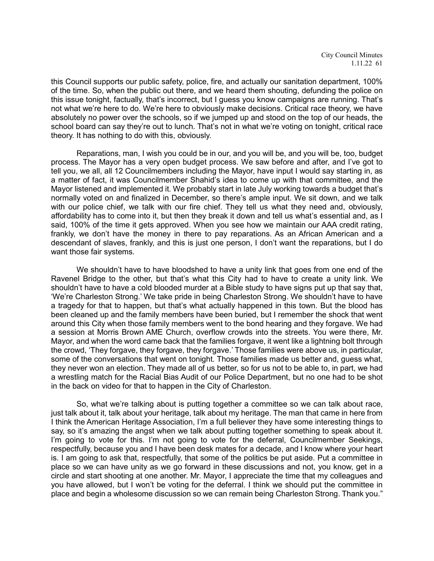this Council supports our public safety, police, fire, and actually our sanitation department, 100% of the time. So, when the public out there, and we heard them shouting, defunding the police on this issue tonight, factually, that's incorrect, but I guess you know campaigns are running. That's not what we're here to do. We're here to obviously make decisions. Critical race theory, we have absolutely no power over the schools, so if we jumped up and stood on the top of our heads, the school board can say they're out to lunch. That's not in what we're voting on tonight, critical race theory. It has nothing to do with this, obviously.

Reparations, man, I wish you could be in our, and you will be, and you will be, too, budget process. The Mayor has a very open budget process. We saw before and after, and I've got to tell you, we all, all 12 Councilmembers including the Mayor, have input I would say starting in, as a matter of fact, it was Councilmember Shahid's idea to come up with that committee, and the Mayor listened and implemented it. We probably start in late July working towards a budget that's normally voted on and finalized in December, so there's ample input. We sit down, and we talk with our police chief, we talk with our fire chief. They tell us what they need and, obviously, affordability has to come into it, but then they break it down and tell us what's essential and, as I said, 100% of the time it gets approved. When you see how we maintain our AAA credit rating, frankly, we don't have the money in there to pay reparations. As an African American and a descendant of slaves, frankly, and this is just one person, I don't want the reparations, but I do want those fair systems.

We shouldn't have to have bloodshed to have a unity link that goes from one end of the Ravenel Bridge to the other, but that's what this City had to have to create a unity link. We shouldn't have to have a cold blooded murder at a Bible study to have signs put up that say that, 'We're Charleston Strong.' We take pride in being Charleston Strong. We shouldn't have to have a tragedy for that to happen, but that's what actually happened in this town. But the blood has been cleaned up and the family members have been buried, but I remember the shock that went around this City when those family members went to the bond hearing and they forgave. We had a session at Morris Brown AME Church, overflow crowds into the streets. You were there, Mr. Mayor, and when the word came back that the families forgave, it went like a lightning bolt through the crowd, 'They forgave, they forgave, they forgave.' Those families were above us, in particular, some of the conversations that went on tonight. Those families made us better and, guess what, they never won an election. They made all of us better, so for us not to be able to, in part, we had a wrestling match for the Racial Bias Audit of our Police Department, but no one had to be shot in the back on video for that to happen in the City of Charleston.

So, what we're talking about is putting together a committee so we can talk about race, just talk about it, talk about your heritage, talk about my heritage. The man that came in here from I think the American Heritage Association, I'm a full believer they have some interesting things to say, so it's amazing the angst when we talk about putting together something to speak about it. I'm going to vote for this. I'm not going to vote for the deferral, Councilmember Seekings, respectfully, because you and I have been desk mates for a decade, and I know where your heart is. I am going to ask that, respectfully, that some of the politics be put aside. Put a committee in place so we can have unity as we go forward in these discussions and not, you know, get in a circle and start shooting at one another. Mr. Mayor, I appreciate the time that my colleagues and you have allowed, but I won't be voting for the deferral. I think we should put the committee in place and begin a wholesome discussion so we can remain being Charleston Strong. Thank you."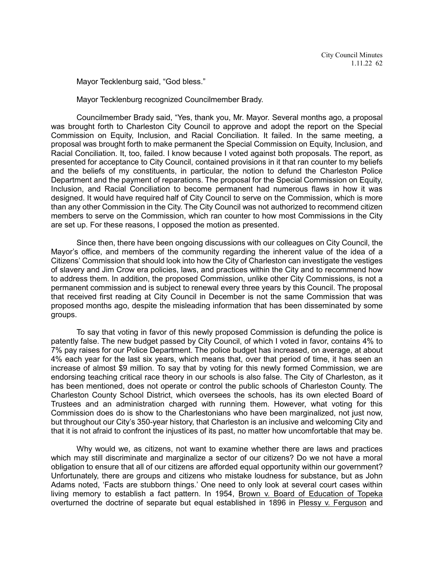Mayor Tecklenburg said, "God bless."

Mayor Tecklenburg recognized Councilmember Brady.

Councilmember Brady said, "Yes, thank you, Mr. Mayor. Several months ago, a proposal was brought forth to Charleston City Council to approve and adopt the report on the Special Commission on Equity, Inclusion, and Racial Conciliation. It failed. In the same meeting, a proposal was brought forth to make permanent the Special Commission on Equity, Inclusion, and Racial Conciliation. It, too, failed. I know because I voted against both proposals. The report, as presented for acceptance to City Council, contained provisions in it that ran counter to my beliefs and the beliefs of my constituents, in particular, the notion to defund the Charleston Police Department and the payment of reparations. The proposal for the Special Commission on Equity, Inclusion, and Racial Conciliation to become permanent had numerous flaws in how it was designed. It would have required half of City Council to serve on the Commission, which is more than any other Commission in the City. The City Council was not authorized to recommend citizen members to serve on the Commission, which ran counter to how most Commissions in the City are set up. For these reasons, I opposed the motion as presented.

Since then, there have been ongoing discussions with our colleagues on City Council, the Mayor's office, and members of the community regarding the inherent value of the idea of a Citizens' Commission that should look into how the City of Charleston can investigate the vestiges of slavery and Jim Crow era policies, laws, and practices within the City and to recommend how to address them. In addition, the proposed Commission, unlike other City Commissions, is not a permanent commission and is subject to renewal every three years by this Council. The proposal that received first reading at City Council in December is not the same Commission that was proposed months ago, despite the misleading information that has been disseminated by some groups.

To say that voting in favor of this newly proposed Commission is defunding the police is patently false. The new budget passed by City Council, of which I voted in favor, contains 4% to 7% pay raises for our Police Department. The police budget has increased, on average, at about 4% each year for the last six years, which means that, over that period of time, it has seen an increase of almost \$9 million. To say that by voting for this newly formed Commission, we are endorsing teaching critical race theory in our schools is also false. The City of Charleston, as it has been mentioned, does not operate or control the public schools of Charleston County. The Charleston County School District, which oversees the schools, has its own elected Board of Trustees and an administration charged with running them. However, what voting for this Commission does do is show to the Charlestonians who have been marginalized, not just now, but throughout our City's 350-year history, that Charleston is an inclusive and welcoming City and that it is not afraid to confront the injustices of its past, no matter how uncomfortable that may be.

Why would we, as citizens, not want to examine whether there are laws and practices which may still discriminate and marginalize a sector of our citizens? Do we not have a moral obligation to ensure that all of our citizens are afforded equal opportunity within our government? Unfortunately, there are groups and citizens who mistake loudness for substance, but as John Adams noted, 'Facts are stubborn things.' One need to only look at several court cases within living memory to establish a fact pattern. In 1954, Brown v. Board of Education of Topeka overturned the doctrine of separate but equal established in 1896 in Plessy v. Ferguson and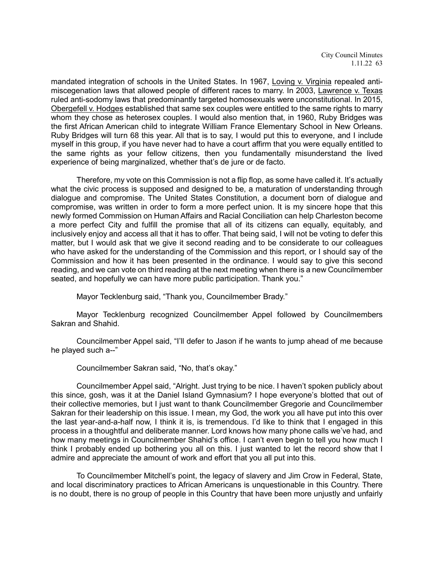mandated integration of schools in the United States. In 1967, Loving v. Virginia repealed antimiscegenation laws that allowed people of different races to marry. In 2003, Lawrence v. Texas ruled anti-sodomy laws that predominantly targeted homosexuals were unconstitutional. In 2015, Obergefell v. Hodges established that same sex couples were entitled to the same rights to marry whom they chose as heterosex couples. I would also mention that, in 1960, Ruby Bridges was the first African American child to integrate William France Elementary School in New Orleans. Ruby Bridges will turn 68 this year. All that is to say, I would put this to everyone, and I include myself in this group, if you have never had to have a court affirm that you were equally entitled to the same rights as your fellow citizens, then you fundamentally misunderstand the lived experience of being marginalized, whether that's de jure or de facto.

Therefore, my vote on this Commission is not a flip flop, as some have called it. It's actually what the civic process is supposed and designed to be, a maturation of understanding through dialogue and compromise. The United States Constitution, a document born of dialogue and compromise, was written in order to form a more perfect union. It is my sincere hope that this newly formed Commission on Human Affairs and Racial Conciliation can help Charleston become a more perfect City and fulfill the promise that all of its citizens can equally, equitably, and inclusively enjoy and access all that it has to offer. That being said, I will not be voting to defer this matter, but I would ask that we give it second reading and to be considerate to our colleagues who have asked for the understanding of the Commission and this report, or I should say of the Commission and how it has been presented in the ordinance. I would say to give this second reading, and we can vote on third reading at the next meeting when there is a new Councilmember seated, and hopefully we can have more public participation. Thank you."

Mayor Tecklenburg said, "Thank you, Councilmember Brady."

Mayor Tecklenburg recognized Councilmember Appel followed by Councilmembers Sakran and Shahid.

Councilmember Appel said, "I'll defer to Jason if he wants to jump ahead of me because he played such a--"

Councilmember Sakran said, "No, that's okay."

Councilmember Appel said, "Alright. Just trying to be nice. I haven't spoken publicly about this since, gosh, was it at the Daniel Island Gymnasium? I hope everyone's blotted that out of their collective memories, but I just want to thank Councilmember Gregorie and Councilmember Sakran for their leadership on this issue. I mean, my God, the work you all have put into this over the last year-and-a-half now, I think it is, is tremendous. I'd like to think that I engaged in this process in a thoughtful and deliberate manner. Lord knows how many phone calls we've had, and how many meetings in Councilmember Shahid's office. I can't even begin to tell you how much I think I probably ended up bothering you all on this. I just wanted to let the record show that I admire and appreciate the amount of work and effort that you all put into this.

To Councilmember Mitchell's point, the legacy of slavery and Jim Crow in Federal, State, and local discriminatory practices to African Americans is unquestionable in this Country. There is no doubt, there is no group of people in this Country that have been more unjustly and unfairly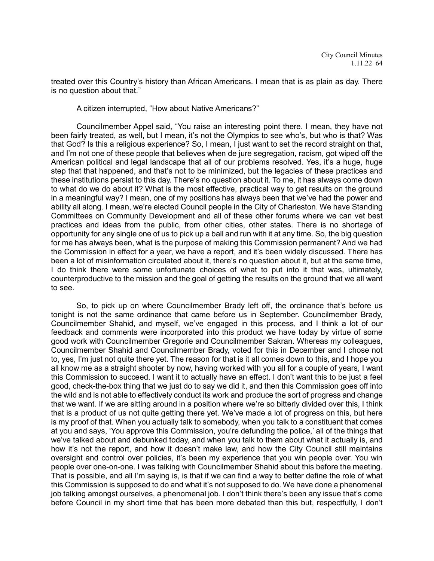treated over this Country's history than African Americans. I mean that is as plain as day. There is no question about that."

A citizen interrupted, "How about Native Americans?"

Councilmember Appel said, "You raise an interesting point there. I mean, they have not been fairly treated, as well, but I mean, it's not the Olympics to see who's, but who is that? Was that God? Is this a religious experience? So, I mean, I just want to set the record straight on that, and I'm not one of these people that believes when de jure segregation, racism, got wiped off the American political and legal landscape that all of our problems resolved. Yes, it's a huge, huge step that that happened, and that's not to be minimized, but the legacies of these practices and these institutions persist to this day. There's no question about it. To me, it has always come down to what do we do about it? What is the most effective, practical way to get results on the ground in a meaningful way? I mean, one of my positions has always been that we've had the power and ability all along. I mean, we're elected Council people in the City of Charleston. We have Standing Committees on Community Development and all of these other forums where we can vet best practices and ideas from the public, from other cities, other states. There is no shortage of opportunity for any single one of us to pick up a ball and run with it at any time. So, the big question for me has always been, what is the purpose of making this Commission permanent? And we had the Commission in effect for a year, we have a report, and it's been widely discussed. There has been a lot of misinformation circulated about it, there's no question about it, but at the same time, I do think there were some unfortunate choices of what to put into it that was, ultimately, counterproductive to the mission and the goal of getting the results on the ground that we all want to see.

So, to pick up on where Councilmember Brady left off, the ordinance that's before us tonight is not the same ordinance that came before us in September. Councilmember Brady, Councilmember Shahid, and myself, we've engaged in this process, and I think a lot of our feedback and comments were incorporated into this product we have today by virtue of some good work with Councilmember Gregorie and Councilmember Sakran. Whereas my colleagues, Councilmember Shahid and Councilmember Brady, voted for this in December and I chose not to, yes, I'm just not quite there yet. The reason for that is it all comes down to this, and I hope you all know me as a straight shooter by now, having worked with you all for a couple of years, I want this Commission to succeed. I want it to actually have an effect. I don't want this to be just a feel good, check-the-box thing that we just do to say we did it, and then this Commission goes off into the wild and is not able to effectively conduct its work and produce the sort of progress and change that we want. If we are sitting around in a position where we're so bitterly divided over this, I think that is a product of us not quite getting there yet. We've made a lot of progress on this, but here is my proof of that. When you actually talk to somebody, when you talk to a constituent that comes at you and says, 'You approve this Commission, you're defunding the police,' all of the things that we've talked about and debunked today, and when you talk to them about what it actually is, and how it's not the report, and how it doesn't make law, and how the City Council still maintains oversight and control over policies, it's been my experience that you win people over. You win people over one-on-one. I was talking with Councilmember Shahid about this before the meeting. That is possible, and all I'm saying is, is that if we can find a way to better define the role of what this Commission is supposed to do and what it's not supposed to do. We have done a phenomenal job talking amongst ourselves, a phenomenal job. I don't think there's been any issue that's come before Council in my short time that has been more debated than this but, respectfully, I don't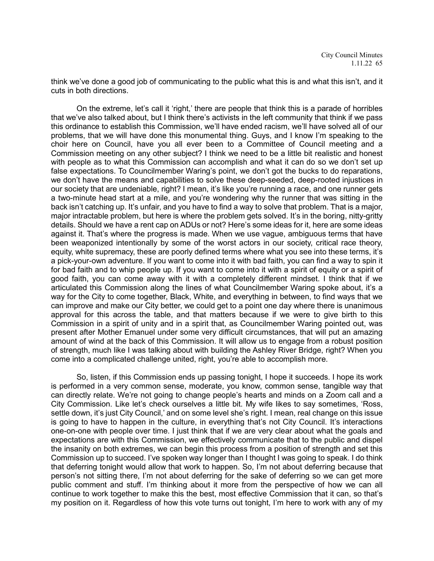think we've done a good job of communicating to the public what this is and what this isn't, and it cuts in both directions.

On the extreme, let's call it 'right,' there are people that think this is a parade of horribles that we've also talked about, but I think there's activists in the left community that think if we pass this ordinance to establish this Commission, we'll have ended racism, we'll have solved all of our problems, that we will have done this monumental thing. Guys, and I know I'm speaking to the choir here on Council, have you all ever been to a Committee of Council meeting and a Commission meeting on any other subject? I think we need to be a little bit realistic and honest with people as to what this Commission can accomplish and what it can do so we don't set up false expectations. To Councilmember Waring's point, we don't got the bucks to do reparations, we don't have the means and capabilities to solve these deep-seeded, deep-rooted injustices in our society that are undeniable, right? I mean, it's like you're running a race, and one runner gets a two-minute head start at a mile, and you're wondering why the runner that was sitting in the back isn't catching up. It's unfair, and you have to find a way to solve that problem. That is a major, major intractable problem, but here is where the problem gets solved. It's in the boring, nitty-gritty details. Should we have a rent cap on ADUs or not? Here's some ideas for it, here are some ideas against it. That's where the progress is made. When we use vague, ambiguous terms that have been weaponized intentionally by some of the worst actors in our society, critical race theory, equity, white supremacy, these are poorly defined terms where what you see into these terms, it's a pick-your-own adventure. If you want to come into it with bad faith, you can find a way to spin it for bad faith and to whip people up. If you want to come into it with a spirit of equity or a spirit of good faith, you can come away with it with a completely different mindset. I think that if we articulated this Commission along the lines of what Councilmember Waring spoke about, it's a way for the City to come together, Black, White, and everything in between, to find ways that we can improve and make our City better, we could get to a point one day where there is unanimous approval for this across the table, and that matters because if we were to give birth to this Commission in a spirit of unity and in a spirit that, as Councilmember Waring pointed out, was present after Mother Emanuel under some very difficult circumstances, that will put an amazing amount of wind at the back of this Commission. It will allow us to engage from a robust position of strength, much like I was talking about with building the Ashley River Bridge, right? When you come into a complicated challenge united, right, you're able to accomplish more.

So, listen, if this Commission ends up passing tonight, I hope it succeeds. I hope its work is performed in a very common sense, moderate, you know, common sense, tangible way that can directly relate. We're not going to change people's hearts and minds on a Zoom call and a City Commission. Like let's check ourselves a little bit. My wife likes to say sometimes, 'Ross, settle down, it's just City Council,' and on some level she's right. I mean, real change on this issue is going to have to happen in the culture, in everything that's not City Council. It's interactions one-on-one with people over time. I just think that if we are very clear about what the goals and expectations are with this Commission, we effectively communicate that to the public and dispel the insanity on both extremes, we can begin this process from a position of strength and set this Commission up to succeed. I've spoken way longer than I thought I was going to speak. I do think that deferring tonight would allow that work to happen. So, I'm not about deferring because that person's not sitting there, I'm not about deferring for the sake of deferring so we can get more public comment and stuff. I'm thinking about it more from the perspective of how we can all continue to work together to make this the best, most effective Commission that it can, so that's my position on it. Regardless of how this vote turns out tonight, I'm here to work with any of my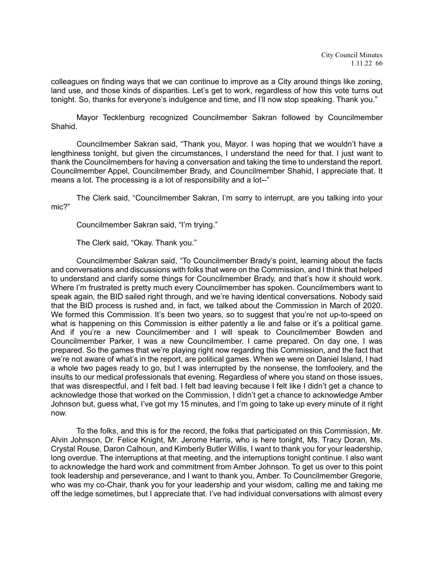colleagues on finding ways that we can continue to improve as a City around things like zoning, land use, and those kinds of disparities. Let's get to work, regardless of how this vote turns out tonight. So, thanks for everyone's indulgence and time, and I'll now stop speaking. Thank you."

Mayor Tecklenburg recognized Councilmember Sakran followed by Councilmember Shahid.

Councilmember Sakran said, "Thank you, Mayor. I was hoping that we wouldn't have a lengthiness tonight, but given the circumstances, I understand the need for that. I just want to thank the Councilmembers for having a conversation and taking the time to understand the report. Councilmember Appel, Councilmember Brady, and Councilmember Shahid, I appreciate that. It means a lot. The processing is a lot of responsibility and a lot--"

The Clerk said, "Councilmember Sakran, I'm sorry to interrupt, are you talking into your mic?"

Councilmember Sakran said, "I'm trying."

The Clerk said, "Okay. Thank you."

Councilmember Sakran said, "To Councilmember Brady's point, learning about the facts and conversations and discussions with folks that were on the Commission, and I think that helped to understand and clarify some things for Councilmember Brady, and that's how it should work. Where I'm frustrated is pretty much every Councilmember has spoken. Councilmembers want to speak again, the BID sailed right through, and we're having identical conversations. Nobody said that the BID process is rushed and, in fact, we talked about the Commission in March of 2020. We formed this Commission. It's been two years, so to suggest that you're not up-to-speed on what is happening on this Commission is either patently a lie and false or it's a political game. And if you're a new Councilmember and I will speak to Councilmember Bowden and Councilmember Parker, I was a new Councilmember. I came prepared. On day one, I was prepared. So the games that we're playing right now regarding this Commission, and the fact that we're not aware of what's in the report, are political games. When we were on Daniel Island, I had a whole two pages ready to go, but I was interrupted by the nonsense, the tomfoolery, and the insults to our medical professionals that evening. Regardless of where you stand on those issues, that was disrespectful, and I felt bad. I felt bad leaving because I felt like I didn't get a chance to acknowledge those that worked on the Commission, I didn't get a chance to acknowledge Amber Johnson but, guess what, I've got my 15 minutes, and I'm going to take up every minute of it right now.

To the folks, and this is for the record, the folks that participated on this Commission, Mr. Alvin Johnson, Dr. Felice Knight, Mr. Jerome Harris, who is here tonight, Ms. Tracy Doran, Ms. Crystal Rouse, Daron Calhoun, and Kimberly Butler Willis, I want to thank you for your leadership, long overdue. The interruptions at that meeting, and the interruptions tonight continue. I also want to acknowledge the hard work and commitment from Amber Johnson. To get us over to this point took leadership and perseverance, and I want to thank you, Amber. To Councilmember Gregorie, who was my co-Chair, thank you for your leadership and your wisdom, calling me and taking me off the ledge sometimes, but I appreciate that. I've had individual conversations with almost every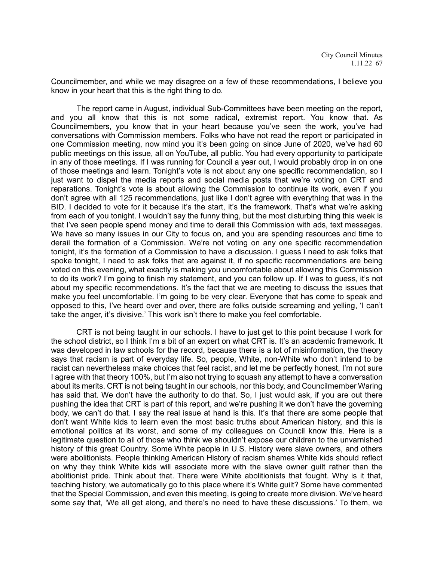Councilmember, and while we may disagree on a few of these recommendations, I believe you know in your heart that this is the right thing to do.

The report came in August, individual Sub-Committees have been meeting on the report, and you all know that this is not some radical, extremist report. You know that. As Councilmembers, you know that in your heart because you've seen the work, you've had conversations with Commission members. Folks who have not read the report or participated in one Commission meeting, now mind you it's been going on since June of 2020, we've had 60 public meetings on this issue, all on YouTube, all public. You had every opportunity to participate in any of those meetings. If I was running for Council a year out, I would probably drop in on one of those meetings and learn. Tonight's vote is not about any one specific recommendation, so I just want to dispel the media reports and social media posts that we're voting on CRT and reparations. Tonight's vote is about allowing the Commission to continue its work, even if you don't agree with all 125 recommendations, just like I don't agree with everything that was in the BID. I decided to vote for it because it's the start, it's the framework. That's what we're asking from each of you tonight. I wouldn't say the funny thing, but the most disturbing thing this week is that I've seen people spend money and time to derail this Commission with ads, text messages. We have so many issues in our City to focus on, and you are spending resources and time to derail the formation of a Commission. We're not voting on any one specific recommendation tonight, it's the formation of a Commission to have a discussion. I guess I need to ask folks that spoke tonight, I need to ask folks that are against it, if no specific recommendations are being voted on this evening, what exactly is making you uncomfortable about allowing this Commission to do its work? I'm going to finish my statement, and you can follow up. If I was to guess, it's not about my specific recommendations. It's the fact that we are meeting to discuss the issues that make you feel uncomfortable. I'm going to be very clear. Everyone that has come to speak and opposed to this, I've heard over and over, there are folks outside screaming and yelling, 'I can't take the anger, it's divisive.' This work isn't there to make you feel comfortable.

CRT is not being taught in our schools. I have to just get to this point because I work for the school district, so I think I'm a bit of an expert on what CRT is. It's an academic framework. It was developed in law schools for the record, because there is a lot of misinformation, the theory says that racism is part of everyday life. So, people, White, non-White who don't intend to be racist can nevertheless make choices that feel racist, and let me be perfectly honest, I'm not sure I agree with that theory 100%, but I'm also not trying to squash any attempt to have a conversation about its merits. CRT is not being taught in our schools, nor this body, and Councilmember Waring has said that. We don't have the authority to do that. So, I just would ask, if you are out there pushing the idea that CRT is part of this report, and we're pushing it we don't have the governing body, we can't do that. I say the real issue at hand is this. It's that there are some people that don't want White kids to learn even the most basic truths about American history, and this is emotional politics at its worst, and some of my colleagues on Council know this. Here is a legitimate question to all of those who think we shouldn't expose our children to the unvarnished history of this great Country. Some White people in U.S. History were slave owners, and others were abolitionists. People thinking American History of racism shames White kids should reflect on why they think White kids will associate more with the slave owner guilt rather than the abolitionist pride. Think about that. There were White abolitionists that fought. Why is it that, teaching history, we automatically go to this place where it's White guilt? Some have commented that the Special Commission, and even this meeting, is going to create more division. We've heard some say that, 'We all get along, and there's no need to have these discussions.' To them, we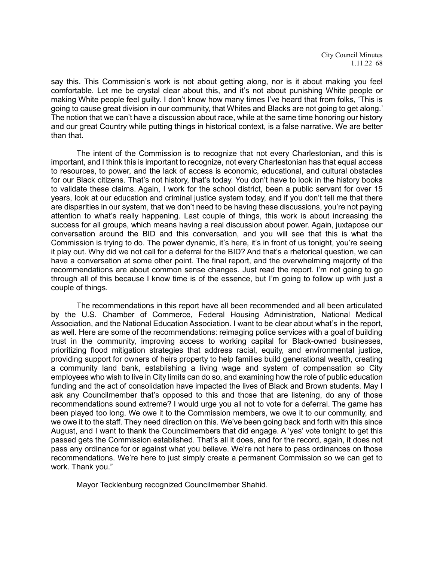say this. This Commission's work is not about getting along, nor is it about making you feel comfortable. Let me be crystal clear about this, and it's not about punishing White people or making White people feel guilty. I don't know how many times I've heard that from folks, 'This is going to cause great division in our community, that Whites and Blacks are not going to get along.' The notion that we can't have a discussion about race, while at the same time honoring our history and our great Country while putting things in historical context, is a false narrative. We are better than that.

The intent of the Commission is to recognize that not every Charlestonian, and this is important, and I think this is important to recognize, not every Charlestonian has that equal access to resources, to power, and the lack of access is economic, educational, and cultural obstacles for our Black citizens. That's not history, that's today. You don't have to look in the history books to validate these claims. Again, I work for the school district, been a public servant for over 15 years, look at our education and criminal justice system today, and if you don't tell me that there are disparities in our system, that we don't need to be having these discussions, you're not paying attention to what's really happening. Last couple of things, this work is about increasing the success for all groups, which means having a real discussion about power. Again, juxtapose our conversation around the BID and this conversation, and you will see that this is what the Commission is trying to do. The power dynamic, it's here, it's in front of us tonight, you're seeing it play out. Why did we not call for a deferral for the BID? And that's a rhetorical question, we can have a conversation at some other point. The final report, and the overwhelming majority of the recommendations are about common sense changes. Just read the report. I'm not going to go through all of this because I know time is of the essence, but I'm going to follow up with just a couple of things.

The recommendations in this report have all been recommended and all been articulated by the U.S. Chamber of Commerce, Federal Housing Administration, National Medical Association, and the National Education Association. I want to be clear about what's in the report, as well. Here are some of the recommendations: reimaging police services with a goal of building trust in the community, improving access to working capital for Black-owned businesses, prioritizing flood mitigation strategies that address racial, equity, and environmental justice, providing support for owners of heirs property to help families build generational wealth, creating a community land bank, establishing a living wage and system of compensation so City employees who wish to live in City limits can do so, and examining how the role of public education funding and the act of consolidation have impacted the lives of Black and Brown students. May I ask any Councilmember that's opposed to this and those that are listening, do any of those recommendations sound extreme? I would urge you all not to vote for a deferral. The game has been played too long. We owe it to the Commission members, we owe it to our community, and we owe it to the staff. They need direction on this. We've been going back and forth with this since August, and I want to thank the Councilmembers that did engage. A 'yes' vote tonight to get this passed gets the Commission established. That's all it does, and for the record, again, it does not pass any ordinance for or against what you believe. We're not here to pass ordinances on those recommendations. We're here to just simply create a permanent Commission so we can get to work. Thank you."

Mayor Tecklenburg recognized Councilmember Shahid.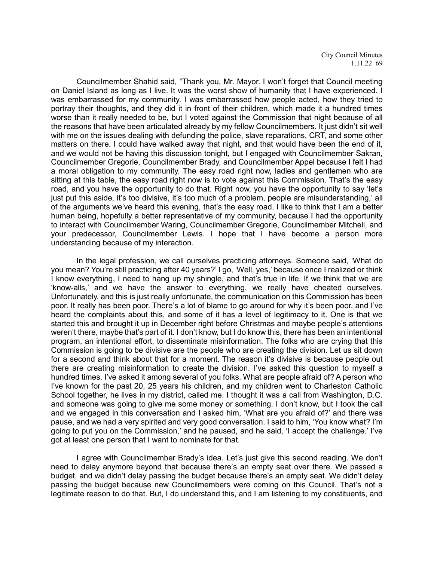Councilmember Shahid said, "Thank you, Mr. Mayor. I won't forget that Council meeting on Daniel Island as long as I live. It was the worst show of humanity that I have experienced. I was embarrassed for my community. I was embarrassed how people acted, how they tried to portray their thoughts, and they did it in front of their children, which made it a hundred times worse than it really needed to be, but I voted against the Commission that night because of all the reasons that have been articulated already by my fellow Councilmembers. It just didn't sit well with me on the issues dealing with defunding the police, slave reparations, CRT, and some other matters on there. I could have walked away that night, and that would have been the end of it, and we would not be having this discussion tonight, but I engaged with Councilmember Sakran, Councilmember Gregorie, Councilmember Brady, and Councilmember Appel because I felt I had a moral obligation to my community. The easy road right now, ladies and gentlemen who are sitting at this table, the easy road right now is to vote against this Commission. That's the easy road, and you have the opportunity to do that. Right now, you have the opportunity to say 'let's just put this aside, it's too divisive, it's too much of a problem, people are misunderstanding,' all of the arguments we've heard this evening, that's the easy road. I like to think that I am a better human being, hopefully a better representative of my community, because I had the opportunity to interact with Councilmember Waring, Councilmember Gregorie, Councilmember Mitchell, and your predecessor, Councilmember Lewis. I hope that I have become a person more understanding because of my interaction.

In the legal profession, we call ourselves practicing attorneys. Someone said, 'What do you mean? You're still practicing after 40 years?' I go, 'Well, yes,' because once I realized or think I know everything, I need to hang up my shingle, and that's true in life. If we think that we are 'know-alls,' and we have the answer to everything, we really have cheated ourselves. Unfortunately, and this is just really unfortunate, the communication on this Commission has been poor. It really has been poor. There's a lot of blame to go around for why it's been poor, and I've heard the complaints about this, and some of it has a level of legitimacy to it. One is that we started this and brought it up in December right before Christmas and maybe people's attentions weren't there, maybe that's part of it. I don't know, but I do know this, there has been an intentional program, an intentional effort, to disseminate misinformation. The folks who are crying that this Commission is going to be divisive are the people who are creating the division. Let us sit down for a second and think about that for a moment. The reason it's divisive is because people out there are creating misinformation to create the division. I've asked this question to myself a hundred times. I've asked it among several of you folks. What are people afraid of? A person who I've known for the past 20, 25 years his children, and my children went to Charleston Catholic School together, he lives in my district, called me. I thought it was a call from Washington, D.C. and someone was going to give me some money or something. I don't know, but I took the call and we engaged in this conversation and I asked him, 'What are you afraid of?' and there was pause, and we had a very spirited and very good conversation. I said to him, 'You know what? I'm going to put you on the Commission,' and he paused, and he said, 'I accept the challenge.' I've got at least one person that I want to nominate for that.

I agree with Councilmember Brady's idea. Let's just give this second reading. We don't need to delay anymore beyond that because there's an empty seat over there. We passed a budget, and we didn't delay passing the budget because there's an empty seat. We didn't delay passing the budget because new Councilmembers were coming on this Council. That's not a legitimate reason to do that. But, I do understand this, and I am listening to my constituents, and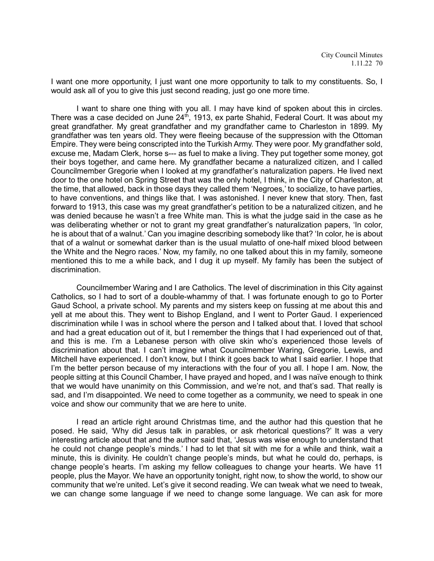I want one more opportunity, I just want one more opportunity to talk to my constituents. So, I would ask all of you to give this just second reading, just go one more time.

I want to share one thing with you all. I may have kind of spoken about this in circles. There was a case decided on June  $24<sup>th</sup>$ , 1913, ex parte Shahid, Federal Court. It was about my great grandfather. My great grandfather and my grandfather came to Charleston in 1899. My grandfather was ten years old. They were fleeing because of the suppression with the Ottoman Empire. They were being conscripted into the Turkish Army. They were poor. My grandfather sold, excuse me, Madam Clerk, horse s--- as fuel to make a living. They put together some money, got their boys together, and came here. My grandfather became a naturalized citizen, and I called Councilmember Gregorie when I looked at my grandfather's naturalization papers. He lived next door to the one hotel on Spring Street that was the only hotel, I think, in the City of Charleston, at the time, that allowed, back in those days they called them 'Negroes,' to socialize, to have parties, to have conventions, and things like that. I was astonished. I never knew that story. Then, fast forward to 1913, this case was my great grandfather's petition to be a naturalized citizen, and he was denied because he wasn't a free White man. This is what the judge said in the case as he was deliberating whether or not to grant my great grandfather's naturalization papers, 'In color, he is about that of a walnut.' Can you imagine describing somebody like that? 'In color, he is about that of a walnut or somewhat darker than is the usual mulatto of one-half mixed blood between the White and the Negro races.' Now, my family, no one talked about this in my family, someone mentioned this to me a while back, and I dug it up myself. My family has been the subject of discrimination.

Councilmember Waring and I are Catholics. The level of discrimination in this City against Catholics, so I had to sort of a double-whammy of that. I was fortunate enough to go to Porter Gaud School, a private school. My parents and my sisters keep on fussing at me about this and yell at me about this. They went to Bishop England, and I went to Porter Gaud. I experienced discrimination while I was in school where the person and I talked about that. I loved that school and had a great education out of it, but I remember the things that I had experienced out of that, and this is me. I'm a Lebanese person with olive skin who's experienced those levels of discrimination about that. I can't imagine what Councilmember Waring, Gregorie, Lewis, and Mitchell have experienced. I don't know, but I think it goes back to what I said earlier. I hope that I'm the better person because of my interactions with the four of you all. I hope I am. Now, the people sitting at this Council Chamber, I have prayed and hoped, and I was naïve enough to think that we would have unanimity on this Commission, and we're not, and that's sad. That really is sad, and I'm disappointed. We need to come together as a community, we need to speak in one voice and show our community that we are here to unite.

I read an article right around Christmas time, and the author had this question that he posed. He said, 'Why did Jesus talk in parables, or ask rhetorical questions?' It was a very interesting article about that and the author said that, 'Jesus was wise enough to understand that he could not change people's minds.' I had to let that sit with me for a while and think, wait a minute, this is divinity. He couldn't change people's minds, but what he could do, perhaps, is change people's hearts. I'm asking my fellow colleagues to change your hearts. We have 11 people, plus the Mayor. We have an opportunity tonight, right now, to show the world, to show our community that we're united. Let's give it second reading. We can tweak what we need to tweak, we can change some language if we need to change some language. We can ask for more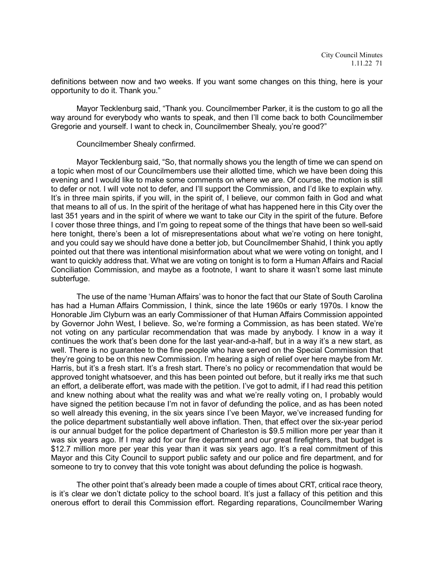definitions between now and two weeks. If you want some changes on this thing, here is your opportunity to do it. Thank you."

Mayor Tecklenburg said, "Thank you. Councilmember Parker, it is the custom to go all the way around for everybody who wants to speak, and then I'll come back to both Councilmember Gregorie and yourself. I want to check in, Councilmember Shealy, you're good?"

Councilmember Shealy confirmed.

Mayor Tecklenburg said, "So, that normally shows you the length of time we can spend on a topic when most of our Councilmembers use their allotted time, which we have been doing this evening and I would like to make some comments on where we are. Of course, the motion is still to defer or not. I will vote not to defer, and I'll support the Commission, and I'd like to explain why. It's in three main spirits, if you will, in the spirit of, I believe, our common faith in God and what that means to all of us. In the spirit of the heritage of what has happened here in this City over the last 351 years and in the spirit of where we want to take our City in the spirit of the future. Before I cover those three things, and I'm going to repeat some of the things that have been so well-said here tonight, there's been a lot of misrepresentations about what we're voting on here tonight, and you could say we should have done a better job, but Councilmember Shahid, I think you aptly pointed out that there was intentional misinformation about what we were voting on tonight, and I want to quickly address that. What we are voting on tonight is to form a Human Affairs and Racial Conciliation Commission, and maybe as a footnote, I want to share it wasn't some last minute subterfuge.

The use of the name 'Human Affairs' was to honor the fact that our State of South Carolina has had a Human Affairs Commission, I think, since the late 1960s or early 1970s. I know the Honorable Jim Clyburn was an early Commissioner of that Human Affairs Commission appointed by Governor John West, I believe. So, we're forming a Commission, as has been stated. We're not voting on any particular recommendation that was made by anybody. I know in a way it continues the work that's been done for the last year-and-a-half, but in a way it's a new start, as well. There is no guarantee to the fine people who have served on the Special Commission that they're going to be on this new Commission. I'm hearing a sigh of relief over here maybe from Mr. Harris, but it's a fresh start. It's a fresh start. There's no policy or recommendation that would be approved tonight whatsoever, and this has been pointed out before, but it really irks me that such an effort, a deliberate effort, was made with the petition. I've got to admit, if I had read this petition and knew nothing about what the reality was and what we're really voting on, I probably would have signed the petition because I'm not in favor of defunding the police, and as has been noted so well already this evening, in the six years since I've been Mayor, we've increased funding for the police department substantially well above inflation. Then, that effect over the six-year period is our annual budget for the police department of Charleston is \$9.5 million more per year than it was six years ago. If I may add for our fire department and our great firefighters, that budget is \$12.7 million more per year this year than it was six years ago. It's a real commitment of this Mayor and this City Council to support public safety and our police and fire department, and for someone to try to convey that this vote tonight was about defunding the police is hogwash.

The other point that's already been made a couple of times about CRT, critical race theory, is it's clear we don't dictate policy to the school board. It's just a fallacy of this petition and this onerous effort to derail this Commission effort. Regarding reparations, Councilmember Waring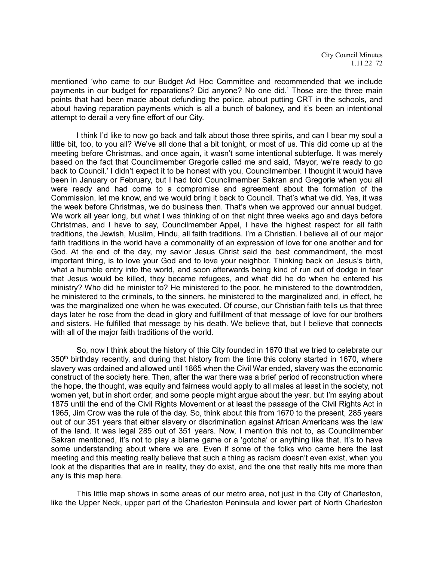mentioned 'who came to our Budget Ad Hoc Committee and recommended that we include payments in our budget for reparations? Did anyone? No one did.' Those are the three main points that had been made about defunding the police, about putting CRT in the schools, and about having reparation payments which is all a bunch of baloney, and it's been an intentional attempt to derail a very fine effort of our City.

I think I'd like to now go back and talk about those three spirits, and can I bear my soul a little bit, too, to you all? We've all done that a bit tonight, or most of us. This did come up at the meeting before Christmas, and once again, it wasn't some intentional subterfuge. It was merely based on the fact that Councilmember Gregorie called me and said, 'Mayor, we're ready to go back to Council.' I didn't expect it to be honest with you, Councilmember. I thought it would have been in January or February, but I had told Councilmember Sakran and Gregorie when you all were ready and had come to a compromise and agreement about the formation of the Commission, let me know, and we would bring it back to Council. That's what we did. Yes, it was the week before Christmas, we do business then. That's when we approved our annual budget. We work all year long, but what I was thinking of on that night three weeks ago and days before Christmas, and I have to say, Councilmember Appel, I have the highest respect for all faith traditions, the Jewish, Muslim, Hindu, all faith traditions. I'm a Christian. I believe all of our major faith traditions in the world have a commonality of an expression of love for one another and for God. At the end of the day, my savior Jesus Christ said the best commandment, the most important thing, is to love your God and to love your neighbor. Thinking back on Jesus's birth, what a humble entry into the world, and soon afterwards being kind of run out of dodge in fear that Jesus would be killed, they became refugees, and what did he do when he entered his ministry? Who did he minister to? He ministered to the poor, he ministered to the downtrodden, he ministered to the criminals, to the sinners, he ministered to the marginalized and, in effect, he was the marginalized one when he was executed. Of course, our Christian faith tells us that three days later he rose from the dead in glory and fulfillment of that message of love for our brothers and sisters. He fulfilled that message by his death. We believe that, but I believe that connects with all of the major faith traditions of the world.

So, now I think about the history of this City founded in 1670 that we tried to celebrate our 350<sup>th</sup> birthday recently, and during that history from the time this colony started in 1670, where slavery was ordained and allowed until 1865 when the Civil War ended, slavery was the economic construct of the society here. Then, after the war there was a brief period of reconstruction where the hope, the thought, was equity and fairness would apply to all males at least in the society, not women yet, but in short order, and some people might argue about the year, but I'm saying about 1875 until the end of the Civil Rights Movement or at least the passage of the Civil Rights Act in 1965, Jim Crow was the rule of the day. So, think about this from 1670 to the present, 285 years out of our 351 years that either slavery or discrimination against African Americans was the law of the land. It was legal 285 out of 351 years. Now, I mention this not to, as Councilmember Sakran mentioned, it's not to play a blame game or a 'gotcha' or anything like that. It's to have some understanding about where we are. Even if some of the folks who came here the last meeting and this meeting really believe that such a thing as racism doesn't even exist, when you look at the disparities that are in reality, they do exist, and the one that really hits me more than any is this map here.

This little map shows in some areas of our metro area, not just in the City of Charleston, like the Upper Neck, upper part of the Charleston Peninsula and lower part of North Charleston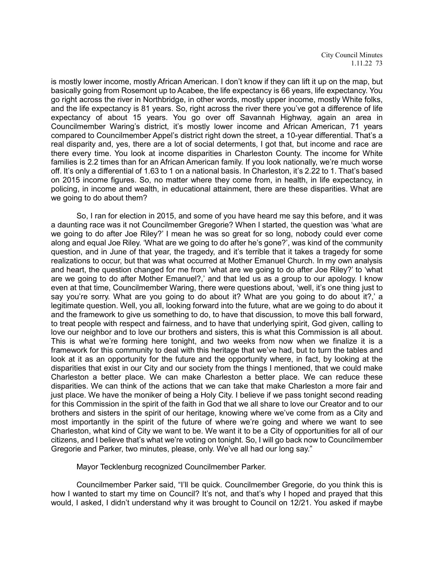is mostly lower income, mostly African American. I don't know if they can lift it up on the map, but basically going from Rosemont up to Acabee, the life expectancy is 66 years, life expectancy. You go right across the river in Northbridge, in other words, mostly upper income, mostly White folks, and the life expectancy is 81 years. So, right across the river there you've got a difference of life expectancy of about 15 years. You go over off Savannah Highway, again an area in Councilmember Waring's district, it's mostly lower income and African American, 71 years compared to Councilmember Appel's district right down the street, a 10-year differential. That's a real disparity and, yes, there are a lot of social determents, I got that, but income and race are there every time. You look at income disparities in Charleston County. The income for White families is 2.2 times than for an African American family. If you look nationally, we're much worse off. It's only a differential of 1.63 to 1 on a national basis. In Charleston, it's 2.22 to 1. That's based on 2015 income figures. So, no matter where they come from, in health, in life expectancy, in policing, in income and wealth, in educational attainment, there are these disparities. What are we going to do about them?

So, I ran for election in 2015, and some of you have heard me say this before, and it was a daunting race was it not Councilmember Gregorie? When I started, the question was 'what are we going to do after Joe Riley?' I mean he was so great for so long, nobody could ever come along and equal Joe Riley. 'What are we going to do after he's gone?', was kind of the community question, and in June of that year, the tragedy, and it's terrible that it takes a tragedy for some realizations to occur, but that was what occurred at Mother Emanuel Church. In my own analysis and heart, the question changed for me from 'what are we going to do after Joe Riley?' to 'what are we going to do after Mother Emanuel?,' and that led us as a group to our apology. I know even at that time, Councilmember Waring, there were questions about, 'well, it's one thing just to say you're sorry. What are you going to do about it? What are you going to do about it?,' a legitimate question. Well, you all, looking forward into the future, what are we going to do about it and the framework to give us something to do, to have that discussion, to move this ball forward, to treat people with respect and fairness, and to have that underlying spirit, God given, calling to love our neighbor and to love our brothers and sisters, this is what this Commission is all about. This is what we're forming here tonight, and two weeks from now when we finalize it is a framework for this community to deal with this heritage that we've had, but to turn the tables and look at it as an opportunity for the future and the opportunity where, in fact, by looking at the disparities that exist in our City and our society from the things I mentioned, that we could make Charleston a better place. We can make Charleston a better place. We can reduce these disparities. We can think of the actions that we can take that make Charleston a more fair and just place. We have the moniker of being a Holy City. I believe if we pass tonight second reading for this Commission in the spirit of the faith in God that we all share to love our Creator and to our brothers and sisters in the spirit of our heritage, knowing where we've come from as a City and most importantly in the spirit of the future of where we're going and where we want to see Charleston, what kind of City we want to be. We want it to be a City of opportunities for all of our citizens, and I believe that's what we're voting on tonight. So, I will go back now to Councilmember Gregorie and Parker, two minutes, please, only. We've all had our long say."

Mayor Tecklenburg recognized Councilmember Parker.

Councilmember Parker said, "I'll be quick. Councilmember Gregorie, do you think this is how I wanted to start my time on Council? It's not, and that's why I hoped and prayed that this would, I asked, I didn't understand why it was brought to Council on 12/21. You asked if maybe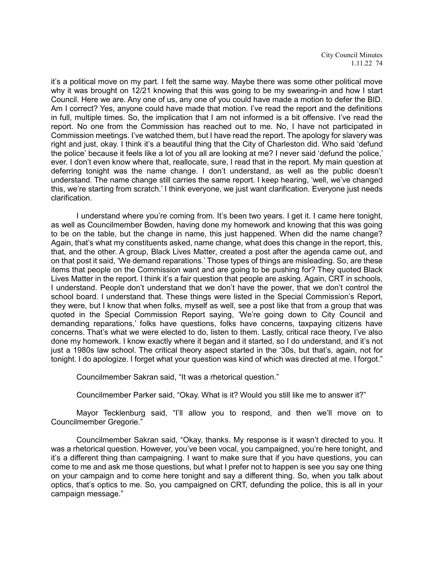it's a political move on my part. I felt the same way. Maybe there was some other political move why it was brought on 12/21 knowing that this was going to be my swearing-in and how I start Council. Here we are. Any one of us, any one of you could have made a motion to defer the BID. Am I correct? Yes, anyone could have made that motion. I've read the report and the definitions in full, multiple times. So, the implication that I am not informed is a bit offensive. I've read the report. No one from the Commission has reached out to me. No, I have not participated in Commission meetings. I've watched them, but I have read the report. The apology for slavery was right and just, okay. I think it's a beautiful thing that the City of Charleston did. Who said 'defund the police' because it feels like a lot of you all are looking at me? I never said 'defund the police,' ever. I don't even know where that, reallocate, sure, I read that in the report. My main question at deferring tonight was the name change. I don't understand, as well as the public doesn't understand. The name change still carries the same report. I keep hearing, 'well, we've changed this, we're starting from scratch.' I think everyone, we just want clarification. Everyone just needs clarification.

I understand where you're coming from. It's been two years. I get it. I came here tonight, as well as Councilmember Bowden, having done my homework and knowing that this was going to be on the table, but the change in name, this just happened. When did the name change? Again, that's what my constituents asked, name change, what does this change in the report, this, that, and the other. A group, Black Lives Matter, created a post after the agenda came out, and on that post it said, 'We demand reparations.' Those types of things are misleading. So, are these items that people on the Commission want and are going to be pushing for? They quoted Black Lives Matter in the report. I think it's a fair question that people are asking. Again, CRT in schools, I understand. People don't understand that we don't have the power, that we don't control the school board. I understand that. These things were listed in the Special Commission's Report, they were, but I know that when folks, myself as well, see a post like that from a group that was quoted in the Special Commission Report saying, 'We're going down to City Council and demanding reparations,' folks have questions, folks have concerns, taxpaying citizens have concerns. That's what we were elected to do, listen to them. Lastly, critical race theory, I've also done my homework. I know exactly where it began and it started, so I do understand, and it's not just a 1980s law school. The critical theory aspect started in the '30s, but that's, again, not for tonight. I do apologize. I forget what your question was kind of which was directed at me. I forgot."

Councilmember Sakran said, "It was a rhetorical question."

Councilmember Parker said, "Okay. What is it? Would you still like me to answer it?"

Mayor Tecklenburg said, "I'll allow you to respond, and then we'll move on to Councilmember Gregorie."

Councilmember Sakran said, "Okay, thanks. My response is it wasn't directed to you. It was a rhetorical question. However, you've been vocal, you campaigned, you're here tonight, and it's a different thing than campaigning. I want to make sure that if you have questions, you can come to me and ask me those questions, but what I prefer not to happen is see you say one thing on your campaign and to come here tonight and say a different thing. So, when you talk about optics, that's optics to me. So, you campaigned on CRT, defunding the police, this is all in your campaign message."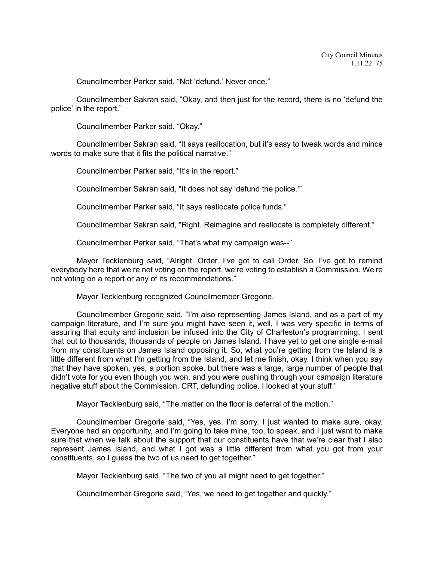Councilmember Parker said, "Not 'defund.' Never once."

Councilmember Sakran said, "Okay, and then just for the record, there is no 'defund the police' in the report."

Councilmember Parker said, "Okay."

Councilmember Sakran said, "It says reallocation, but it's easy to tweak words and mince words to make sure that it fits the political narrative."

Councilmember Parker said, "It's in the report."

Councilmember Sakran said, "It does not say 'defund the police.'"

Councilmember Parker said, "It says reallocate police funds."

Councilmember Sakran said, "Right. Reimagine and reallocate is completely different."

Councilmember Parker said, "That's what my campaign was--"

Mayor Tecklenburg said, "Alright. Order. I've got to call Order. So, I've got to remind everybody here that we're not voting on the report, we're voting to establish a Commission. We're not voting on a report or any of its recommendations."

Mayor Tecklenburg recognized Councilmember Gregorie.

Councilmember Gregorie said, "I'm also representing James Island, and as a part of my campaign literature, and I'm sure you might have seen it, well, I was very specific in terms of assuring that equity and inclusion be infused into the City of Charleston's programming. I sent that out to thousands, thousands of people on James Island. I have yet to get one single e-mail from my constituents on James Island opposing it. So, what you're getting from the Island is a little different from what I'm getting from the Island, and let me finish, okay. I think when you say that they have spoken, yes, a portion spoke, but there was a large, large number of people that didn't vote for you even though you won, and you were pushing through your campaign literature negative stuff about the Commission, CRT, defunding police. I looked at your stuff."

Mayor Tecklenburg said, "The matter on the floor is deferral of the motion."

Councilmember Gregorie said, "Yes, yes. I'm sorry. I just wanted to make sure, okay. Everyone had an opportunity, and I'm going to take mine, too, to speak, and I just want to make sure that when we talk about the support that our constituents have that we're clear that I also represent James Island, and what I got was a little different from what you got from your constituents, so I guess the two of us need to get together."

Mayor Tecklenburg said, "The two of you all might need to get together."

Councilmember Gregorie said, "Yes, we need to get together and quickly."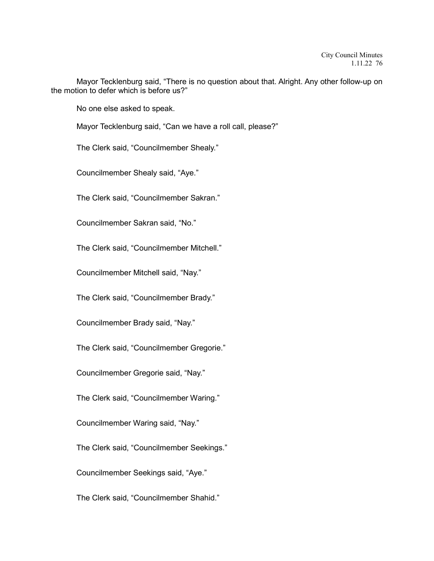Mayor Tecklenburg said, "There is no question about that. Alright. Any other follow-up on the motion to defer which is before us?"

No one else asked to speak.

Mayor Tecklenburg said, "Can we have a roll call, please?"

The Clerk said, "Councilmember Shealy."

Councilmember Shealy said, "Aye."

The Clerk said, "Councilmember Sakran."

Councilmember Sakran said, "No."

The Clerk said, "Councilmember Mitchell."

Councilmember Mitchell said, "Nay."

The Clerk said, "Councilmember Brady."

Councilmember Brady said, "Nay."

The Clerk said, "Councilmember Gregorie."

Councilmember Gregorie said, "Nay."

The Clerk said, "Councilmember Waring."

Councilmember Waring said, "Nay."

The Clerk said, "Councilmember Seekings."

Councilmember Seekings said, "Aye."

The Clerk said, "Councilmember Shahid."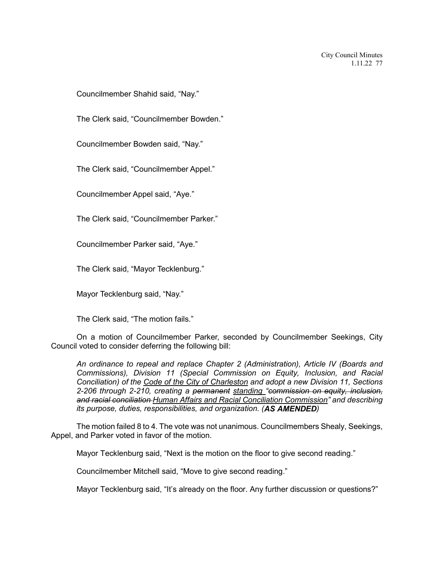Councilmember Shahid said, "Nay."

The Clerk said, "Councilmember Bowden."

Councilmember Bowden said, "Nay."

The Clerk said, "Councilmember Appel."

Councilmember Appel said, "Aye."

The Clerk said, "Councilmember Parker."

Councilmember Parker said, "Aye."

The Clerk said, "Mayor Tecklenburg."

Mayor Tecklenburg said, "Nay."

The Clerk said, "The motion fails."

On a motion of Councilmember Parker, seconded by Councilmember Seekings, City Council voted to consider deferring the following bill:

*An ordinance to repeal and replace Chapter 2 (Administration), Article IV (Boards and Commissions), Division 11 (Special Commission on Equity, Inclusion, and Racial Conciliation) of the Code of the City of Charleston and adopt a new Division 11, Sections 2-206 through 2-210, creating a permanent standing "commission on equity, inclusion, and racial conciliation Human Affairs and Racial Conciliation Commission" and describing its purpose, duties, responsibilities, and organization. (AS AMENDED)*

The motion failed 8 to 4. The vote was not unanimous. Councilmembers Shealy, Seekings, Appel, and Parker voted in favor of the motion.

Mayor Tecklenburg said, "Next is the motion on the floor to give second reading."

Councilmember Mitchell said, "Move to give second reading."

Mayor Tecklenburg said, "It's already on the floor. Any further discussion or questions?"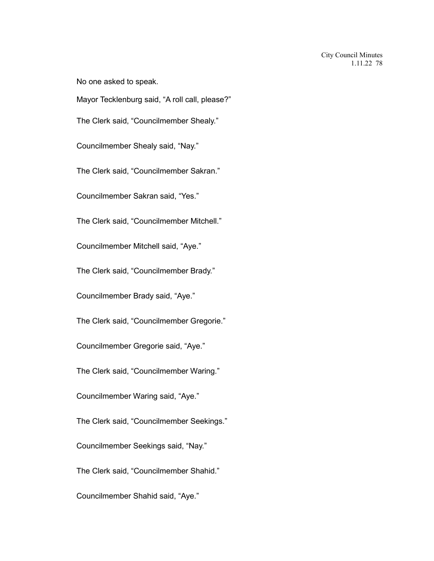No one asked to speak.

Mayor Tecklenburg said, "A roll call, please?"

The Clerk said, "Councilmember Shealy."

Councilmember Shealy said, "Nay."

The Clerk said, "Councilmember Sakran."

Councilmember Sakran said, "Yes."

The Clerk said, "Councilmember Mitchell."

Councilmember Mitchell said, "Aye."

The Clerk said, "Councilmember Brady."

Councilmember Brady said, "Aye."

The Clerk said, "Councilmember Gregorie."

Councilmember Gregorie said, "Aye."

The Clerk said, "Councilmember Waring."

Councilmember Waring said, "Aye."

The Clerk said, "Councilmember Seekings."

Councilmember Seekings said, "Nay."

The Clerk said, "Councilmember Shahid."

Councilmember Shahid said, "Aye."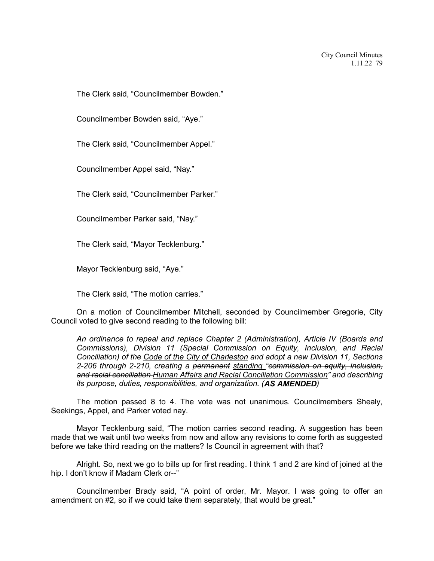The Clerk said, "Councilmember Bowden."

Councilmember Bowden said, "Aye."

The Clerk said, "Councilmember Appel."

Councilmember Appel said, "Nay."

The Clerk said, "Councilmember Parker."

Councilmember Parker said, "Nay."

The Clerk said, "Mayor Tecklenburg."

Mayor Tecklenburg said, "Aye."

The Clerk said, "The motion carries."

On a motion of Councilmember Mitchell, seconded by Councilmember Gregorie, City Council voted to give second reading to the following bill:

*An ordinance to repeal and replace Chapter 2 (Administration), Article IV (Boards and Commissions), Division 11 (Special Commission on Equity, Inclusion, and Racial Conciliation) of the Code of the City of Charleston and adopt a new Division 11, Sections 2-206 through 2-210, creating a permanent standing "commission on equity, inclusion, and racial conciliation Human Affairs and Racial Conciliation Commission" and describing its purpose, duties, responsibilities, and organization. (AS AMENDED)*

The motion passed 8 to 4. The vote was not unanimous. Councilmembers Shealy, Seekings, Appel, and Parker voted nay.

Mayor Tecklenburg said, "The motion carries second reading. A suggestion has been made that we wait until two weeks from now and allow any revisions to come forth as suggested before we take third reading on the matters? Is Council in agreement with that?

Alright. So, next we go to bills up for first reading. I think 1 and 2 are kind of joined at the hip. I don't know if Madam Clerk or--"

Councilmember Brady said, "A point of order, Mr. Mayor. I was going to offer an amendment on #2, so if we could take them separately, that would be great."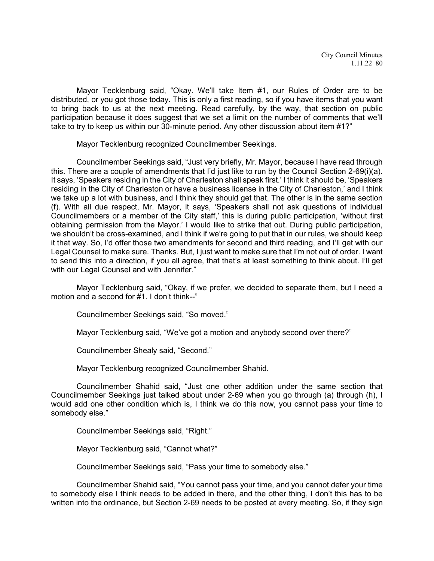Mayor Tecklenburg said, "Okay. We'll take Item #1, our Rules of Order are to be distributed, or you got those today. This is only a first reading, so if you have items that you want to bring back to us at the next meeting. Read carefully, by the way, that section on public participation because it does suggest that we set a limit on the number of comments that we'll take to try to keep us within our 30-minute period. Any other discussion about item #1?"

Mayor Tecklenburg recognized Councilmember Seekings.

Councilmember Seekings said, "Just very briefly, Mr. Mayor, because I have read through this. There are a couple of amendments that I'd just like to run by the Council Section 2-69(i)(a). It says, 'Speakers residing in the City of Charleston shall speak first.' I think it should be, 'Speakers residing in the City of Charleston or have a business license in the City of Charleston,' and I think we take up a lot with business, and I think they should get that. The other is in the same section (f). With all due respect, Mr. Mayor, it says, 'Speakers shall not ask questions of individual Councilmembers or a member of the City staff,' this is during public participation, 'without first obtaining permission from the Mayor.' I would like to strike that out. During public participation, we shouldn't be cross-examined, and I think if we're going to put that in our rules, we should keep it that way. So, I'd offer those two amendments for second and third reading, and I'll get with our Legal Counsel to make sure. Thanks. But, I just want to make sure that I'm not out of order. I want to send this into a direction, if you all agree, that that's at least something to think about. I'll get with our Legal Counsel and with Jennifer."

Mayor Tecklenburg said, "Okay, if we prefer, we decided to separate them, but I need a motion and a second for #1. I don't think--"

Councilmember Seekings said, "So moved."

Mayor Tecklenburg said, "We've got a motion and anybody second over there?"

Councilmember Shealy said, "Second."

Mayor Tecklenburg recognized Councilmember Shahid.

Councilmember Shahid said, "Just one other addition under the same section that Councilmember Seekings just talked about under 2-69 when you go through (a) through (h), I would add one other condition which is, I think we do this now, you cannot pass your time to somebody else."

Councilmember Seekings said, "Right."

Mayor Tecklenburg said, "Cannot what?"

Councilmember Seekings said, "Pass your time to somebody else."

Councilmember Shahid said, "You cannot pass your time, and you cannot defer your time to somebody else I think needs to be added in there, and the other thing, I don't this has to be written into the ordinance, but Section 2-69 needs to be posted at every meeting. So, if they sign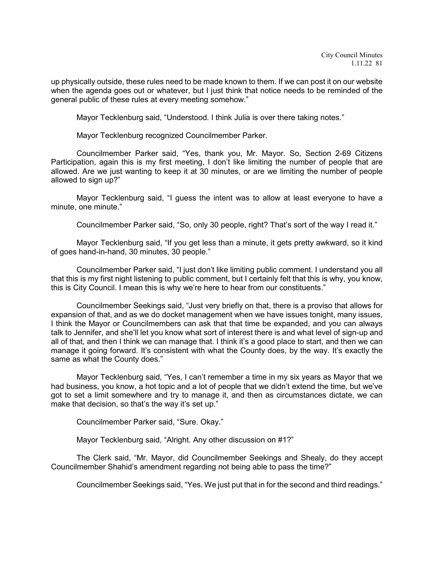up physically outside, these rules need to be made known to them. If we can post it on our website when the agenda goes out or whatever, but I just think that notice needs to be reminded of the general public of these rules at every meeting somehow."

Mayor Tecklenburg said, "Understood. I think Julia is over there taking notes."

Mayor Tecklenburg recognized Councilmember Parker.

Councilmember Parker said, "Yes, thank you, Mr. Mayor. So, Section 2-69 Citizens Participation, again this is my first meeting, I don't like limiting the number of people that are allowed. Are we just wanting to keep it at 30 minutes, or are we limiting the number of people allowed to sign up?"

Mayor Tecklenburg said, "I guess the intent was to allow at least everyone to have a minute, one minute."

Councilmember Parker said, "So, only 30 people, right? That's sort of the way I read it."

Mayor Tecklenburg said, "If you get less than a minute, it gets pretty awkward, so it kind of goes hand-in-hand, 30 minutes, 30 people."

Councilmember Parker said, "I just don't like limiting public comment. I understand you all that this is my first night listening to public comment, but I certainly felt that this is why, you know, this is City Council. I mean this is why we're here to hear from our constituents."

Councilmember Seekings said, "Just very briefly on that, there is a proviso that allows for expansion of that, and as we do docket management when we have issues tonight, many issues, I think the Mayor or Councilmembers can ask that that time be expanded, and you can always talk to Jennifer, and she'll let you know what sort of interest there is and what level of sign-up and all of that, and then I think we can manage that. I think it's a good place to start, and then we can manage it going forward. It's consistent with what the County does, by the way. It's exactly the same as what the County does."

Mayor Tecklenburg said, "Yes, I can't remember a time in my six years as Mayor that we had business, you know, a hot topic and a lot of people that we didn't extend the time, but we've got to set a limit somewhere and try to manage it, and then as circumstances dictate, we can make that decision, so that's the way it's set up."

Councilmember Parker said, "Sure. Okay."

Mayor Tecklenburg said, "Alright. Any other discussion on #1?"

The Clerk said, "Mr. Mayor, did Councilmember Seekings and Shealy, do they accept Councilmember Shahid's amendment regarding not being able to pass the time?"

Councilmember Seekings said, "Yes. We just put that in for the second and third readings."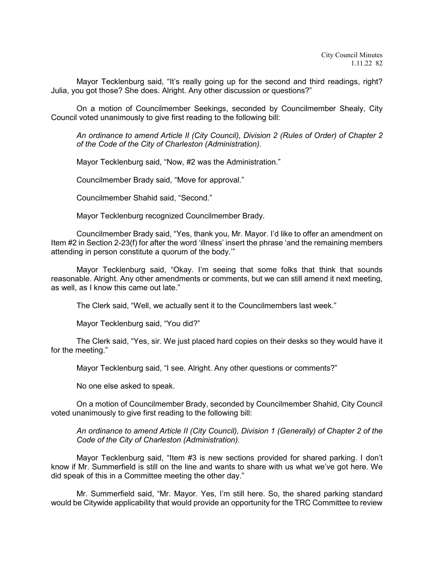Mayor Tecklenburg said, "It's really going up for the second and third readings, right? Julia, you got those? She does. Alright. Any other discussion or questions?"

On a motion of Councilmember Seekings, seconded by Councilmember Shealy, City Council voted unanimously to give first reading to the following bill:

*An ordinance to amend Article II (City Council), Division 2 (Rules of Order) of Chapter 2 of the Code of the City of Charleston (Administration).* 

Mayor Tecklenburg said, "Now, #2 was the Administration."

Councilmember Brady said, "Move for approval."

Councilmember Shahid said, "Second."

Mayor Tecklenburg recognized Councilmember Brady.

Councilmember Brady said, "Yes, thank you, Mr. Mayor. I'd like to offer an amendment on Item #2 in Section 2-23(f) for after the word 'illness' insert the phrase 'and the remaining members attending in person constitute a quorum of the body.'"

Mayor Tecklenburg said, "Okay. I'm seeing that some folks that think that sounds reasonable. Alright. Any other amendments or comments, but we can still amend it next meeting, as well, as I know this came out late."

The Clerk said, "Well, we actually sent it to the Councilmembers last week."

Mayor Tecklenburg said, "You did?"

The Clerk said, "Yes, sir. We just placed hard copies on their desks so they would have it for the meeting."

Mayor Tecklenburg said, "I see. Alright. Any other questions or comments?"

No one else asked to speak.

On a motion of Councilmember Brady, seconded by Councilmember Shahid, City Council voted unanimously to give first reading to the following bill:

*An ordinance to amend Article II (City Council), Division 1 (Generally) of Chapter 2 of the Code of the City of Charleston (Administration).*

Mayor Tecklenburg said, "Item #3 is new sections provided for shared parking. I don't know if Mr. Summerfield is still on the line and wants to share with us what we've got here. We did speak of this in a Committee meeting the other day."

Mr. Summerfield said, "Mr. Mayor. Yes, I'm still here. So, the shared parking standard would be Citywide applicability that would provide an opportunity for the TRC Committee to review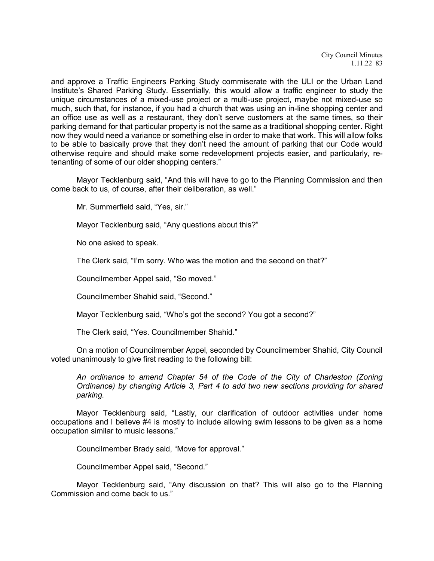City Council Minutes 1.11.22 83

and approve a Traffic Engineers Parking Study commiserate with the ULI or the Urban Land Institute's Shared Parking Study. Essentially, this would allow a traffic engineer to study the unique circumstances of a mixed-use project or a multi-use project, maybe not mixed-use so much, such that, for instance, if you had a church that was using an in-line shopping center and an office use as well as a restaurant, they don't serve customers at the same times, so their parking demand for that particular property is not the same as a traditional shopping center. Right now they would need a variance or something else in order to make that work. This will allow folks to be able to basically prove that they don't need the amount of parking that our Code would otherwise require and should make some redevelopment projects easier, and particularly, retenanting of some of our older shopping centers."

Mayor Tecklenburg said, "And this will have to go to the Planning Commission and then come back to us, of course, after their deliberation, as well."

Mr. Summerfield said, "Yes, sir."

Mayor Tecklenburg said, "Any questions about this?"

No one asked to speak.

The Clerk said, "I'm sorry. Who was the motion and the second on that?"

Councilmember Appel said, "So moved."

Councilmember Shahid said, "Second."

Mayor Tecklenburg said, "Who's got the second? You got a second?"

The Clerk said, "Yes. Councilmember Shahid."

On a motion of Councilmember Appel, seconded by Councilmember Shahid, City Council voted unanimously to give first reading to the following bill:

*An ordinance to amend Chapter 54 of the Code of the City of Charleston (Zoning Ordinance) by changing Article 3, Part 4 to add two new sections providing for shared parking.*

Mayor Tecklenburg said, "Lastly, our clarification of outdoor activities under home occupations and I believe #4 is mostly to include allowing swim lessons to be given as a home occupation similar to music lessons."

Councilmember Brady said, "Move for approval."

Councilmember Appel said, "Second."

Mayor Tecklenburg said, "Any discussion on that? This will also go to the Planning Commission and come back to us."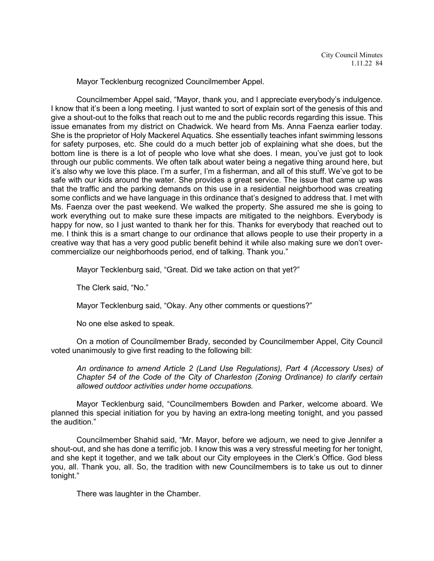Mayor Tecklenburg recognized Councilmember Appel.

Councilmember Appel said, "Mayor, thank you, and I appreciate everybody's indulgence. I know that it's been a long meeting. I just wanted to sort of explain sort of the genesis of this and give a shout-out to the folks that reach out to me and the public records regarding this issue. This issue emanates from my district on Chadwick. We heard from Ms. Anna Faenza earlier today. She is the proprietor of Holy Mackerel Aquatics. She essentially teaches infant swimming lessons for safety purposes, etc. She could do a much better job of explaining what she does, but the bottom line is there is a lot of people who love what she does. I mean, you've just got to look through our public comments. We often talk about water being a negative thing around here, but it's also why we love this place. I'm a surfer, I'm a fisherman, and all of this stuff. We've got to be safe with our kids around the water. She provides a great service. The issue that came up was that the traffic and the parking demands on this use in a residential neighborhood was creating some conflicts and we have language in this ordinance that's designed to address that. I met with Ms. Faenza over the past weekend. We walked the property. She assured me she is going to work everything out to make sure these impacts are mitigated to the neighbors. Everybody is happy for now, so I just wanted to thank her for this. Thanks for everybody that reached out to me. I think this is a smart change to our ordinance that allows people to use their property in a creative way that has a very good public benefit behind it while also making sure we don't overcommercialize our neighborhoods period, end of talking. Thank you."

Mayor Tecklenburg said, "Great. Did we take action on that yet?"

The Clerk said, "No."

Mayor Tecklenburg said, "Okay. Any other comments or questions?"

No one else asked to speak.

On a motion of Councilmember Brady, seconded by Councilmember Appel, City Council voted unanimously to give first reading to the following bill:

*An ordinance to amend Article 2 (Land Use Regulations), Part 4 (Accessory Uses) of Chapter 54 of the Code of the City of Charleston (Zoning Ordinance) to clarify certain allowed outdoor activities under home occupations.*

Mayor Tecklenburg said, "Councilmembers Bowden and Parker, welcome aboard. We planned this special initiation for you by having an extra-long meeting tonight, and you passed the audition."

Councilmember Shahid said, "Mr. Mayor, before we adjourn, we need to give Jennifer a shout-out, and she has done a terrific job. I know this was a very stressful meeting for her tonight, and she kept it together, and we talk about our City employees in the Clerk's Office. God bless you, all. Thank you, all. So, the tradition with new Councilmembers is to take us out to dinner tonight."

There was laughter in the Chamber.